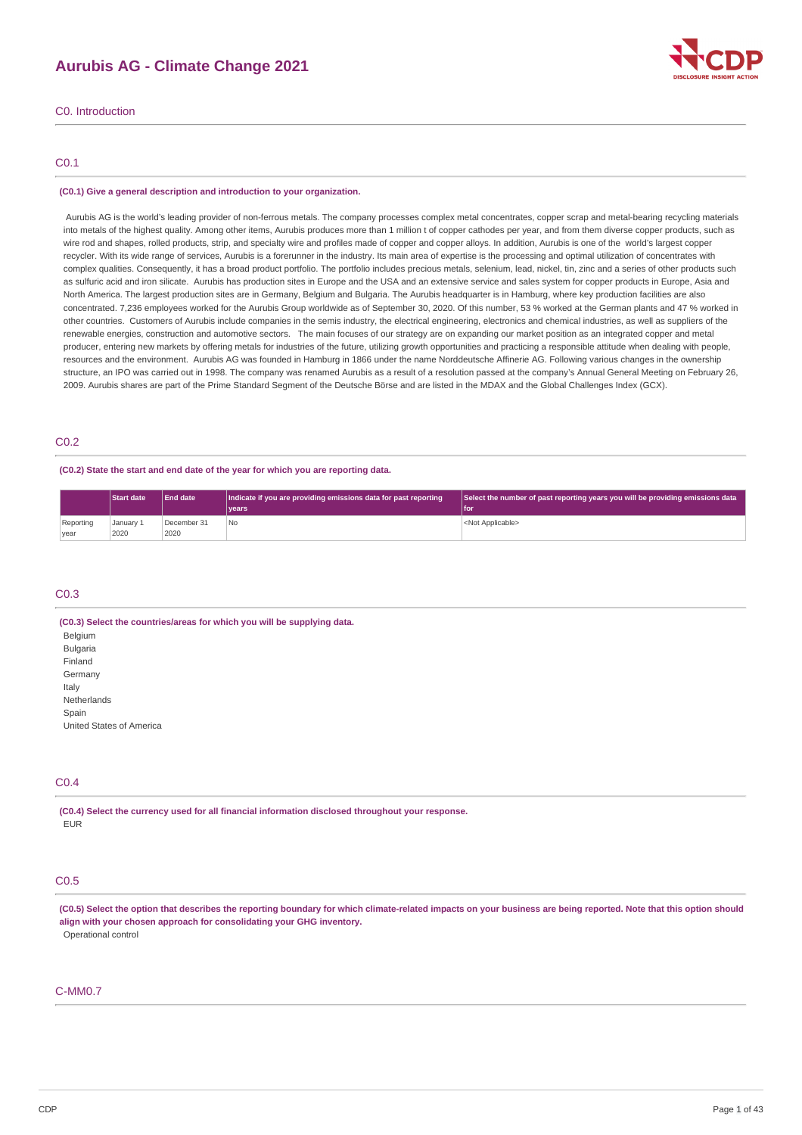# **Aurubis AG - Climate Change 2021**



C0. Introduction

## C0.1

#### **(C0.1) Give a general description and introduction to your organization.**

Aurubis AG is the world's leading provider of non-ferrous metals. The company processes complex metal concentrates, copper scrap and metal-bearing recycling materials into metals of the highest quality. Among other items, Aurubis produces more than 1 million t of copper cathodes per year, and from them diverse copper products, such as wire rod and shapes, rolled products, strip, and specialty wire and profiles made of copper and copper alloys. In addition, Aurubis is one of the world's largest copper recycler. With its wide range of services, Aurubis is a forerunner in the industry. Its main area of expertise is the processing and optimal utilization of concentrates with complex qualities. Consequently, it has a broad product portfolio. The portfolio includes precious metals, selenium, lead, nickel, tin, zinc and a series of other products such as sulfuric acid and iron silicate. Aurubis has production sites in Europe and the USA and an extensive service and sales system for copper products in Europe, Asia and North America. The largest production sites are in Germany, Belgium and Bulgaria. The Aurubis headquarter is in Hamburg, where key production facilities are also concentrated. 7,236 employees worked for the Aurubis Group worldwide as of September 30, 2020. Of this number, 53 % worked at the German plants and 47 % worked in other countries. Customers of Aurubis include companies in the semis industry, the electrical engineering, electronics and chemical industries, as well as suppliers of the renewable energies, construction and automotive sectors. The main focuses of our strategy are on expanding our market position as an integrated copper and metal producer, entering new markets by offering metals for industries of the future, utilizing growth opportunities and practicing a responsible attitude when dealing with people, resources and the environment. Aurubis AG was founded in Hamburg in 1866 under the name Norddeutsche Affinerie AG. Following various changes in the ownership structure, an IPO was carried out in 1998. The company was renamed Aurubis as a result of a resolution passed at the company's Annual General Meeting on February 26, 2009. Aurubis shares are part of the Prime Standard Segment of the Deutsche Börse and are listed in the MDAX and the Global Challenges Index (GCX).

#### C0.2

#### **(C0.2) State the start and end date of the year for which you are reporting data.**

|           | <b>Start date</b> | <b>End date</b> | Indicate if you are providing emissions data for past reporting | Select the number of past reporting years you will be providing emissions data |
|-----------|-------------------|-----------------|-----------------------------------------------------------------|--------------------------------------------------------------------------------|
|           |                   |                 | vears <sup>®</sup>                                              | for                                                                            |
| Reporting | January 1         | December 31     | l No                                                            | <not applicable=""></not>                                                      |
| vear      | 2020              | 2020            |                                                                 |                                                                                |

## C0.3

**(C0.3) Select the countries/areas for which you will be supplying data.** Belgium Bulgaria Finland **Germany** Italy Netherlands Spain United States of America

#### C0.4

**(C0.4) Select the currency used for all financial information disclosed throughout your response.** EUR

## C<sub>0.5</sub>

(C0.5) Select the option that describes the reporting boundary for which climate-related impacts on your business are being reported. Note that this option should **align with your chosen approach for consolidating your GHG inventory.** Operational control

#### C-MM0.7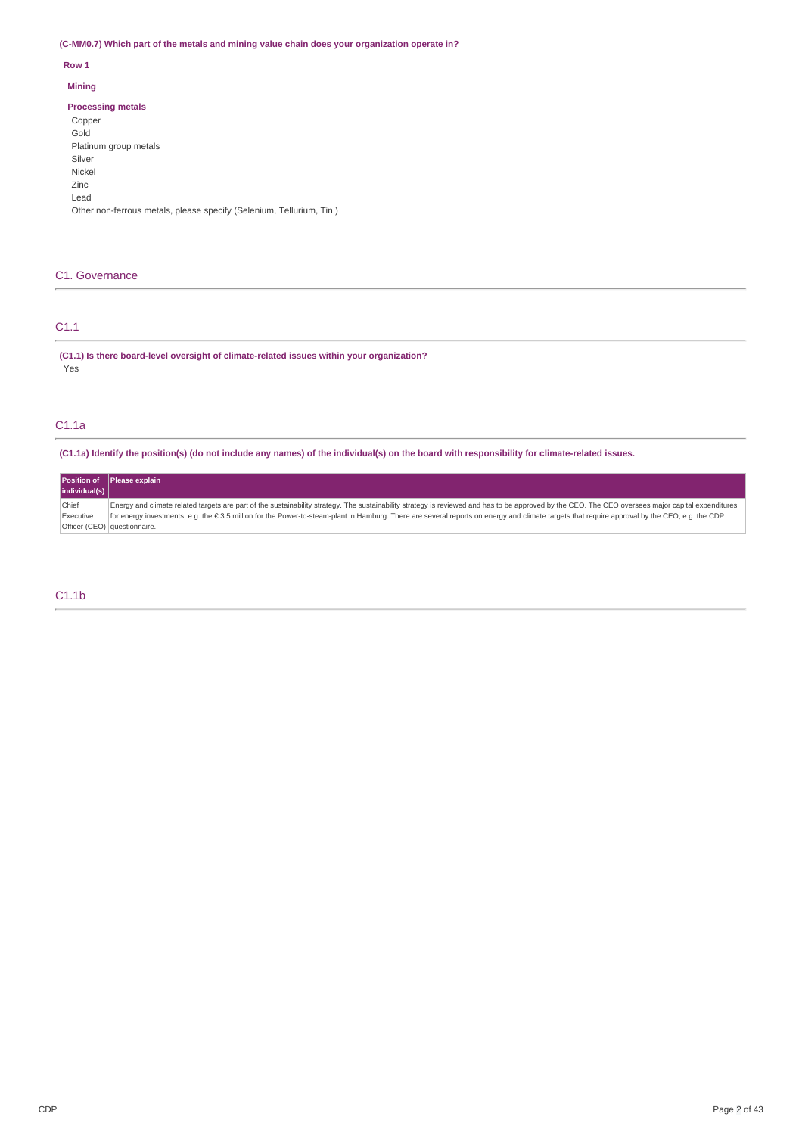**(C-MM0.7) Which part of the metals and mining value chain does your organization operate in?**

## **Row 1**

## **Mining**

## **Processing metals**

| Copper                                                              |
|---------------------------------------------------------------------|
| Gold                                                                |
| Platinum group metals                                               |
| Silver                                                              |
| Nickel                                                              |
| Zinc                                                                |
| Lead                                                                |
| Other non-ferrous metals, please specify (Selenium, Tellurium, Tin) |
|                                                                     |

# C1. Governance

# C1.1

**(C1.1) Is there board-level oversight of climate-related issues within your organization?** Yes

# C1.1a

(C1.1a) Identify the position(s) (do not include any names) of the individual(s) on the board with responsibility for climate-related issues.

|               | Position of Please explain                                                                                                                                                                         |
|---------------|----------------------------------------------------------------------------------------------------------------------------------------------------------------------------------------------------|
| individual(s) |                                                                                                                                                                                                    |
| Chief         | Energy and climate related targets are part of the sustainability strategy. The sustainability strategy is reviewed and has to be approved by the CEO. The CEO oversees major capital expenditures |
| Executive     | for energy investments, e.g. the € 3.5 million for the Power-to-steam-plant in Hamburg. There are several reports on energy and climate targets that require approval by the CEO, e.g. the CDP     |
|               | Officer (CEO) questionnaire.                                                                                                                                                                       |

# C1.1b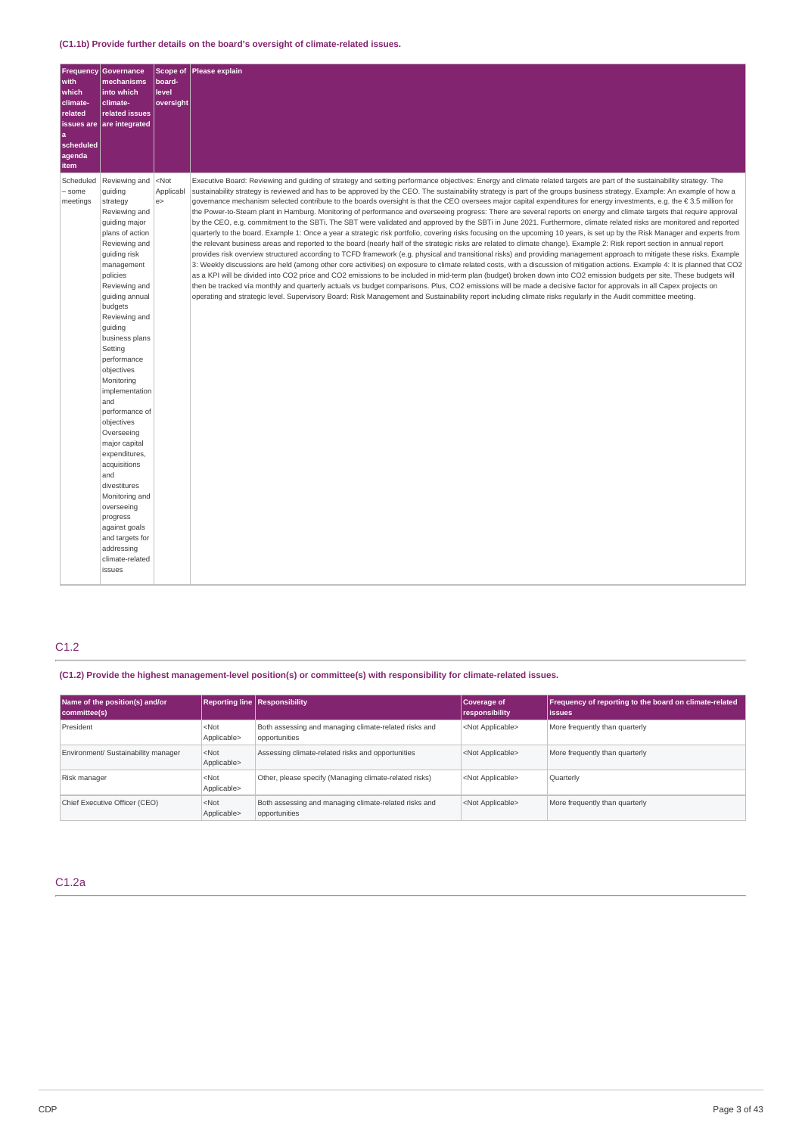| <b>Frequency</b>    | Governance                |           | Scope of Please explain                                                                                                                                                       |
|---------------------|---------------------------|-----------|-------------------------------------------------------------------------------------------------------------------------------------------------------------------------------|
| with                | mechanisms                | board-    |                                                                                                                                                                               |
| which               | into which                | level     |                                                                                                                                                                               |
| climate-            | climate-                  | oversight |                                                                                                                                                                               |
| related             | related issues            |           |                                                                                                                                                                               |
| <b>issues</b> are   | are integrated            |           |                                                                                                                                                                               |
| ۱a                  |                           |           |                                                                                                                                                                               |
| scheduled<br>agenda |                           |           |                                                                                                                                                                               |
| item                |                           |           |                                                                                                                                                                               |
| Scheduled           | Reviewing and             | $<$ Not   | Executive Board: Reviewing and quiding of strategy and setting performance objectives: Energy and climate related targets are part of the sustainability strategy. The        |
| - some              | guiding                   | Applicabl | sustainability strategy is reviewed and has to be approved by the CEO. The sustainability strategy is part of the groups business strategy. Example: An example of how a      |
| meetings            | strategy                  | e         | governance mechanism selected contribute to the boards oversight is that the CEO oversees major capital expenditures for energy investments, e.g. the € 3.5 million for       |
|                     | Reviewing and             |           | the Power-to-Steam plant in Hamburg. Monitoring of performance and overseeing progress: There are several reports on energy and climate targets that require approval         |
|                     | quiding major             |           | by the CEO, e.g. commitment to the SBTi. The SBT were validated and approved by the SBTi in June 2021. Furthermore, climate related risks are monitored and reported          |
|                     | plans of action           |           | quarterly to the board. Example 1: Once a year a strategic risk portfolio, covering risks focusing on the upcoming 10 years, is set up by the Risk Manager and experts from   |
|                     | Reviewing and             |           | the relevant business areas and reported to the board (nearly half of the strategic risks are related to climate change). Example 2: Risk report section in annual report     |
|                     | quiding risk              |           | provides risk overview structured according to TCFD framework (e.g. physical and transitional risks) and providing management approach to mitigate these risks. Example       |
|                     | management                |           | 3: Weekly discussions are held (among other core activities) on exposure to climate related costs, with a discussion of mitigation actions. Example 4: It is planned that CO2 |
|                     | policies                  |           | as a KPI will be divided into CO2 price and CO2 emissions to be included in mid-term plan (budget) broken down into CO2 emission budgets per site. These budgets will         |
|                     | Reviewing and             |           | then be tracked via monthly and quarterly actuals vs budget comparisons. Plus, CO2 emissions will be made a decisive factor for approvals in all Capex projects on            |
|                     | guiding annual            |           | operating and strategic level. Supervisory Board: Risk Management and Sustainability report including climate risks regularly in the Audit committee meeting.                 |
|                     | budgets                   |           |                                                                                                                                                                               |
|                     | Reviewing and             |           |                                                                                                                                                                               |
|                     | quiding                   |           |                                                                                                                                                                               |
|                     | business plans            |           |                                                                                                                                                                               |
|                     | Setting<br>performance    |           |                                                                                                                                                                               |
|                     | objectives                |           |                                                                                                                                                                               |
|                     | Monitoring                |           |                                                                                                                                                                               |
|                     | implementation            |           |                                                                                                                                                                               |
|                     | and                       |           |                                                                                                                                                                               |
|                     | performance of            |           |                                                                                                                                                                               |
|                     | objectives                |           |                                                                                                                                                                               |
|                     | Overseeing                |           |                                                                                                                                                                               |
|                     | major capital             |           |                                                                                                                                                                               |
|                     | expenditures,             |           |                                                                                                                                                                               |
|                     | acquisitions              |           |                                                                                                                                                                               |
|                     | and                       |           |                                                                                                                                                                               |
|                     | divestitures              |           |                                                                                                                                                                               |
|                     | Monitoring and            |           |                                                                                                                                                                               |
|                     | overseeing                |           |                                                                                                                                                                               |
|                     | progress<br>against goals |           |                                                                                                                                                                               |
|                     | and targets for           |           |                                                                                                                                                                               |
|                     | addressing                |           |                                                                                                                                                                               |
|                     | climate-related           |           |                                                                                                                                                                               |
|                     | issues                    |           |                                                                                                                                                                               |
|                     |                           |           |                                                                                                                                                                               |

# C1.2

**(C1.2) Provide the highest management-level position(s) or committee(s) with responsibility for climate-related issues.**

| Name of the position(s) and/or<br>committee(s) | <b>Reporting line Responsibility</b> |                                                                        | Coverage of<br>responsibility | Frequency of reporting to the board on climate-related<br>lissues |
|------------------------------------------------|--------------------------------------|------------------------------------------------------------------------|-------------------------------|-------------------------------------------------------------------|
| President                                      | $<$ Not<br>Applicable>               | Both assessing and managing climate-related risks and<br>opportunities | <not applicable=""></not>     | More frequently than quarterly                                    |
| Environment/ Sustainability manager            | $<$ Not<br>Applicable>               | Assessing climate-related risks and opportunities                      | <not applicable=""></not>     | More frequently than quarterly                                    |
| Risk manager                                   | $<$ Not<br>Applicable>               | Other, please specify (Managing climate-related risks)                 | <not applicable=""></not>     | Quarterly                                                         |
| Chief Executive Officer (CEO)                  | $<$ Not<br>Applicable>               | Both assessing and managing climate-related risks and<br>opportunities | <not applicable=""></not>     | More frequently than quarterly                                    |

# C1.2a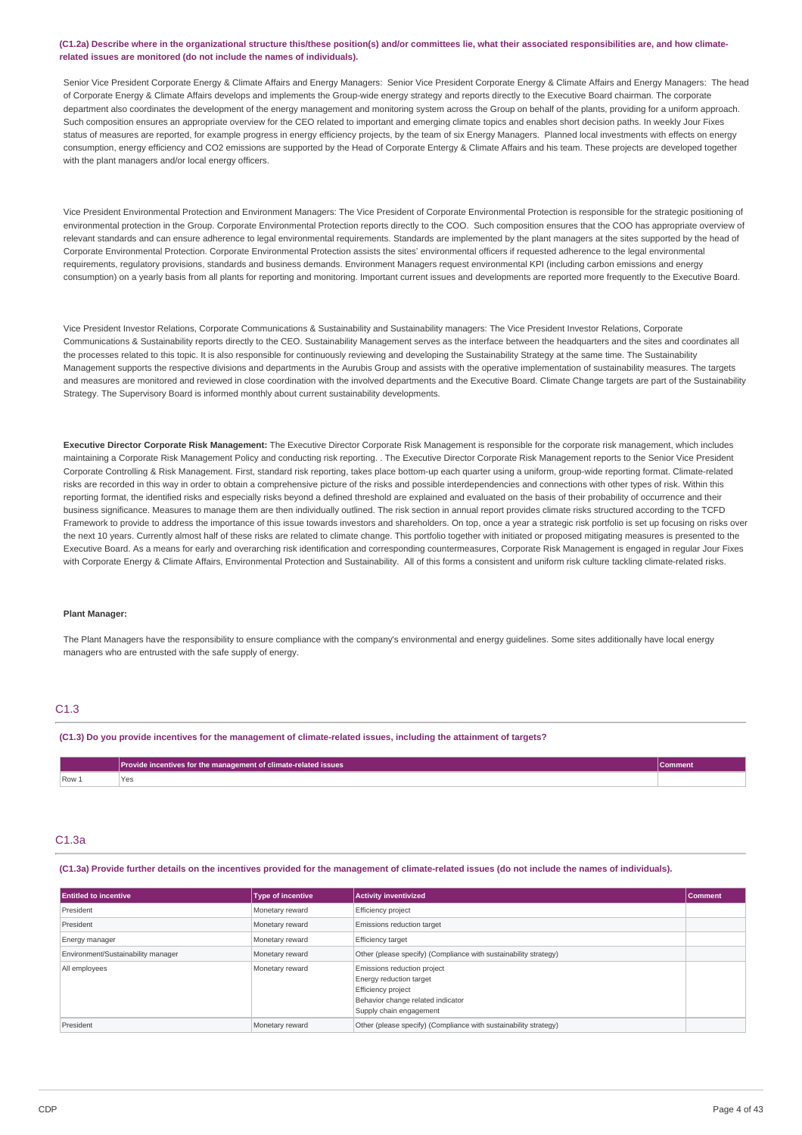#### (C1.2a) Describe where in the organizational structure this/these position(s) and/or committees lie, what their associated responsibilities are, and how climate**related issues are monitored (do not include the names of individuals).**

Senior Vice President Corporate Energy & Climate Affairs and Energy Managers: Senior Vice President Corporate Energy & Climate Affairs and Energy Managers: The head of Corporate Energy & Climate Affairs develops and implements the Group-wide energy strategy and reports directly to the Executive Board chairman. The corporate department also coordinates the development of the energy management and monitoring system across the Group on behalf of the plants, providing for a uniform approach. Such composition ensures an appropriate overview for the CEO related to important and emerging climate topics and enables short decision paths. In weekly Jour Fixes status of measures are reported, for example progress in energy efficiency projects, by the team of six Energy Managers. Planned local investments with effects on energy consumption, energy efficiency and CO2 emissions are supported by the Head of Corporate Entergy & Climate Affairs and his team. These projects are developed together with the plant managers and/or local energy officers.

Vice President Environmental Protection and Environment Managers: The Vice President of Corporate Environmental Protection is responsible for the strategic positioning of environmental protection in the Group. Corporate Environmental Protection reports directly to the COO. Such composition ensures that the COO has appropriate overview of relevant standards and can ensure adherence to legal environmental requirements. Standards are implemented by the plant managers at the sites supported by the head of Corporate Environmental Protection. Corporate Environmental Protection assists the sites' environmental officers if requested adherence to the legal environmental requirements, regulatory provisions, standards and business demands. Environment Managers request environmental KPI (including carbon emissions and energy consumption) on a yearly basis from all plants for reporting and monitoring. Important current issues and developments are reported more frequently to the Executive Board.

Vice President Investor Relations, Corporate Communications & Sustainability and Sustainability managers: The Vice President Investor Relations, Corporate Communications & Sustainability reports directly to the CEO. Sustainability Management serves as the interface between the headquarters and the sites and coordinates all the processes related to this topic. It is also responsible for continuously reviewing and developing the Sustainability Strategy at the same time. The Sustainability Management supports the respective divisions and departments in the Aurubis Group and assists with the operative implementation of sustainability measures. The targets and measures are monitored and reviewed in close coordination with the involved departments and the Executive Board. Climate Change targets are part of the Sustainability Strategy. The Supervisory Board is informed monthly about current sustainability developments.

**Executive Director Corporate Risk Management:** The Executive Director Corporate Risk Management is responsible for the corporate risk management, which includes maintaining a Corporate Risk Management Policy and conducting risk reporting. . The Executive Director Corporate Risk Management reports to the Senior Vice President Corporate Controlling & Risk Management. First, standard risk reporting, takes place bottom-up each quarter using a uniform, group-wide reporting format. Climate-related risks are recorded in this way in order to obtain a comprehensive picture of the risks and possible interdependencies and connections with other types of risk. Within this reporting format, the identified risks and especially risks beyond a defined threshold are explained and evaluated on the basis of their probability of occurrence and their business significance. Measures to manage them are then individually outlined. The risk section in annual report provides climate risks structured according to the TCFD Framework to provide to address the importance of this issue towards investors and shareholders. On top, once a year a strategic risk portfolio is set up focusing on risks over the next 10 years. Currently almost half of these risks are related to climate change. This portfolio together with initiated or proposed mitigating measures is presented to the Executive Board. As a means for early and overarching risk identification and corresponding countermeasures, Corporate Risk Management is engaged in regular Jour Fixes with Corporate Energy & Climate Affairs, Environmental Protection and Sustainability. All of this forms a consistent and uniform risk culture tackling climate-related risks.

#### **Plant Manager:**

The Plant Managers have the responsibility to ensure compliance with the company's environmental and energy guidelines. Some sites additionally have local energy managers who are entrusted with the safe supply of energy.

## C1.3

(C1.3) Do you provide incentives for the management of climate-related issues, including the attainment of targets?

|       | Provide incentives for the management of climate-related issues |  |
|-------|-----------------------------------------------------------------|--|
| Row 1 | r es<br>.                                                       |  |

#### C1.3a

(C1.3a) Provide further details on the incentives provided for the management of climate-related issues (do not include the names of individuals)

| <b>Entitled to incentive</b>       | <b>Type of incentive</b> | <b>Activity inventivized</b>                                                                                                                 | <b>Comment</b> |
|------------------------------------|--------------------------|----------------------------------------------------------------------------------------------------------------------------------------------|----------------|
| President                          | Monetary reward          | Efficiency project                                                                                                                           |                |
| President                          | Monetary reward          | Emissions reduction target                                                                                                                   |                |
| Energy manager                     | Monetary reward          | <b>Efficiency target</b>                                                                                                                     |                |
| Environment/Sustainability manager | Monetary reward          | Other (please specify) (Compliance with sustainability strategy)                                                                             |                |
| All employees                      | Monetary reward          | Emissions reduction project<br>Energy reduction target<br>Efficiency project<br>Behavior change related indicator<br>Supply chain engagement |                |
| President                          | Monetary reward          | Other (please specify) (Compliance with sustainability strategy)                                                                             |                |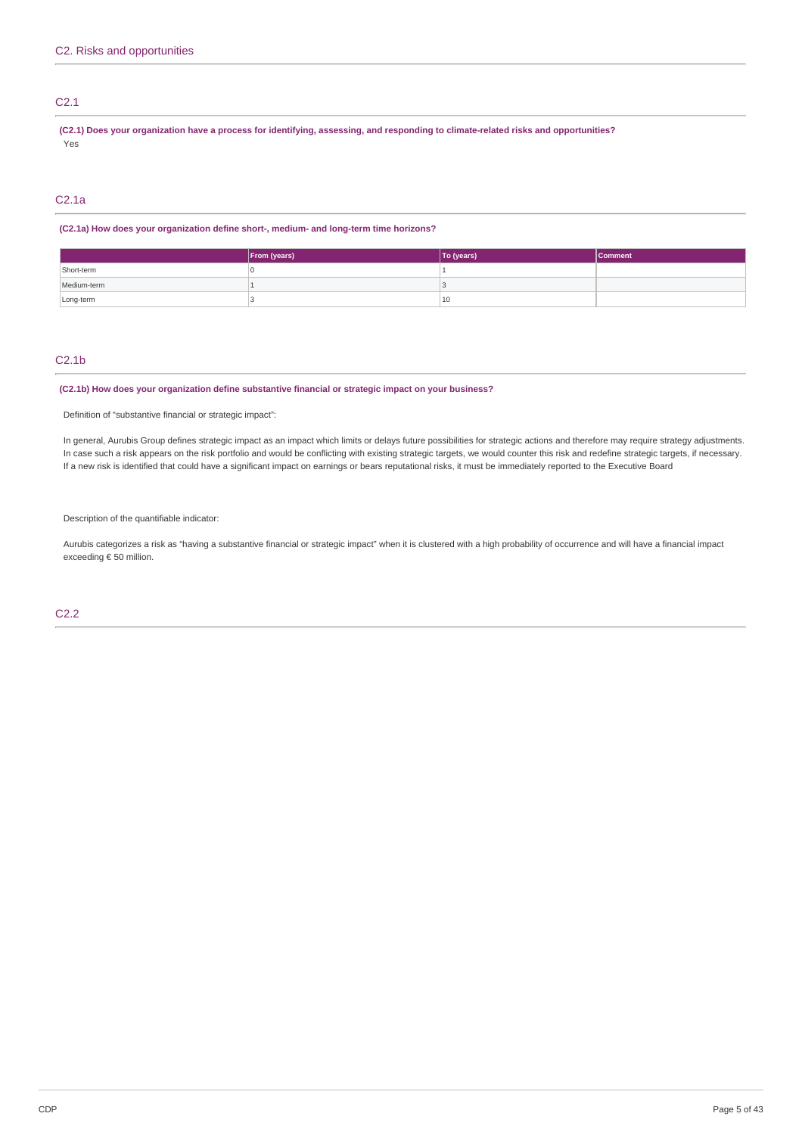## C2.1

(C2.1) Does your organization have a process for identifying, assessing, and responding to climate-related risks and opportunities? Yes

## C2.1a

## **(C2.1a) How does your organization define short-, medium- and long-term time horizons?**

|             | From (years) | To (years) | <b>Comment</b> |
|-------------|--------------|------------|----------------|
| Short-term  |              |            |                |
| Medium-term |              |            |                |
| Long-term   |              | 10         |                |

## C2.1b

## **(C2.1b) How does your organization define substantive financial or strategic impact on your business?**

Definition of "substantive financial or strategic impact":

In general, Aurubis Group defines strategic impact as an impact which limits or delays future possibilities for strategic actions and therefore may require strategy adjustments. In case such a risk appears on the risk portfolio and would be conflicting with existing strategic targets, we would counter this risk and redefine strategic targets, if necessary. If a new risk is identified that could have a significant impact on earnings or bears reputational risks, it must be immediately reported to the Executive Board

Description of the quantifiable indicator:

Aurubis categorizes a risk as "having a substantive financial or strategic impact" when it is clustered with a high probability of occurrence and will have a financial impact exceeding € 50 million.

C2.2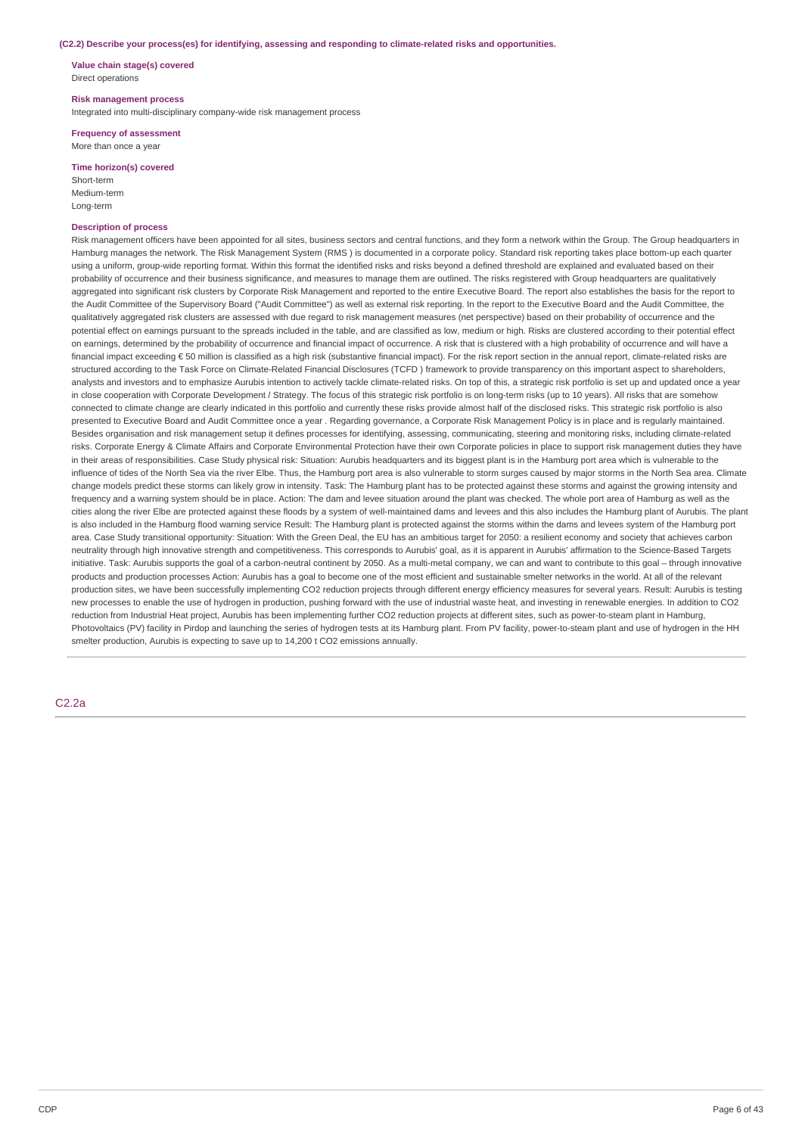#### **(C2.2) Describe your process(es) for identifying, assessing and responding to climate-related risks and opportunities.**

**Value chain stage(s) covered** Direct operations

#### **Risk management process**

Integrated into multi-disciplinary company-wide risk management process

#### **Frequency of assessment** More than once a year

## **Time horizon(s) covered**

Short-term Medium-term Long-term

## **Description of process**

Risk management officers have been appointed for all sites, business sectors and central functions, and they form a network within the Group. The Group headquarters in Hamburg manages the network. The Risk Management System (RMS ) is documented in a corporate policy. Standard risk reporting takes place bottom-up each quarter using a uniform, group-wide reporting format. Within this format the identified risks and risks beyond a defined threshold are explained and evaluated based on their probability of occurrence and their business significance, and measures to manage them are outlined. The risks registered with Group headquarters are qualitatively aggregated into significant risk clusters by Corporate Risk Management and reported to the entire Executive Board. The report also establishes the basis for the report to the Audit Committee of the Supervisory Board ("Audit Committee") as well as external risk reporting. In the report to the Executive Board and the Audit Committee, the qualitatively aggregated risk clusters are assessed with due regard to risk management measures (net perspective) based on their probability of occurrence and the potential effect on earnings pursuant to the spreads included in the table, and are classified as low, medium or high. Risks are clustered according to their potential effect on earnings, determined by the probability of occurrence and financial impact of occurrence. A risk that is clustered with a high probability of occurrence and will have a financial impact exceeding € 50 million is classified as a high risk (substantive financial impact). For the risk report section in the annual report, climate-related risks are structured according to the Task Force on Climate-Related Financial Disclosures (TCFD ) framework to provide transparency on this important aspect to shareholders, analysts and investors and to emphasize Aurubis intention to actively tackle climate-related risks. On top of this, a strategic risk portfolio is set up and updated once a year in close cooperation with Corporate Development / Strategy. The focus of this strategic risk portfolio is on long-term risks (up to 10 years). All risks that are somehow connected to climate change are clearly indicated in this portfolio and currently these risks provide almost half of the disclosed risks. This strategic risk portfolio is also presented to Executive Board and Audit Committee once a year . Regarding governance, a Corporate Risk Management Policy is in place and is regularly maintained. Besides organisation and risk management setup it defines processes for identifying, assessing, communicating, steering and monitoring risks, including climate-related risks. Corporate Energy & Climate Affairs and Corporate Environmental Protection have their own Corporate policies in place to support risk management duties they have in their areas of responsibilities. Case Study physical risk: Situation: Aurubis headquarters and its biggest plant is in the Hamburg port area which is vulnerable to the influence of tides of the North Sea via the river Elbe. Thus, the Hamburg port area is also vulnerable to storm surges caused by major storms in the North Sea area. Climate change models predict these storms can likely grow in intensity. Task: The Hamburg plant has to be protected against these storms and against the growing intensity and frequency and a warning system should be in place. Action: The dam and levee situation around the plant was checked. The whole port area of Hamburg as well as the cities along the river Elbe are protected against these floods by a system of well-maintained dams and levees and this also includes the Hamburg plant of Aurubis. The plant is also included in the Hamburg flood warning service Result: The Hamburg plant is protected against the storms within the dams and levees system of the Hamburg port area. Case Study transitional opportunity: Situation: With the Green Deal, the EU has an ambitious target for 2050: a resilient economy and society that achieves carbon neutrality through high innovative strength and competitiveness. This corresponds to Aurubis' goal, as it is apparent in Aurubis' affirmation to the Science-Based Targets initiative. Task: Aurubis supports the goal of a carbon-neutral continent by 2050. As a multi-metal company, we can and want to contribute to this goal – through innovative products and production processes Action: Aurubis has a goal to become one of the most efficient and sustainable smelter networks in the world. At all of the relevant production sites, we have been successfully implementing CO2 reduction projects through different energy efficiency measures for several years. Result: Aurubis is testing new processes to enable the use of hydrogen in production, pushing forward with the use of industrial waste heat, and investing in renewable energies. In addition to CO2 reduction from Industrial Heat project, Aurubis has been implementing further CO2 reduction projects at different sites, such as power-to-steam plant in Hamburg, Photovoltaics (PV) facility in Pirdop and launching the series of hydrogen tests at its Hamburg plant. From PV facility, power-to-steam plant and use of hydrogen in the HH smelter production, Aurubis is expecting to save up to 14,200 t CO2 emissions annually.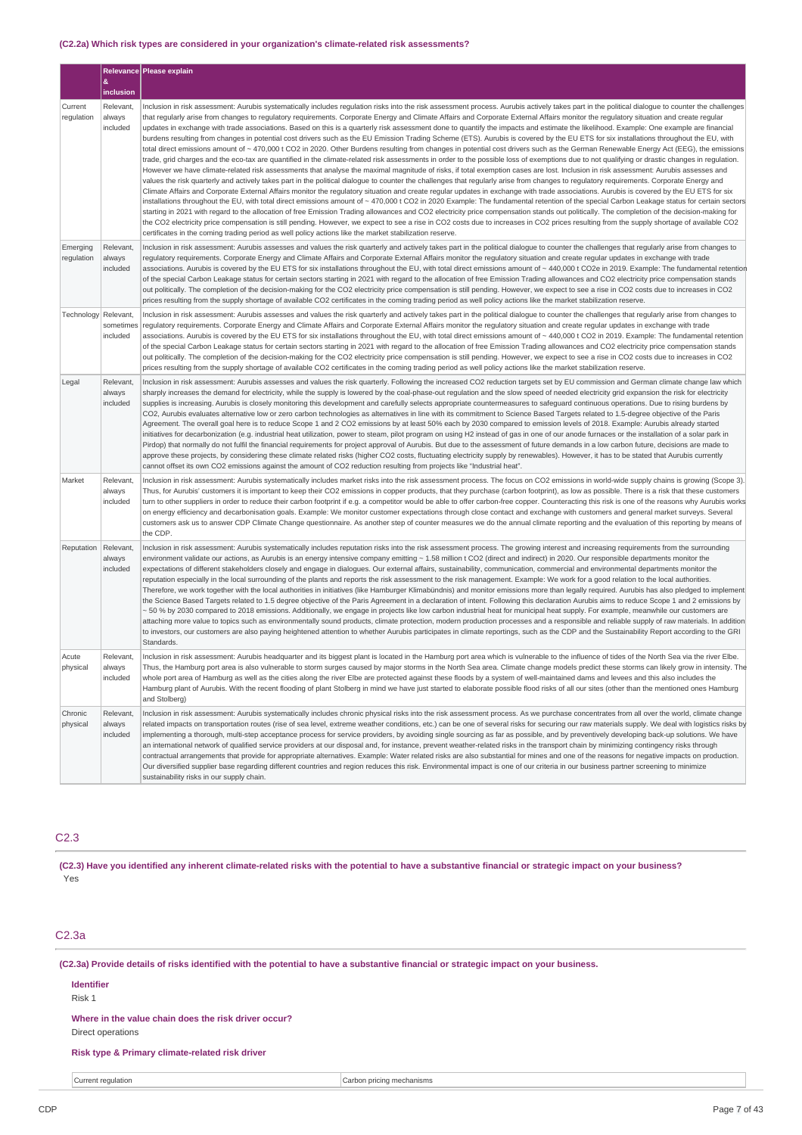## **(C2.2a) Which risk types are considered in your organization's climate-related risk assessments?**

|                        |                                    | Relevance Please explain                                                                                                                                                                                                                                                                                                                                                                                                                                                                                                                                                                                                                                                                                                                                                                                                                                                                                                                                                                                                                                                                                                                                                                                                                                                                                                                                                                                                                                                                                                                                                                                                                                                                                                                           |
|------------------------|------------------------------------|----------------------------------------------------------------------------------------------------------------------------------------------------------------------------------------------------------------------------------------------------------------------------------------------------------------------------------------------------------------------------------------------------------------------------------------------------------------------------------------------------------------------------------------------------------------------------------------------------------------------------------------------------------------------------------------------------------------------------------------------------------------------------------------------------------------------------------------------------------------------------------------------------------------------------------------------------------------------------------------------------------------------------------------------------------------------------------------------------------------------------------------------------------------------------------------------------------------------------------------------------------------------------------------------------------------------------------------------------------------------------------------------------------------------------------------------------------------------------------------------------------------------------------------------------------------------------------------------------------------------------------------------------------------------------------------------------------------------------------------------------|
|                        | &<br>inclusion                     |                                                                                                                                                                                                                                                                                                                                                                                                                                                                                                                                                                                                                                                                                                                                                                                                                                                                                                                                                                                                                                                                                                                                                                                                                                                                                                                                                                                                                                                                                                                                                                                                                                                                                                                                                    |
| Current<br>regulation  | Relevant,<br>always<br>included    | Inclusion in risk assessment: Aurubis systematically includes regulation risks into the risk assessment process. Aurubis actively takes part in the political dialogue to counter the challenges<br>that regularly arise from changes to regulatory requirements. Corporate Energy and Climate Affairs and Corporate External Affairs monitor the regulatory situation and create regular<br>updates in exchange with trade associations. Based on this is a quarterly risk assessment done to quantify the impacts and estimate the likelihood. Example: One example are financial                                                                                                                                                                                                                                                                                                                                                                                                                                                                                                                                                                                                                                                                                                                                                                                                                                                                                                                                                                                                                                                                                                                                                                |
|                        |                                    | burdens resulting from changes in potential cost drivers such as the EU Emission Trading Scheme (ETS). Aurubis is covered by the EU ETS for six installations throughout the EU, with<br>total direct emissions amount of ~ 470,000 t CO2 in 2020. Other Burdens resulting from changes in potential cost drivers such as the German Renewable Energy Act (EEG), the emissions<br>trade, grid charges and the eco-tax are quantified in the climate-related risk assessments in order to the possible loss of exemptions due to not qualifying or drastic changes in regulation.<br>However we have climate-related risk assessments that analyse the maximal magnitude of risks, if total exemption cases are lost. Inclusion in risk assessment: Aurubis assesses and<br>values the risk quarterly and actively takes part in the political dialogue to counter the challenges that regularly arise from changes to regulatory requirements. Corporate Energy and                                                                                                                                                                                                                                                                                                                                                                                                                                                                                                                                                                                                                                                                                                                                                                                |
|                        |                                    | Climate Affairs and Corporate External Affairs monitor the regulatory situation and create regular updates in exchange with trade associations. Aurubis is covered by the EU ETS for six<br>installations throughout the EU, with total direct emissions amount of ~ 470,000 t CO2 in 2020 Example: The fundamental retention of the special Carbon Leakage status for certain sectors<br>starting in 2021 with regard to the allocation of free Emission Trading allowances and CO2 electricity price compensation stands out politically. The completion of the decision-making for<br>the CO2 electricity price compensation is still pending. However, we expect to see a rise in CO2 costs due to increases in CO2 prices resulting from the supply shortage of available CO2<br>certificates in the coming trading period as well policy actions like the market stabilization reserve.                                                                                                                                                                                                                                                                                                                                                                                                                                                                                                                                                                                                                                                                                                                                                                                                                                                      |
| Emerging<br>regulation | Relevant,<br>always<br>included    | Inclusion in risk assessment: Aurubis assesses and values the risk quarterly and actively takes part in the political dialogue to counter the challenges that regularly arise from changes to<br>regulatory requirements. Corporate Energy and Climate Affairs and Corporate External Affairs monitor the regulatory situation and create regular updates in exchange with trade<br>associations. Aurubis is covered by the EU ETS for six installations throughout the EU, with total direct emissions amount of ~ 440,000 t CO2e in 2019. Example: The fundamental retention<br>of the special Carbon Leakage status for certain sectors starting in 2021 with regard to the allocation of free Emission Trading allowances and CO2 electricity price compensation stands<br>out politically. The completion of the decision-making for the CO2 electricity price compensation is still pending. However, we expect to see a rise in CO2 costs due to increases in CO2<br>prices resulting from the supply shortage of available CO2 certificates in the coming trading period as well policy actions like the market stabilization reserve.                                                                                                                                                                                                                                                                                                                                                                                                                                                                                                                                                                                                     |
| Technology             | Relevant,<br>sometimes<br>included | Inclusion in risk assessment: Aurubis assesses and values the risk quarterly and actively takes part in the political dialogue to counter the challenges that regularly arise from changes to<br>regulatory requirements. Corporate Energy and Climate Affairs and Corporate External Affairs monitor the regulatory situation and create regular updates in exchange with trade<br>associations. Aurubis is covered by the EU ETS for six installations throughout the EU, with total direct emissions amount of ~ 440,000 t CO2 in 2019. Example: The fundamental retention<br>of the special Carbon Leakage status for certain sectors starting in 2021 with regard to the allocation of free Emission Trading allowances and CO2 electricity price compensation stands<br>out politically. The completion of the decision-making for the CO2 electricity price compensation is still pending. However, we expect to see a rise in CO2 costs due to increases in CO2<br>prices resulting from the supply shortage of available CO2 certificates in the coming trading period as well policy actions like the market stabilization reserve.                                                                                                                                                                                                                                                                                                                                                                                                                                                                                                                                                                                                      |
| Legal                  | Relevant,<br>always<br>included    | Inclusion in risk assessment: Aurubis assesses and values the risk quarterly. Following the increased CO2 reduction targets set by EU commission and German climate change law which<br>sharply increases the demand for electricity, while the supply is lowered by the coal-phase-out regulation and the slow speed of needed electricity grid expansion the risk for electricity<br>supplies is increasing. Aurubis is closely monitoring this development and carefully selects appropriate countermeasures to safeguard continuous operations. Due to rising burdens by<br>CO2, Aurubis evaluates alternative low or zero carbon technologies as alternatives in line with its commitment to Science Based Targets related to 1.5-degree objective of the Paris<br>Agreement. The overall goal here is to reduce Scope 1 and 2 CO2 emissions by at least 50% each by 2030 compared to emission levels of 2018. Example: Aurubis already started<br>initiatives for decarbonization (e.g. industrial heat utilization, power to steam, pilot program on using H2 instead of gas in one of our anode furnaces or the installation of a solar park in<br>Pirdop) that normally do not fulfil the financial requirements for project approval of Aurubis. But due to the assessment of future demands in a low carbon future, decisions are made to<br>approve these projects, by considering these climate related risks (higher CO2 costs, fluctuating electricity supply by renewables). However, it has to be stated that Aurubis currently<br>cannot offset its own CO2 emissions against the amount of CO2 reduction resulting from projects like "Industrial heat".                                                                        |
| Market                 | Relevant,<br>always<br>included    | Inclusion in risk assessment: Aurubis systematically includes market risks into the risk assessment process. The focus on CO2 emissions in world-wide supply chains is growing (Scope 3).<br>Thus, for Aurubis' customers it is important to keep their CO2 emissions in copper products, that they purchase (carbon footprint), as low as possible. There is a risk that these customers<br>turn to other suppliers in order to reduce their carbon footprint if e.g. a competitor would be able to offer carbon-free copper. Counteracting this risk is one of the reasons why Aurubis works<br>on energy efficiency and decarbonisation goals. Example: We monitor customer expectations through close contact and exchange with customers and general market surveys. Several<br>customers ask us to answer CDP Climate Change questionnaire. As another step of counter measures we do the annual climate reporting and the evaluation of this reporting by means of<br>the CDP.                                                                                                                                                                                                                                                                                                                                                                                                                                                                                                                                                                                                                                                                                                                                                              |
| Reputation             | Relevant,<br>always<br>included    | Inclusion in risk assessment: Aurubis systematically includes reputation risks into the risk assessment process. The growing interest and increasing requirements from the surrounding<br>environment validate our actions, as Aurubis is an energy intensive company emitting ~ 1.58 million t CO2 (direct and indirect) in 2020. Our responsible departments monitor the<br>expectations of different stakeholders closely and engage in dialogues. Our external affairs, sustainability, communication, commercial and environmental departments monitor the<br>reputation especially in the local surrounding of the plants and reports the risk assessment to the risk management. Example: We work for a good relation to the local authorities.<br>Therefore, we work together with the local authorities in initiatives (like Hamburger Klimabündnis) and monitor emissions more than legally required. Aurubis has also pledged to implement<br>the Science Based Targets related to 1.5 degree objective of the Paris Agreement in a declaration of intent. Following this declaration Aurubis aims to reduce Scope 1 and 2 emissions by<br>~ 50 % by 2030 compared to 2018 emissions. Additionally, we engage in projects like low carbon industrial heat for municipal heat supply. For example, meanwhile our customers are<br>attaching more value to topics such as environmentally sound products, climate protection, modern production processes and a responsible and reliable supply of raw materials. In addition<br>to investors, our customers are also paying heightened attention to whether Aurubis participates in climate reportings, such as the CDP and the Sustainability Report according to the GRI<br>Standards. |
| Acute<br>physical      | Relevant.<br>always<br>included    | Inclusion in risk assessment: Aurubis headquarter and its biggest plant is located in the Hamburg port area which is vulnerable to the influence of tides of the North Sea via the river Elbe.<br>Thus, the Hamburg port area is also vulnerable to storm surges caused by major storms in the North Sea area. Climate change models predict these storms can likely grow in intensity. The<br>whole port area of Hamburg as well as the cities along the river Elbe are protected against these floods by a system of well-maintained dams and levees and this also includes the<br>Hamburg plant of Aurubis. With the recent flooding of plant Stolberg in mind we have just started to elaborate possible flood risks of all our sites (other than the mentioned ones Hamburg<br>and Stolberg)                                                                                                                                                                                                                                                                                                                                                                                                                                                                                                                                                                                                                                                                                                                                                                                                                                                                                                                                                  |
| Chronic<br>physical    | Relevant,<br>always<br>included    | Inclusion in risk assessment: Aurubis systematically includes chronic physical risks into the risk assessment process. As we purchase concentrates from all over the world, climate change<br>related impacts on transportation routes (rise of sea level, extreme weather conditions, etc.) can be one of several risks for securing our raw materials supply. We deal with logistics risks by<br>implementing a thorough, multi-step acceptance process for service providers, by avoiding single sourcing as far as possible, and by preventively developing back-up solutions. We have<br>an international network of qualified service providers at our disposal and, for instance, prevent weather-related risks in the transport chain by minimizing contingency risks through<br>contractual arrangements that provide for appropriate alternatives. Example: Water related risks are also substantial for mines and one of the reasons for negative impacts on production.<br>Our diversified supplier base regarding different countries and region reduces this risk. Environmental impact is one of our criteria in our business partner screening to minimize<br>sustainability risks in our supply chain.                                                                                                                                                                                                                                                                                                                                                                                                                                                                                                                            |

# C2.3

(C2.3) Have you identified any inherent climate-related risks with the potential to have a substantive financial or strategic impact on your business? Yes

# C2.3a

(C2.3a) Provide details of risks identified with the potential to have a substantive financial or strategic impact on your business.

# **Identifier**

Risk 1

**Where in the value chain does the risk driver occur?** Direct operations

## **Risk type & Primary climate-related risk driver**

**Current regulation** Current regulation Carbon pricing mechanisms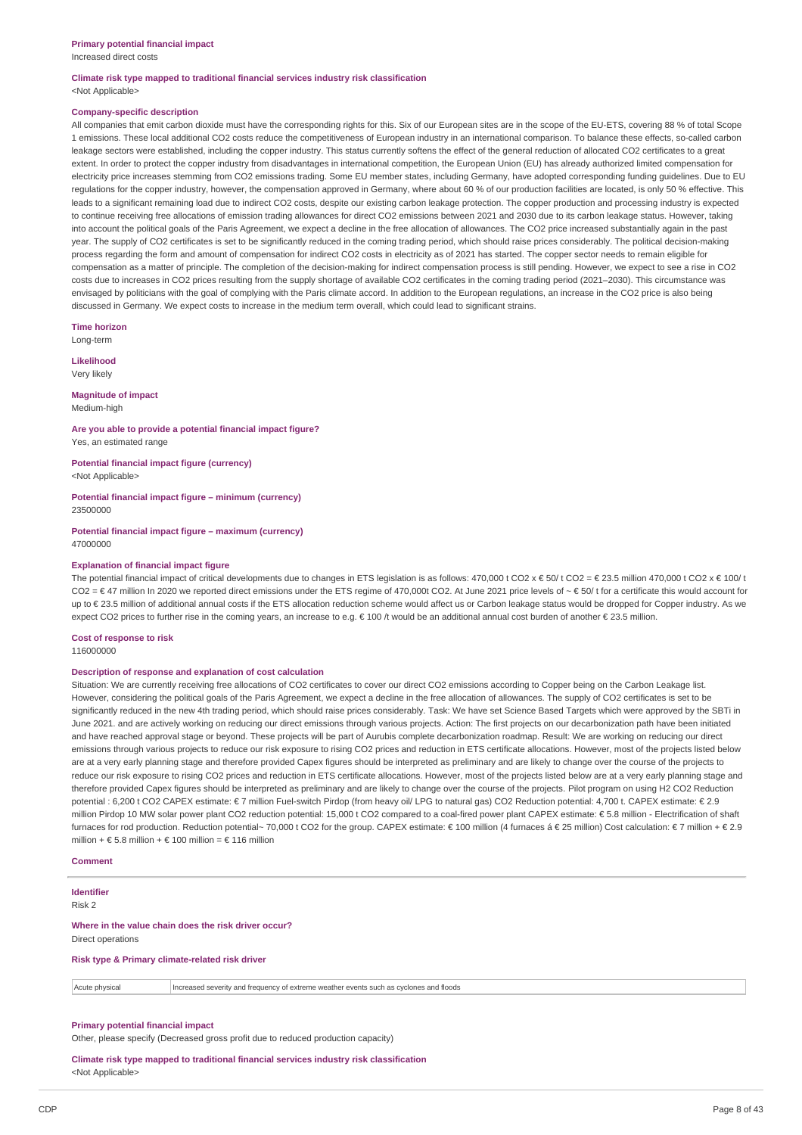Increased direct costs

#### **Climate risk type mapped to traditional financial services industry risk classification** <Not Applicable>

#### **Company-specific description**

All companies that emit carbon dioxide must have the corresponding rights for this. Six of our European sites are in the scope of the EU-ETS, covering 88 % of total Scope 1 emissions. These local additional CO2 costs reduce the competitiveness of European industry in an international comparison. To balance these effects, so-called carbon leakage sectors were established, including the copper industry. This status currently softens the effect of the general reduction of allocated CO2 certificates to a great extent. In order to protect the copper industry from disadvantages in international competition, the European Union (EU) has already authorized limited compensation for electricity price increases stemming from CO2 emissions trading. Some EU member states, including Germany, have adopted corresponding funding guidelines. Due to EU regulations for the copper industry, however, the compensation approved in Germany, where about 60 % of our production facilities are located, is only 50 % effective. This leads to a significant remaining load due to indirect CO2 costs, despite our existing carbon leakage protection. The copper production and processing industry is expected to continue receiving free allocations of emission trading allowances for direct CO2 emissions between 2021 and 2030 due to its carbon leakage status. However, taking into account the political goals of the Paris Agreement, we expect a decline in the free allocation of allowances. The CO2 price increased substantially again in the past year. The supply of CO2 certificates is set to be significantly reduced in the coming trading period, which should raise prices considerably. The political decision-making process regarding the form and amount of compensation for indirect CO2 costs in electricity as of 2021 has started. The copper sector needs to remain eligible for compensation as a matter of principle. The completion of the decision-making for indirect compensation process is still pending. However, we expect to see a rise in CO2 costs due to increases in CO2 prices resulting from the supply shortage of available CO2 certificates in the coming trading period (2021–2030). This circumstance was envisaged by politicians with the goal of complying with the Paris climate accord. In addition to the European regulations, an increase in the CO2 price is also being discussed in Germany. We expect costs to increase in the medium term overall, which could lead to significant strains.

**Time horizon**

Long-term

**Likelihood** Very likely

**Magnitude of impact**

Medium-high

**Are you able to provide a potential financial impact figure?** Yes, an estimated range

**Potential financial impact figure (currency)** <Not Applicable>

**Potential financial impact figure – minimum (currency)** 23500000

**Potential financial impact figure – maximum (currency)** 47000000

#### **Explanation of financial impact figure**

The potential financial impact of critical developments due to changes in ETS legislation is as follows: 470,000 t CO2 x € 50/ t CO2 = € 23.5 million 470,000 t CO2 x € 100/ t  $CO2 = \text{\textsterling}47$  million In 2020 we reported direct emissions under the ETS regime of 470,000t CO2. At June 2021 price levels of ~  $\text{\textsterling}50/t$  for a certificate this would account for up to € 23.5 million of additional annual costs if the ETS allocation reduction scheme would affect us or Carbon leakage status would be dropped for Copper industry. As we expect CO2 prices to further rise in the coming years, an increase to e.g. € 100 /t would be an additional annual cost burden of another € 23.5 million.

**Cost of response to risk** 116000000

## **Description of response and explanation of cost calculation**

Situation: We are currently receiving free allocations of CO2 certificates to cover our direct CO2 emissions according to Copper being on the Carbon Leakage list. However, considering the political goals of the Paris Agreement, we expect a decline in the free allocation of allowances. The supply of CO2 certificates is set to be significantly reduced in the new 4th trading period, which should raise prices considerably. Task: We have set Science Based Targets which were approved by the SBTi in June 2021, and are actively working on reducing our direct emissions through various projects. Action: The first projects on our decarbonization path have been initiated and have reached approval stage or beyond. These projects will be part of Aurubis complete decarbonization roadmap. Result: We are working on reducing our direct emissions through various projects to reduce our risk exposure to rising CO2 prices and reduction in ETS certificate allocations. However, most of the projects listed below are at a very early planning stage and therefore provided Capex figures should be interpreted as preliminary and are likely to change over the course of the projects to reduce our risk exposure to rising CO2 prices and reduction in ETS certificate allocations. However, most of the projects listed below are at a very early planning stage and therefore provided Capex figures should be interpreted as preliminary and are likely to change over the course of the projects. Pilot program on using H2 CO2 Reduction potential : 6,200 t CO2 CAPEX estimate: € 7 million Fuel-switch Pirdop (from heavy oil/ LPG to natural gas) CO2 Reduction potential: 4,700 t. CAPEX estimate: € 2.9 million Pirdop 10 MW solar power plant CO2 reduction potential: 15,000 t CO2 compared to a coal-fired power plant CAPEX estimate: € 5.8 million - Electrification of shaft furnaces for rod production. Reduction potential~ 70,000 t CO2 for the group. CAPEX estimate: € 100 million (4 furnaces á € 25 million) Cost calculation: € 7 million + € 2.9 million + € 5.8 million + € 100 million = € 116 million

#### **Comment**

**Identifier**

Risk 2

#### **Where in the value chain does the risk driver occur?** Direct operations

**Risk type & Primary climate-related risk driver**

Acute physical Increased severity and frequency of extreme weather events such as cyclones and floods

# **Primary potential financial impact**

Other, please specify (Decreased gross profit due to reduced production capacity)

**Climate risk type mapped to traditional financial services industry risk classification** <Not Applicable>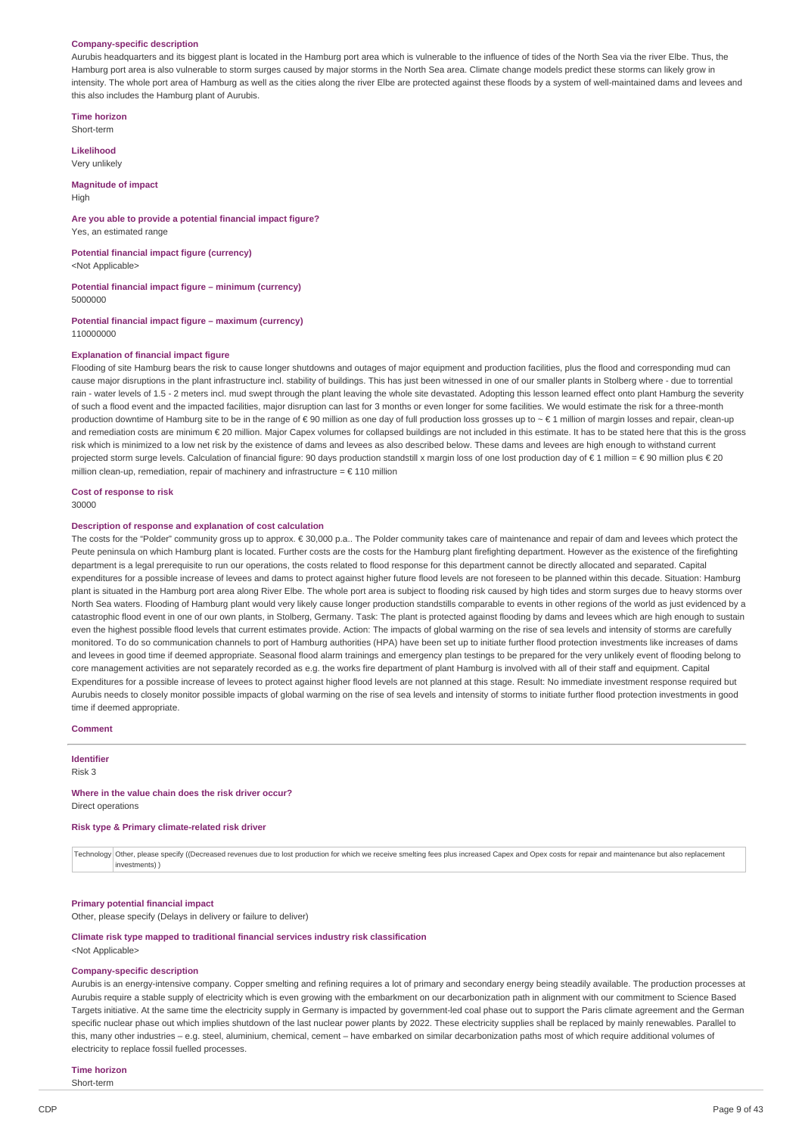#### **Company-specific description**

Aurubis headquarters and its biggest plant is located in the Hamburg port area which is vulnerable to the influence of tides of the North Sea via the river Elbe. Thus, the Hamburg port area is also vulnerable to storm surges caused by major storms in the North Sea area. Climate change models predict these storms can likely grow in intensity. The whole port area of Hamburg as well as the cities along the river Elbe are protected against these floods by a system of well-maintained dams and levees and this also includes the Hamburg plant of Aurubis.

**Time horizon**

Short-term

**Likelihood** Very unlikely

**Magnitude of impact**

High

**Are you able to provide a potential financial impact figure?** Yes, an estimated range

**Potential financial impact figure (currency)** <Not Applicable>

**Potential financial impact figure – minimum (currency)**

5000000

**Potential financial impact figure – maximum (currency)** 110000000

#### **Explanation of financial impact figure**

Flooding of site Hamburg bears the risk to cause longer shutdowns and outages of major equipment and production facilities, plus the flood and corresponding mud can cause major disruptions in the plant infrastructure incl. stability of buildings. This has just been witnessed in one of our smaller plants in Stolberg where - due to torrential rain - water levels of 1.5 - 2 meters incl. mud swept through the plant leaving the whole site devastated. Adopting this lesson learned effect onto plant Hamburg the severity of such a flood event and the impacted facilities, major disruption can last for 3 months or even longer for some facilities. We would estimate the risk for a three-month production downtime of Hamburg site to be in the range of € 90 million as one day of full production loss grosses up to ~ € 1 million of margin losses and repair, clean-up and remediation costs are minimum € 20 million. Major Capex volumes for collapsed buildings are not included in this estimate. It has to be stated here that this is the gross risk which is minimized to a low net risk by the existence of dams and levees as also described below. These dams and levees are high enough to withstand current projected storm surge levels. Calculation of financial figure: 90 days production standstill x margin loss of one lost production day of  $\epsilon 1$  million =  $\epsilon$  90 million plus  $\epsilon$  20 million clean-up, remediation, repair of machinery and infrastructure =  $\epsilon$  110 million

**Cost of response to risk**

30000

#### **Description of response and explanation of cost calculation**

The costs for the "Polder" community gross up to approx. € 30,000 p.a.. The Polder community takes care of maintenance and repair of dam and levees which protect the Peute peninsula on which Hamburg plant is located. Further costs are the costs for the Hamburg plant firefighting department. However as the existence of the firefighting department is a legal prerequisite to run our operations, the costs related to flood response for this department cannot be directly allocated and separated. Capital expenditures for a possible increase of levees and dams to protect against higher future flood levels are not foreseen to be planned within this decade. Situation: Hamburg plant is situated in the Hamburg port area along River Elbe. The whole port area is subject to flooding risk caused by high tides and storm surges due to heavy storms over North Sea waters. Flooding of Hamburg plant would very likely cause longer production standstills comparable to events in other regions of the world as just evidenced by a catastrophic flood event in one of our own plants, in Stolberg, Germany. Task: The plant is protected against flooding by dams and levees which are high enough to sustain even the highest possible flood levels that current estimates provide. Action: The impacts of global warming on the rise of sea levels and intensity of storms are carefully monitored. To do so communication channels to port of Hamburg authorities (HPA) have been set up to initiate further flood protection investments like increases of dams and levees in good time if deemed appropriate. Seasonal flood alarm trainings and emergency plan testings to be prepared for the very unlikely event of flooding belong to core management activities are not separately recorded as e.g. the works fire department of plant Hamburg is involved with all of their staff and equipment. Capital Expenditures for a possible increase of levees to protect against higher flood levels are not planned at this stage. Result: No immediate investment response required but Aurubis needs to closely monitor possible impacts of global warming on the rise of sea levels and intensity of storms to initiate further flood protection investments in good time if deemed appropriate.

#### **Comment**

**Identifier**

Risk 3

#### **Where in the value chain does the risk driver occur?** Direct operations

#### **Risk type & Primary climate-related risk driver**

Technology Other, please specify ((Decreased revenues due to lost production for which we receive smelting fees plus increased Capex and Opex costs for repair and maintenance but also replacement investments) )

#### **Primary potential financial impact**

Other, please specify (Delays in delivery or failure to deliver)

#### **Climate risk type mapped to traditional financial services industry risk classification** <Not Applicable>

#### **Company-specific description**

Aurubis is an energy-intensive company. Copper smelting and refining requires a lot of primary and secondary energy being steadily available. The production processes at Aurubis require a stable supply of electricity which is even growing with the embarkment on our decarbonization path in alignment with our commitment to Science Based Targets initiative. At the same time the electricity supply in Germany is impacted by government-led coal phase out to support the Paris climate agreement and the German specific nuclear phase out which implies shutdown of the last nuclear power plants by 2022. These electricity supplies shall be replaced by mainly renewables. Parallel to this, many other industries – e.g. steel, aluminium, chemical, cement – have embarked on similar decarbonization paths most of which require additional volumes of electricity to replace fossil fuelled processes.

# **Time horizon**

Short-term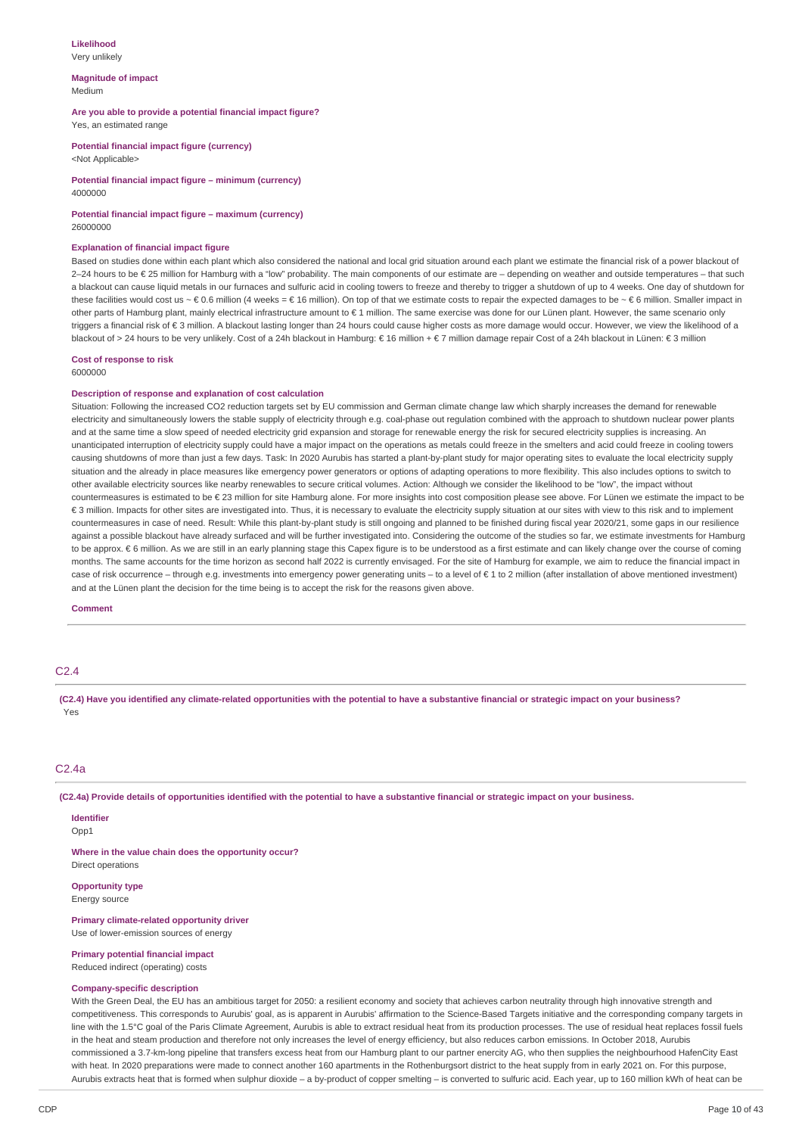#### **Likelihood** Very unlikely

**Magnitude of impact** Medium

#### **Are you able to provide a potential financial impact figure?** Yes, an estimated range

**Potential financial impact figure (currency)** <Not Applicable>

**Potential financial impact figure – minimum (currency)** 4000000

# **Potential financial impact figure – maximum (currency)**

26000000

#### **Explanation of financial impact figure**

Based on studies done within each plant which also considered the national and local grid situation around each plant we estimate the financial risk of a power blackout of 2–24 hours to be € 25 million for Hamburg with a "low" probability. The main components of our estimate are – depending on weather and outside temperatures – that such a blackout can cause liquid metals in our furnaces and sulfuric acid in cooling towers to freeze and thereby to trigger a shutdown of up to 4 weeks. One day of shutdown for these facilities would cost us ~ € 0.6 million (4 weeks = € 16 million). On top of that we estimate costs to repair the expected damages to be ~ € 6 million. Smaller impact in other parts of Hamburg plant, mainly electrical infrastructure amount to € 1 million. The same exercise was done for our Lünen plant. However, the same scenario only triggers a financial risk of €3 million. A blackout lasting longer than 24 hours could cause higher costs as more damage would occur. However, we view the likelihood of a blackout of > 24 hours to be very unlikely. Cost of a 24h blackout in Hamburg: € 16 million + € 7 million damage repair Cost of a 24h blackout in Lünen: € 3 million

#### **Cost of response to risk** 6000000

## **Description of response and explanation of cost calculation**

Situation: Following the increased CO2 reduction targets set by EU commission and German climate change law which sharply increases the demand for renewable electricity and simultaneously lowers the stable supply of electricity through e.g. coal-phase out regulation combined with the approach to shutdown nuclear power plants and at the same time a slow speed of needed electricity grid expansion and storage for renewable energy the risk for secured electricity supplies is increasing. An unanticipated interruption of electricity supply could have a major impact on the operations as metals could freeze in the smelters and acid could freeze in cooling towers causing shutdowns of more than just a few days. Task: In 2020 Aurubis has started a plant-by-plant study for major operating sites to evaluate the local electricity supply situation and the already in place measures like emergency power generators or options of adapting operations to more flexibility. This also includes options to switch to other available electricity sources like nearby renewables to secure critical volumes. Action: Although we consider the likelihood to be "low", the impact without countermeasures is estimated to be € 23 million for site Hamburg alone. For more insights into cost composition please see above. For Lünen we estimate the impact to be € 3 million. Impacts for other sites are investigated into. Thus, it is necessary to evaluate the electricity supply situation at our sites with view to this risk and to implement countermeasures in case of need. Result: While this plant-by-plant study is still ongoing and planned to be finished during fiscal year 2020/21, some gaps in our resilience against a possible blackout have already surfaced and will be further investigated into. Considering the outcome of the studies so far, we estimate investments for Hamburg to be approx. € 6 million. As we are still in an early planning stage this Capex figure is to be understood as a first estimate and can likely change over the course of coming months. The same accounts for the time horizon as second half 2022 is currently envisaged. For the site of Hamburg for example, we aim to reduce the financial impact in case of risk occurrence – through e.g. investments into emergency power generating units – to a level of € 1 to 2 million (after installation of above mentioned investment) and at the Lünen plant the decision for the time being is to accept the risk for the reasons given above.

**Comment**

# C2.4

(C2.4) Have you identified any climate-related opportunities with the potential to have a substantive financial or strategic impact on your business? Yes

## $C<sub>2</sub>$  4a

(C2.4a) Provide details of opportunities identified with the potential to have a substantive financial or strategic impact on your business.

# **Identifier**

Opp1

**Where in the value chain does the opportunity occur?** Direct operations

## **Opportunity type**

Energy source

# **Primary climate-related opportunity driver**

Use of lower-emission sources of energy

**Primary potential financial impact** Reduced indirect (operating) costs

## **Company-specific description**

With the Green Deal, the EU has an ambitious target for 2050: a resilient economy and society that achieves carbon neutrality through high innovative strength and competitiveness. This corresponds to Aurubis' goal, as is apparent in Aurubis' affirmation to the Science-Based Targets initiative and the corresponding company targets in line with the 1.5°C goal of the Paris Climate Agreement. Aurubis is able to extract residual heat from its production processes. The use of residual heat replaces fossil fuels in the heat and steam production and therefore not only increases the level of energy efficiency, but also reduces carbon emissions. In October 2018, Aurubis commissioned a 3.7-km-long pipeline that transfers excess heat from our Hamburg plant to our partner enercity AG, who then supplies the neighbourhood HafenCity East with heat. In 2020 preparations were made to connect another 160 apartments in the Rothenburgsort district to the heat supply from in early 2021 on. For this purpose, Aurubis extracts heat that is formed when sulphur dioxide – a by-product of copper smelting – is converted to sulfuric acid. Each year, up to 160 million kWh of heat can be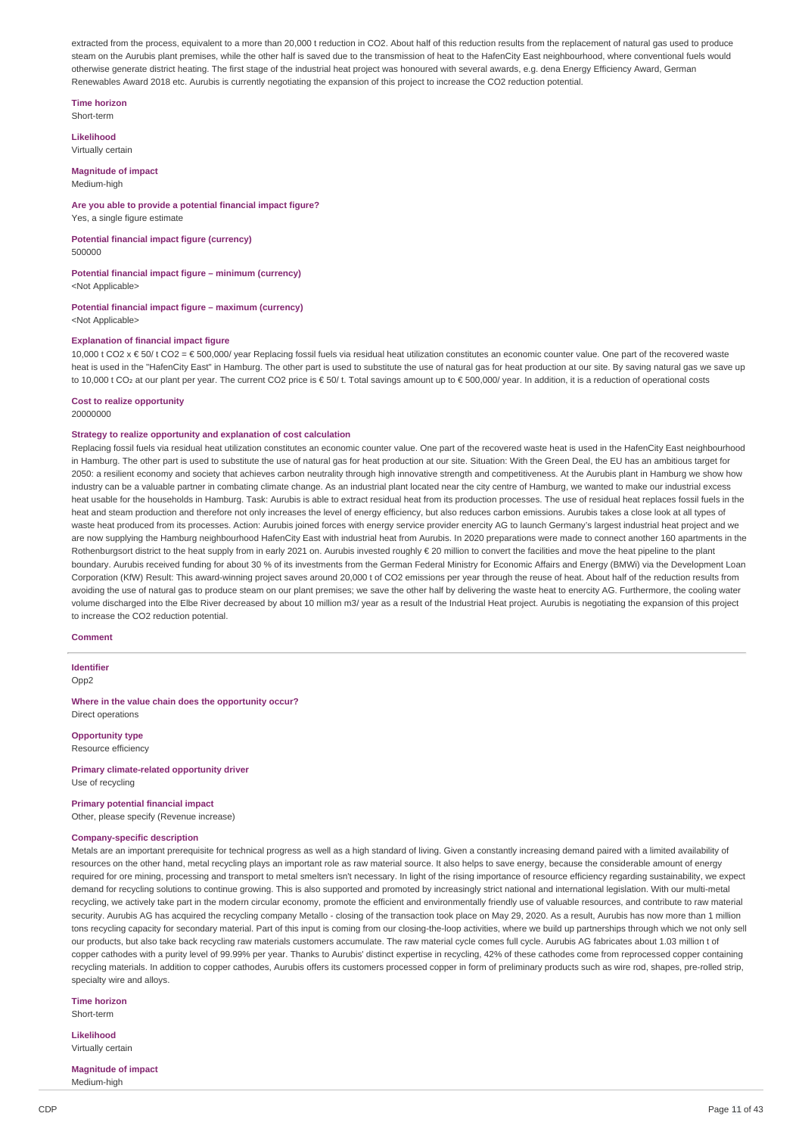extracted from the process, equivalent to a more than 20,000 t reduction in CO2. About half of this reduction results from the replacement of natural gas used to produce steam on the Aurubis plant premises, while the other half is saved due to the transmission of heat to the HafenCity East neighbourhood, where conventional fuels would otherwise generate district heating. The first stage of the industrial heat project was honoured with several awards, e.g. dena Energy Efficiency Award, German Renewables Award 2018 etc. Aurubis is currently negotiating the expansion of this project to increase the CO2 reduction potential.

**Time horizon**

Short-term

**Likelihood** Virtually certain

#### **Magnitude of impact** Medium-high

## **Are you able to provide a potential financial impact figure?**

Yes, a single figure estimate

**Potential financial impact figure (currency)** 500000

**Potential financial impact figure – minimum (currency)** <Not Applicable>

# **Potential financial impact figure – maximum (currency)**

<Not Applicable>

## **Explanation of financial impact figure**

 $10,000$  t CO2 x € 50/ t CO2 = € 500,000/ year Replacing fossil fuels via residual heat utilization constitutes an economic counter value. One part of the recovered waste heat is used in the "HafenCity East" in Hamburg. The other part is used to substitute the use of natural gas for heat production at our site. By saving natural gas we save up to 10,000 t CO2 at our plant per year. The current CO2 price is € 50/ t. Total savings amount up to € 500,000/ year. In addition, it is a reduction of operational costs

## **Cost to realize opportunity**

20000000

## **Strategy to realize opportunity and explanation of cost calculation**

Replacing fossil fuels via residual heat utilization constitutes an economic counter value. One part of the recovered waste heat is used in the HafenCity East neighbourhood in Hamburg. The other part is used to substitute the use of natural gas for heat production at our site. Situation: With the Green Deal, the EU has an ambitious target for 2050: a resilient economy and society that achieves carbon neutrality through high innovative strength and competitiveness. At the Aurubis plant in Hamburg we show how industry can be a valuable partner in combating climate change. As an industrial plant located near the city centre of Hamburg, we wanted to make our industrial excess heat usable for the households in Hamburg. Task: Aurubis is able to extract residual heat from its production processes. The use of residual heat replaces fossil fuels in the heat and steen production and therefore not only increases the level of energy efficiency, but also reduces carbon emissions. Aurubis takes a close look at all types of waste heat produced from its processes. Action: Aurubis joined forces with energy service provider enercity AG to launch Germany's largest industrial heat project and we are now supplying the Hamburg neighbourhood HafenCity East with industrial heat from Aurubis. In 2020 preparations were made to connect another 160 apartments in the Rothenburgsort district to the heat supply from in early 2021 on. Aurubis invested roughly € 20 million to convert the facilities and move the heat pipeline to the plant boundary. Aurubis received funding for about 30 % of its investments from the German Federal Ministry for Economic Affairs and Energy (BMWi) via the Development Loan Corporation (KfW) Result: This award-winning project saves around 20,000 t of CO2 emissions per year through the reuse of heat. About half of the reduction results from avoiding the use of natural gas to produce steam on our plant premises; we save the other half by delivering the waste heat to enercity AG. Furthermore, the cooling water volume discharged into the Elbe River decreased by about 10 million m3/ year as a result of the Industrial Heat project. Aurubis is negotiating the expansion of this project to increase the CO2 reduction potential.

#### **Comment**

**Identifier** Opp<sub>2</sub>

**Where in the value chain does the opportunity occur?** Direct operations

**Opportunity type** Resource efficiency

**Primary climate-related opportunity driver** Use of recycling

# **Primary potential financial impact**

Other, please specify (Revenue increase)

## **Company-specific description**

Metals are an important prerequisite for technical progress as well as a high standard of living. Given a constantly increasing demand paired with a limited availability of resources on the other hand, metal recycling plays an important role as raw material source. It also helps to save energy, because the considerable amount of energy required for ore mining, processing and transport to metal smelters isn't necessary. In light of the rising importance of resource efficiency regarding sustainability, we expect demand for recycling solutions to continue growing. This is also supported and promoted by increasingly strict national and international legislation. With our multi-metal recycling, we actively take part in the modern circular economy, promote the efficient and environmentally friendly use of valuable resources, and contribute to raw material security. Aurubis AG has acquired the recycling company Metallo - closing of the transaction took place on May 29, 2020. As a result, Aurubis has now more than 1 million tons recycling capacity for secondary material. Part of this input is coming from our closing-the-loop activities, where we build up partnerships through which we not only sell our products, but also take back recycling raw materials customers accumulate. The raw material cycle comes full cycle. Aurubis AG fabricates about 1.03 million t of copper cathodes with a purity level of 99.99% per year. Thanks to Aurubis' distinct expertise in recycling, 42% of these cathodes come from reprocessed copper containing recycling materials. In addition to copper cathodes, Aurubis offers its customers processed copper in form of preliminary products such as wire rod, shapes, pre-rolled strip, specialty wire and alloys.

**Time horizon** Short-term

**Likelihood**

Virtually certain

**Magnitude of impact** Medium-high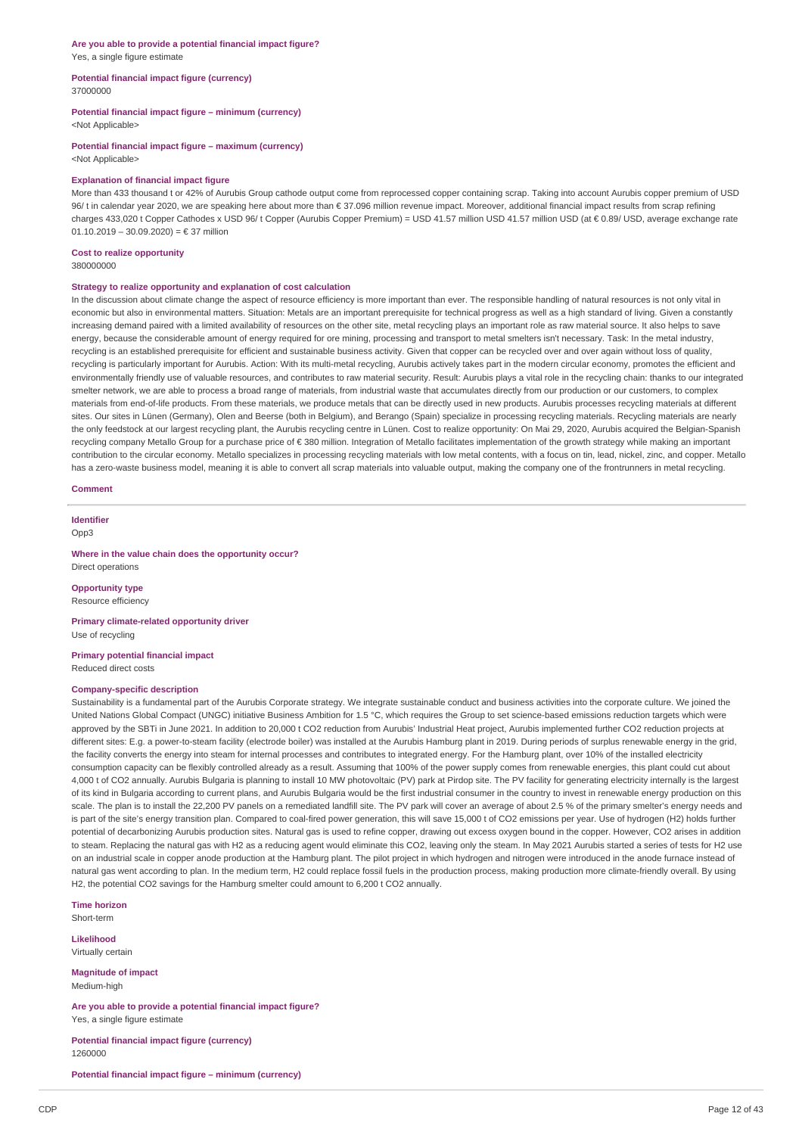#### **Are you able to provide a potential financial impact figure?** Yes, a single figure estimate

#### **Potential financial impact figure (currency)** 37000000

# **Potential financial impact figure – minimum (currency)**

<Not Applicable>

**Potential financial impact figure – maximum (currency)** <Not Applicable>

#### **Explanation of financial impact figure**

More than 433 thousand t or 42% of Aurubis Group cathode output come from reprocessed copper containing scrap. Taking into account Aurubis copper premium of USD 96/ t in calendar year 2020, we are speaking here about more than € 37.096 million revenue impact. Moreover, additional financial impact results from scrap refining charges 433,020 t Copper Cathodes x USD 96/ t Copper (Aurubis Copper Premium) = USD 41.57 million USD 41.57 million USD (at € 0.89/ USD, average exchange rate 01.10.2019 – 30.09.2020) = € 37 million

# **Cost to realize opportunity**

380000000

#### **Strategy to realize opportunity and explanation of cost calculation**

In the discussion about climate change the aspect of resource efficiency is more important than ever. The responsible handling of natural resources is not only vital in economic but also in environmental matters. Situation: Metals are an important prerequisite for technical progress as well as a high standard of living. Given a constantly increasing demand paired with a limited availability of resources on the other site, metal recycling plays an important role as raw material source. It also helps to save energy, because the considerable amount of energy required for ore mining, processing and transport to metal smelters isn't necessary. Task: In the metal industry, recycling is an established prerequisite for efficient and sustainable business activity. Given that copper can be recycled over and over again without loss of quality, recycling is particularly important for Aurubis. Action: With its multi-metal recycling, Aurubis actively takes part in the modern circular economy, promotes the efficient and environmentally friendly use of valuable resources, and contributes to raw material security. Result: Aurubis plays a vital role in the recycling chain: thanks to our integrated smelter network, we are able to process a broad range of materials, from industrial waste that accumulates directly from our production or our customers, to complex materials from end-of-life products. From these materials, we produce metals that can be directly used in new products. Aurubis processes recycling materials at different sites. Our sites in Lünen (Germany), Olen and Beerse (both in Belgium), and Berango (Spain) specialize in processing recycling materials. Recycling materials are nearly the only feedstock at our largest recycling plant, the Aurubis recycling centre in Lünen. Cost to realize opportunity: On Mai 29, 2020, Aurubis acquired the Belgian-Spanish recycling company Metallo Group for a purchase price of € 380 million. Integration of Metallo facilitates implementation of the growth strategy while making an important contribution to the circular economy. Metallo specializes in processing recycling materials with low metal contents, with a focus on tin, lead, nickel, zinc, and copper. Metallo has a zero-waste business model, meaning it is able to convert all scrap materials into valuable output, making the company one of the frontrunners in metal recycling.

#### **Comment**

**Identifier** Opp3

**Where in the value chain does the opportunity occur?** Direct operations

**Opportunity type** Resource efficiency

**Primary climate-related opportunity driver** Use of recycling

**Primary potential financial impact** Reduced direct costs

#### **Company-specific description**

Sustainability is a fundamental part of the Aurubis Corporate strategy. We integrate sustainable conduct and business activities into the corporate culture. We joined the United Nations Global Compact (UNGC) initiative Business Ambition for 1.5 °C, which requires the Group to set science-based emissions reduction targets which were approved by the SBTi in June 2021. In addition to 20,000 t CO2 reduction from Aurubis' Industrial Heat project, Aurubis implemented further CO2 reduction projects at different sites: E.g. a power-to-steam facility (electrode boiler) was installed at the Aurubis Hamburg plant in 2019. During periods of surplus renewable energy in the grid, the facility converts the energy into steam for internal processes and contributes to integrated energy. For the Hamburg plant, over 10% of the installed electricity consumption capacity can be flexibly controlled already as a result. Assuming that 100% of the power supply comes from renewable energies, this plant could cut about 4,000 t of CO2 annually. Aurubis Bulgaria is planning to install 10 MW photovoltaic (PV) park at Pirdop site. The PV facility for generating electricity internally is the largest of its kind in Bulgaria according to current plans, and Aurubis Bulgaria would be the first industrial consumer in the country to invest in renewable energy production on this scale. The plan is to install the 22,200 PV panels on a remediated landfill site. The PV park will cover an average of about 2.5 % of the primary smelter's energy needs and is part of the site's energy transition plan. Compared to coal-fired power generation, this will save 15,000 t of CO2 emissions per year. Use of hydrogen (H2) holds further potential of decarbonizing Aurubis production sites. Natural gas is used to refine copper, drawing out excess oxygen bound in the copper. However, CO2 arises in addition to steam. Replacing the natural gas with H2 as a reducing agent would eliminate this CO2, leaving only the steam. In May 2021 Aurubis started a series of tests for H2 use on an industrial scale in copper anode production at the Hamburg plant. The pilot project in which hydrogen and nitrogen were introduced in the anode furnace instead of natural gas went according to plan. In the medium term, H2 could replace fossil fuels in the production process, making production more climate-friendly overall. By using H2, the potential CO2 savings for the Hamburg smelter could amount to 6,200 t CO2 annually.

**Time horizon** Short-term

**Likelihood** Virtually certain

Medium-high

**Magnitude of impact**

**Are you able to provide a potential financial impact figure?** Yes, a single figure estimate

**Potential financial impact figure (currency)** 1260000

**Potential financial impact figure – minimum (currency)**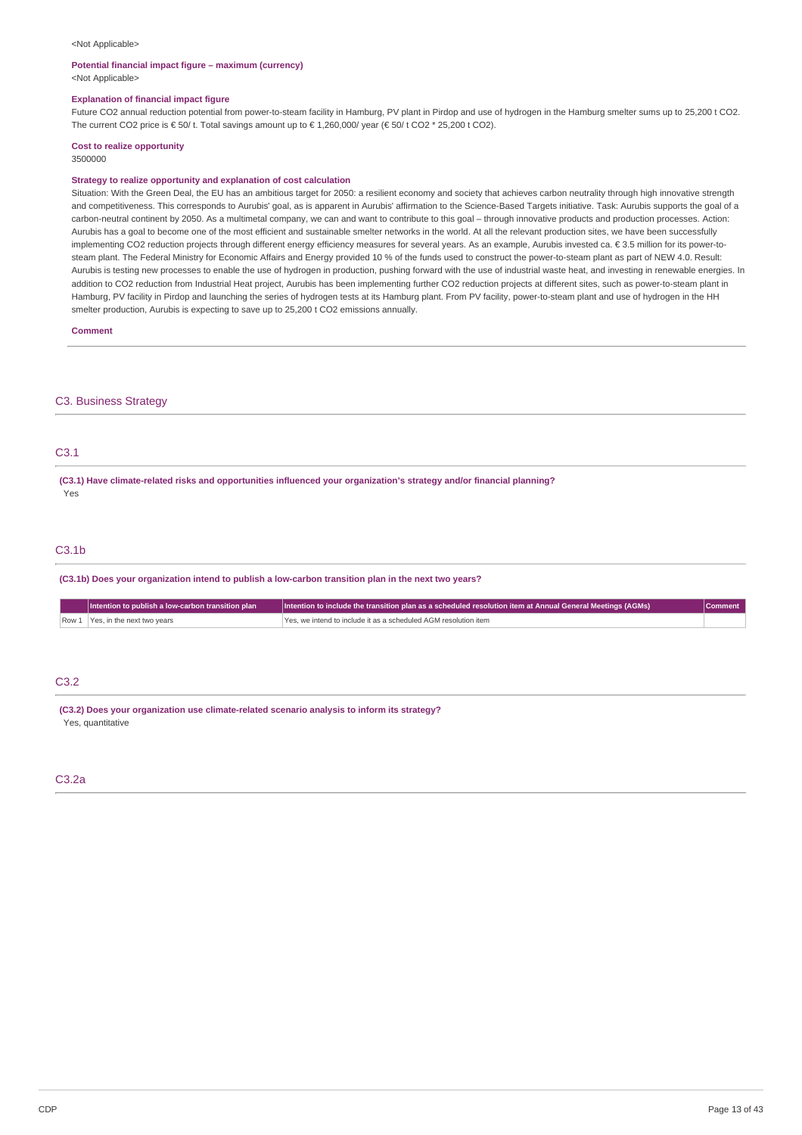#### <Not Applicable>

#### **Potential financial impact figure – maximum (currency)**

<Not Applicable>

## **Explanation of financial impact figure**

Future CO2 annual reduction potential from power-to-steam facility in Hamburg, PV plant in Pirdop and use of hydrogen in the Hamburg smelter sums up to 25,200 t CO2. The current CO2 price is € 50/ t. Total savings amount up to € 1,260,000/ year (€ 50/ t CO2 \* 25,200 t CO2).

#### **Cost to realize opportunity** 3500000

#### **Strategy to realize opportunity and explanation of cost calculation**

Situation: With the Green Deal, the EU has an ambitious target for 2050: a resilient economy and society that achieves carbon neutrality through high innovative strength and competitiveness. This corresponds to Aurubis' goal, as is apparent in Aurubis' affirmation to the Science-Based Targets initiative. Task: Aurubis supports the goal of a carbon-neutral continent by 2050. As a multimetal company, we can and want to contribute to this goal – through innovative products and production processes. Action: Aurubis has a goal to become one of the most efficient and sustainable smelter networks in the world. At all the relevant production sites, we have been successfully implementing CO2 reduction projects through different energy efficiency measures for several years. As an example, Aurubis invested ca. € 3.5 million for its power-tosteam plant. The Federal Ministry for Economic Affairs and Energy provided 10 % of the funds used to construct the power-to-steam plant as part of NEW 4.0. Result: Aurubis is testing new processes to enable the use of hydrogen in production, pushing forward with the use of industrial waste heat, and investing in renewable energies. In addition to CO2 reduction from Industrial Heat project, Aurubis has been implementing further CO2 reduction projects at different sites, such as power-to-steam plant in Hamburg, PV facility in Pirdop and launching the series of hydrogen tests at its Hamburg plant. From PV facility, power-to-steam plant and use of hydrogen in the HH smelter production, Aurubis is expecting to save up to 25,200 t CO2 emissions annually.

**Comment**

#### C3. Business Strategy

## C3.1

**(C3.1) Have climate-related risks and opportunities influenced your organization's strategy and/or financial planning?** Yes

## C3.1b

**(C3.1b) Does your organization intend to publish a low-carbon transition plan in the next two years?**

| Intention to publish a low-carbon transition plan | Intention to include the transition plan as a scheduled resolution item at Annual General Meetings (AGMs) |  |
|---------------------------------------------------|-----------------------------------------------------------------------------------------------------------|--|
| Row 1 Yes, in the next two years                  | I Yes, we intend to include it as a scheduled AGM resolution item                                         |  |

## C3.2

**(C3.2) Does your organization use climate-related scenario analysis to inform its strategy?** Yes, quantitative

## C3.2a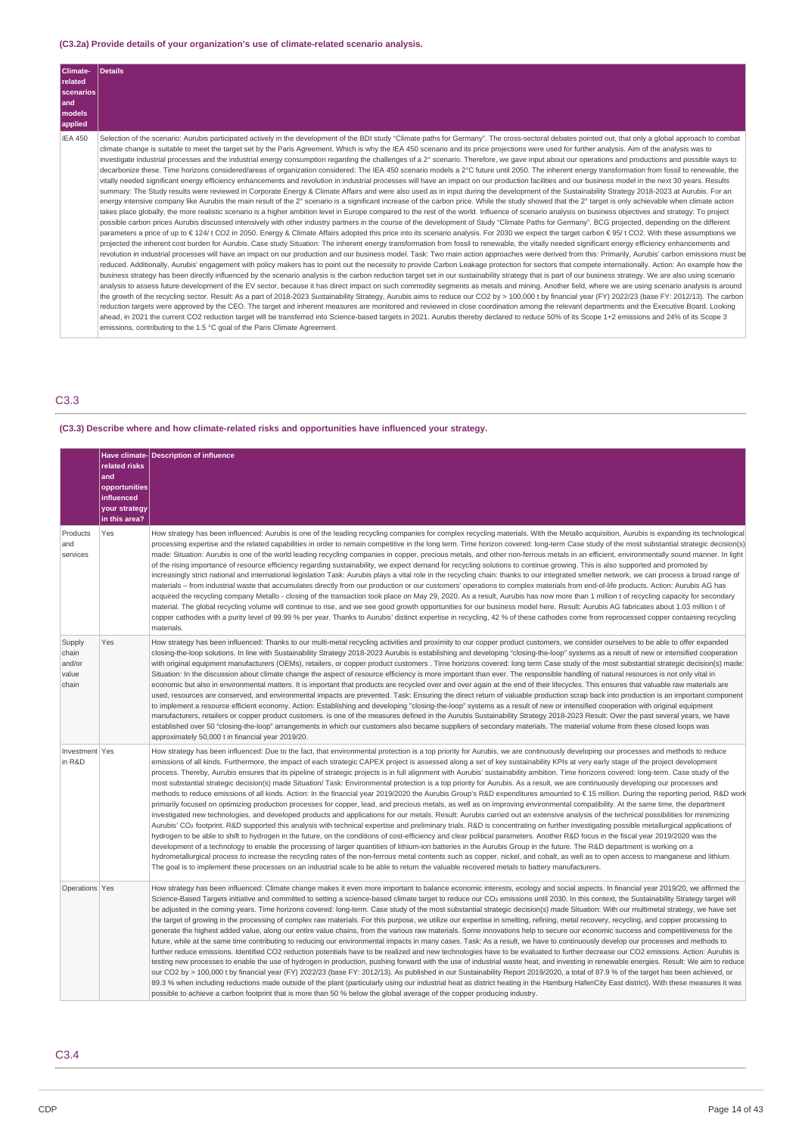# **(C3.2a) Provide details of your organization's use of climate-related scenario analysis.**

| Climate-<br>related<br>scenarios<br>and<br>models<br>applied | Details                                                                                                                                                                                                                                                                                                                                                                                                                                                                                                                                                                                                                                                                                                                                                                                                                                                                                                                                                                                                                                                                                                                                                                                                                                                                                                                                                                                                                                                                                                                                                                                                                                                                                                                                                                                                                                                                                                                                                                                                                                                                                                                                                                                                                                                                                                                                                                                                                                                                                                                                                                                                                                                                                                                                                                                                                                                                                                                                                                                                                                                                                                                                                                                                                                                                                                                                                                                                                                                                                                                                                                                                                                                                                                                                                                                                                       |
|--------------------------------------------------------------|-------------------------------------------------------------------------------------------------------------------------------------------------------------------------------------------------------------------------------------------------------------------------------------------------------------------------------------------------------------------------------------------------------------------------------------------------------------------------------------------------------------------------------------------------------------------------------------------------------------------------------------------------------------------------------------------------------------------------------------------------------------------------------------------------------------------------------------------------------------------------------------------------------------------------------------------------------------------------------------------------------------------------------------------------------------------------------------------------------------------------------------------------------------------------------------------------------------------------------------------------------------------------------------------------------------------------------------------------------------------------------------------------------------------------------------------------------------------------------------------------------------------------------------------------------------------------------------------------------------------------------------------------------------------------------------------------------------------------------------------------------------------------------------------------------------------------------------------------------------------------------------------------------------------------------------------------------------------------------------------------------------------------------------------------------------------------------------------------------------------------------------------------------------------------------------------------------------------------------------------------------------------------------------------------------------------------------------------------------------------------------------------------------------------------------------------------------------------------------------------------------------------------------------------------------------------------------------------------------------------------------------------------------------------------------------------------------------------------------------------------------------------------------------------------------------------------------------------------------------------------------------------------------------------------------------------------------------------------------------------------------------------------------------------------------------------------------------------------------------------------------------------------------------------------------------------------------------------------------------------------------------------------------------------------------------------------------------------------------------------------------------------------------------------------------------------------------------------------------------------------------------------------------------------------------------------------------------------------------------------------------------------------------------------------------------------------------------------------------------------------------------------------------------------------------------------------------|
| <b>IEA 450</b>                                               | Selection of the scenario: Aurubis participated actively in the development of the BDI study "Climate paths for Germany". The cross-sectoral debates pointed out, that only a global approach to combat<br>climate change is suitable to meet the target set by the Paris Agreement. Which is why the IEA 450 scenario and its price projections were used for further analysis. Aim of the analysis was to<br>investigate industrial processes and the industrial energy consumption regarding the challenges of a 2° scenario. Therefore, we gave input about our operations and productions and possible ways to<br>decarbonize these. Time horizons considered/areas of organization considered: The IEA 450 scenario models a 2°C future until 2050. The inherent energy transformation from fossil to renewable, the<br>vitally needed significant energy efficiency enhancements and revolution in industrial processes will have an impact on our production facilities and our business model in the next 30 years. Results<br>summary: The Study results were reviewed in Corporate Energy & Climate Affairs and were also used as in input during the development of the Sustainability Strategy 2018-2023 at Aurubis. For an<br>energy intensive company like Aurubis the main result of the 2° scenario is a significant increase of the carbon price. While the study showed that the 2° target is only achievable when climate action<br>takes place globally, the more realistic scenario is a higher ambition level in Europe compared to the rest of the world. Influence of scenario analysis on business objectives and strategy: To project<br>possible carbon prices Aurubis discussed intensively with other industry partners in the course of the development of Study "Climate Paths for Germany". BCG projected, depending on the different<br>parameters a price of up to € 124/t CO2 in 2050. Energy & Climate Affairs adopted this price into its scenario analysis. For 2030 we expect the target carbon € 95/t CO2. With these assumptions we<br>projected the inherent cost burden for Aurubis. Case study Situation: The inherent energy transformation from fossil to renewable, the vitally needed significant energy efficiency enhancements and<br>revolution in industrial processes will have an impact on our production and our business model. Task: Two main action approaches were derived from this: Primarily, Aurubis' carbon emissions must be<br>reduced. Additionally, Aurubis' engagement with policy makers has to point out the necessity to provide Carbon Leakage protection for sectors that compete internationally. Action: An example how the<br>business strategy has been directly influenced by the scenario analysis is the carbon reduction target set in our sustainability strategy that is part of our business strategy. We are also using scenario<br>analysis to assess future development of the EV sector, because it has direct impact on such commodity segments as metals and mining. Another field, where we are using scenario analysis is around<br>the growth of the recycling sector. Result: As a part of 2018-2023 Sustainability Strategy, Aurubis aims to reduce our CO2 by > 100,000 t by financial year (FY) 2022/23 (base FY: 2012/13). The carbon<br>reduction targets were approved by the CEO. The target and inherent measures are monitored and reviewed in close coordination among the relevant departments and the Executive Board. Looking<br>ahead, in 2021 the current CO2 reduction target will be transferred into Science-based targets in 2021. Aurubis thereby declared to reduce 50% of its Scope 1+2 emissions and 24% of its Scope 3<br>emissions, contributing to the 1.5 °C goal of the Paris Climate Agreement. |

# C3.3

**(C3.3) Describe where and how climate-related risks and opportunities have influenced your strategy.**

|                                             | related risks<br>and<br>opportunities<br>influenced<br>your strategy<br>in this area? | Have climate- Description of influence                                                                                                                                                                                                                                                                                                                                                                                                                                                                                                                                                                                                                                                                                                                                                                                                                                                                                                                                                                                                                                                                                                                                                                                                                                                                                                                                                                                                                                                                                                                                                                                                                                                                                                                                                                                                                                                                                                                                                                                                                                                                                                                                                                                                                   |
|---------------------------------------------|---------------------------------------------------------------------------------------|----------------------------------------------------------------------------------------------------------------------------------------------------------------------------------------------------------------------------------------------------------------------------------------------------------------------------------------------------------------------------------------------------------------------------------------------------------------------------------------------------------------------------------------------------------------------------------------------------------------------------------------------------------------------------------------------------------------------------------------------------------------------------------------------------------------------------------------------------------------------------------------------------------------------------------------------------------------------------------------------------------------------------------------------------------------------------------------------------------------------------------------------------------------------------------------------------------------------------------------------------------------------------------------------------------------------------------------------------------------------------------------------------------------------------------------------------------------------------------------------------------------------------------------------------------------------------------------------------------------------------------------------------------------------------------------------------------------------------------------------------------------------------------------------------------------------------------------------------------------------------------------------------------------------------------------------------------------------------------------------------------------------------------------------------------------------------------------------------------------------------------------------------------------------------------------------------------------------------------------------------------|
| Products<br>and<br>services                 | <b>Yes</b>                                                                            | How strategy has been influenced: Aurubis is one of the leading recycling companies for complex recycling materials. With the Metallo acquisition, Aurubis is expanding its technological<br>processing expertise and the related capabilities in order to remain competitive in the long term. Time horizon covered: long-term Case study of the most substantial strategic decision(s)<br>made: Situation: Aurubis is one of the world leading recycling companies in copper, precious metals, and other non-ferrous metals in an efficient, environmentally sound manner. In light<br>of the rising importance of resource efficiency regarding sustainability, we expect demand for recycling solutions to continue growing. This is also supported and promoted by<br>increasingly strict national and international legislation Task: Aurubis plays a vital role in the recycling chain: thanks to our integrated smelter network, we can process a broad range of<br>materials - from industrial waste that accumulates directly from our production or our customers' operations to complex materials from end-of-life products. Action: Aurubis AG has<br>acquired the recycling company Metallo - closing of the transaction took place on May 29, 2020. As a result, Aurubis has now more than 1 million t of recycling capacity for secondary<br>material. The global recycling volume will continue to rise, and we see good growth opportunities for our business model here. Result: Aurubis AG fabricates about 1.03 million t of<br>copper cathodes with a purity level of 99.99 % per year. Thanks to Aurubis' distinct expertise in recycling, 42 % of these cathodes come from reprocessed copper containing recycling<br>materials.                                                                                                                                                                                                                                                                                                                                                                                                                                                                                                 |
| Supply<br>chain<br>and/or<br>value<br>chain | Yes                                                                                   | How strategy has been influenced: Thanks to our multi-metal recycling activities and proximity to our copper product customers, we consider ourselves to be able to offer expanded<br>closing-the-loop solutions. In line with Sustainability Strategy 2018-2023 Aurubis is establishing and developing "closing-the-loop" systems as a result of new or intensified cooperation<br>with original equipment manufacturers (OEMs), retailers, or copper product customers . Time horizons covered: long term Case study of the most substantial strategic decision(s) made:<br>Situation: In the discussion about climate change the aspect of resource efficiency is more important than ever. The responsible handling of natural resources is not only vital in<br>economic but also in environmental matters. It is important that products are recycled over and over again at the end of their lifecycles. This ensures that valuable raw materials are<br>used, resources are conserved, and environmental impacts are prevented. Task: Ensuring the direct return of valuable production scrap back into production is an important component<br>to implement a resource efficient economy. Action: Establishing and developing "closing-the-loop" systems as a result of new or intensified cooperation with original equipment<br>manufacturers, retailers or copper product customers. is one of the measures defined in the Aurubis Sustainability Strategy 2018-2023 Result: Over the past several years, we have<br>established over 50 "closing-the-loop" arrangements in which our customers also became suppliers of secondary materials. The material volume from these closed loops was<br>approximately 50,000 t in financial year 2019/20.                                                                                                                                                                                                                                                                                                                                                                                                                                                                                           |
| Investment Yes<br>in R&D                    |                                                                                       | How strategy has been influenced: Due to the fact, that environmental protection is a top priority for Aurubis, we are continuously developing our processes and methods to reduce<br>emissions of all kinds. Furthermore, the impact of each strategic CAPEX project is assessed along a set of key sustainability KPIs at very early stage of the project development<br>process. Thereby, Aurubis ensures that its pipeline of strategic projects is in full alignment with Aurubis' sustainability ambition. Time horizons covered: long-term. Case study of the<br>most substantial strategic decision(s) made Situation/ Task: Environmental protection is a top priority for Aurubis. As a result, we are continuously developing our processes and<br>methods to reduce emissions of all kinds. Action: In the financial year 2019/2020 the Aurubis Group's R&D expenditures amounted to € 15 million. During the reporting period, R&D work<br>primarily focused on optimizing production processes for copper, lead, and precious metals, as well as on improving environmental compatibility. At the same time, the department<br>investigated new technologies, and developed products and applications for our metals. Result: Aurubis carried out an extensive analysis of the technical possibilities for minimizing<br>Aurubis' CO <sub>2</sub> footprint. R&D supported this analysis with technical expertise and preliminary trials. R&D is concentrating on further investigating possible metallurgical applications of<br>hydrogen to be able to shift to hydrogen in the future, on the conditions of cost-efficiency and clear political parameters. Another R&D focus in the fiscal year 2019/2020 was the<br>development of a technology to enable the processing of larger quantities of lithium-ion batteries in the Aurubis Group in the future. The R&D department is working on a<br>hydrometallurgical process to increase the recycling rates of the non-ferrous metal contents such as copper, nickel, and cobalt, as well as to open access to manganese and lithium.<br>The goal is to implement these processes on an industrial scale to be able to return the valuable recovered metals to battery manufacturers. |
| Operations Yes                              |                                                                                       | How strategy has been influenced: Climate change makes it even more important to balance economic interests, ecology and social aspects. In financial year 2019/20, we affirmed the<br>Science-Based Targets initiative and committed to setting a science-based climate target to reduce our CO <sub>2</sub> emissions until 2030. In this context, the Sustainability Strategy target will<br>be adjusted in the coming years. Time horizons covered: long-term. Case study of the most substantial strategic decision(s) made Situation: With our multimetal strategy, we have set<br>the target of growing in the processing of complex raw materials. For this purpose, we utilize our expertise in smelting, refining, metal recovery, recycling, and copper processing to<br>generate the highest added value, along our entire value chains, from the various raw materials. Some innovations help to secure our economic success and competitiveness for the<br>future, while at the same time contributing to reducing our environmental impacts in many cases. Task: As a result, we have to continuously develop our processes and methods to<br>further reduce emissions. Identified CO2 reduction potentials have to be realized and new technologies have to be evaluated to further decrease our CO2 emissions. Action: Aurubis is<br>testing new processes to enable the use of hydrogen in production, pushing forward with the use of industrial waste heat, and investing in renewable energies. Result: We aim to reduce<br>our CO2 by > 100,000 t by financial year (FY) 2022/23 (base FY: 2012/13). As published in our Sustainability Report 2019/2020, a total of 87.9 % of the target has been achieved, or<br>89.3 % when including reductions made outside of the plant (particularly using our industrial heat as district heating in the Hamburg HafenCity East district). With these measures it was<br>possible to achieve a carbon footprint that is more than 50 % below the global average of the copper producing industry.                                                                                                                                                                                          |

# C3.4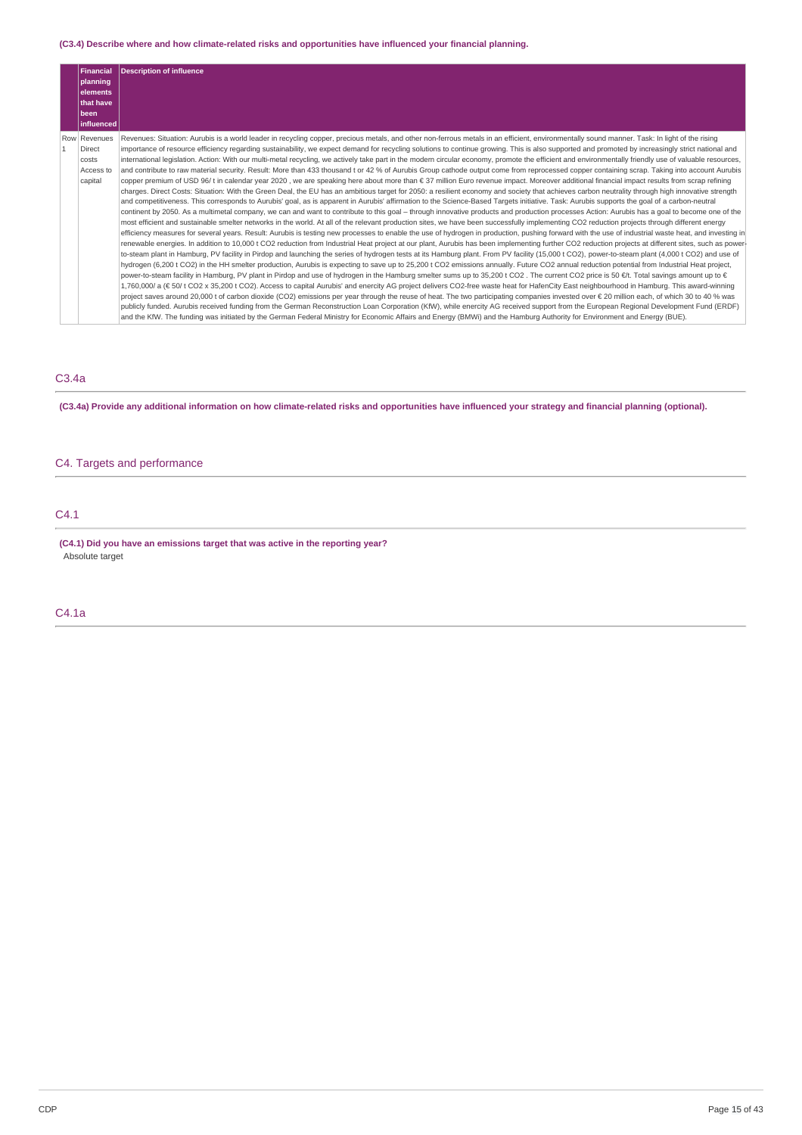## **(C3.4) Describe where and how climate-related risks and opportunities have influenced your financial planning.**

| Financial                                               | <b>Description of influence</b>                                                                                                                                                                                                                                                                                                                                                                                                                                                                                                                                                                                                                                                                                                                                                                                                                                                                                                                                                                                                                                                                                                                                                                                                                                                                                                                                                                                                                                                                                                                                                                                                                                                                                                                                                                                |
|---------------------------------------------------------|----------------------------------------------------------------------------------------------------------------------------------------------------------------------------------------------------------------------------------------------------------------------------------------------------------------------------------------------------------------------------------------------------------------------------------------------------------------------------------------------------------------------------------------------------------------------------------------------------------------------------------------------------------------------------------------------------------------------------------------------------------------------------------------------------------------------------------------------------------------------------------------------------------------------------------------------------------------------------------------------------------------------------------------------------------------------------------------------------------------------------------------------------------------------------------------------------------------------------------------------------------------------------------------------------------------------------------------------------------------------------------------------------------------------------------------------------------------------------------------------------------------------------------------------------------------------------------------------------------------------------------------------------------------------------------------------------------------------------------------------------------------------------------------------------------------|
| planning<br>lelements                                   |                                                                                                                                                                                                                                                                                                                                                                                                                                                                                                                                                                                                                                                                                                                                                                                                                                                                                                                                                                                                                                                                                                                                                                                                                                                                                                                                                                                                                                                                                                                                                                                                                                                                                                                                                                                                                |
| that have                                               |                                                                                                                                                                                                                                                                                                                                                                                                                                                                                                                                                                                                                                                                                                                                                                                                                                                                                                                                                                                                                                                                                                                                                                                                                                                                                                                                                                                                                                                                                                                                                                                                                                                                                                                                                                                                                |
| <b>Ibeen</b>                                            |                                                                                                                                                                                                                                                                                                                                                                                                                                                                                                                                                                                                                                                                                                                                                                                                                                                                                                                                                                                                                                                                                                                                                                                                                                                                                                                                                                                                                                                                                                                                                                                                                                                                                                                                                                                                                |
| linfluenced                                             |                                                                                                                                                                                                                                                                                                                                                                                                                                                                                                                                                                                                                                                                                                                                                                                                                                                                                                                                                                                                                                                                                                                                                                                                                                                                                                                                                                                                                                                                                                                                                                                                                                                                                                                                                                                                                |
| Row Revenues<br>Direct<br>costs<br>Access to<br>capital | Revenues: Situation: Aurubis is a world leader in recycling copper, precious metals, and other non-ferrous metals in an efficient, environmentally sound manner. Task: In light of the rising<br>importance of resource efficiency regarding sustainability, we expect demand for recycling solutions to continue growing. This is also supported and promoted by increasingly strict national and<br>international legislation. Action: With our multi-metal recycling, we actively take part in the modern circular economy, promote the efficient and environmentally friendly use of valuable resources,<br>and contribute to raw material security. Result: More than 433 thousand t or 42 % of Aurubis Group cathode output come from reprocessed copper containing scrap. Taking into account Aurubis<br>copper premium of USD 96/t in calendar year 2020, we are speaking here about more than € 37 million Euro revenue impact. Moreover additional financial impact results from scrap refining<br>charges. Direct Costs: Situation: With the Green Deal, the EU has an ambitious target for 2050: a resilient economy and society that achieves carbon neutrality through high innovative strength<br>and competitiveness. This corresponds to Aurubis' goal, as is apparent in Aurubis' affirmation to the Science-Based Targets initiative. Task: Aurubis supports the goal of a carbon-neutral<br>continent by 2050. As a multimetal company, we can and want to contribute to this goal - through innovative products and production processes Action: Aurubis has a goal to become one of the<br>most efficient and sustainable smelter networks in the world. At all of the relevant production sites, we have been successfully implementing CO2 reduction projects through different energy |
|                                                         | efficiency measures for several years. Result: Aurubis is testing new processes to enable the use of hydrogen in production, pushing forward with the use of industrial waste heat, and investing in<br>renewable energies. In addition to 10,000 t CO2 reduction from Industrial Heat project at our plant, Aurubis has been implementing further CO2 reduction projects at different sites, such as power-<br>to-steam plant in Hamburg, PV facility in Pirdop and launching the series of hydrogen tests at its Hamburg plant. From PV facility (15,000 t CO2), power-to-steam plant (4,000 t CO2) and use of<br>hydrogen (6,200 t CO2) in the HH smelter production, Aurubis is expecting to save up to 25,200 t CO2 emissions annually. Future CO2 annual reduction potential from Industrial Heat project,<br>power-to-steam facility in Hamburg, PV plant in Pirdop and use of hydrogen in the Hamburg smelter sums up to 35,200 t CO2. The current CO2 price is 50 €/t. Total savings amount up to €<br>1,760,000/ a (€ 50/t CO2 x 35,200 t CO2). Access to capital Aurubis' and enercity AG project delivers CO2-free waste heat for HafenCity East neighbourhood in Hamburg. This award-winning<br>project saves around 20,000 t of carbon dioxide (CO2) emissions per year through the reuse of heat. The two participating companies invested over € 20 million each, of which 30 to 40 % was<br>publicly funded. Aurubis received funding from the German Reconstruction Loan Corporation (KfW), while enercity AG received support from the European Regional Development Fund (ERDF)<br>and the KfW. The funding was initiated by the German Federal Ministry for Economic Affairs and Energy (BMWi) and the Hamburg Authority for Environment and Energy (BUE).                                |

# C3.4a

(C3.4a) Provide any additional information on how climate-related risks and opportunities have influenced your strategy and financial planning (optional).

# C4. Targets and performance

# C4.1

**(C4.1) Did you have an emissions target that was active in the reporting year?** Absolute target

C4.1a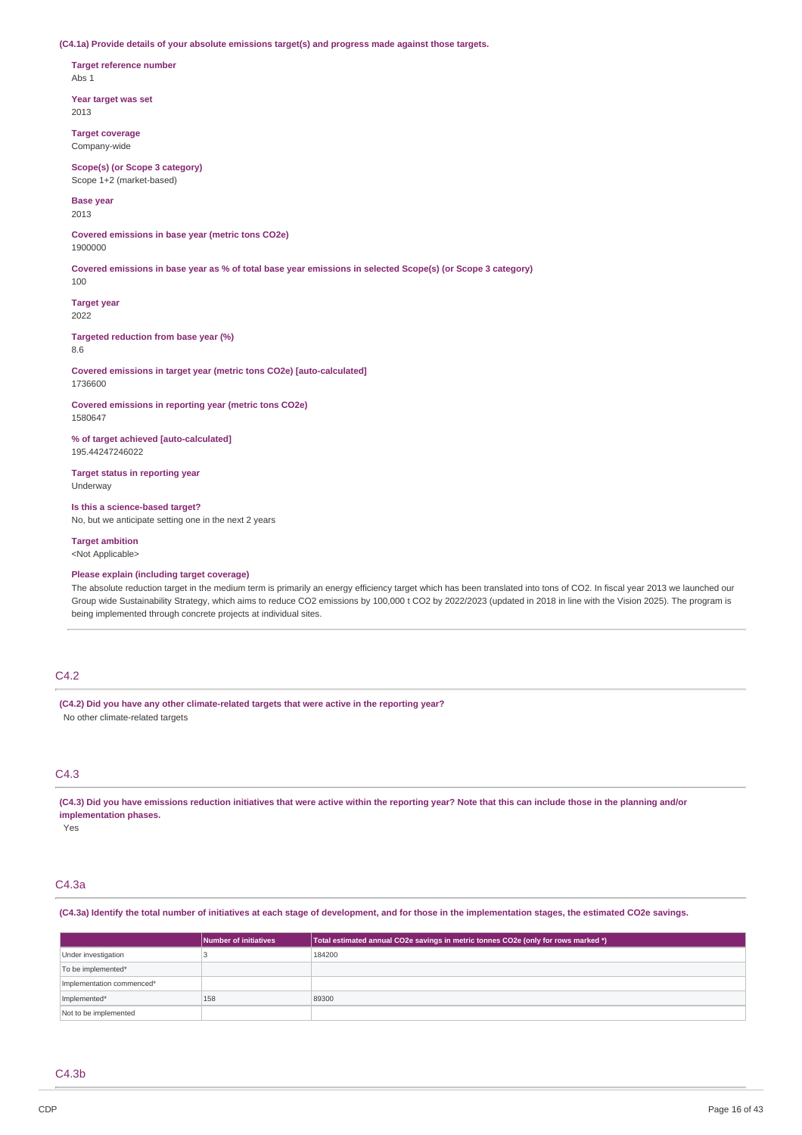**(C4.1a) Provide details of your absolute emissions target(s) and progress made against those targets.**

**Target reference number** Abs 1

**Year target was set** 2013

**Target coverage** Company-wide

**Scope(s) (or Scope 3 category)** Scope 1+2 (market-based)

**Base year**

2013

**Covered emissions in base year (metric tons CO2e)** 1900000

Covered emissions in base year as % of total base year emissions in selected Scope(s) (or Scope 3 category)

**Target year** 2022

100

**Targeted reduction from base year (%)** 8.6

**Covered emissions in target year (metric tons CO2e) [auto-calculated]** 1736600

**Covered emissions in reporting year (metric tons CO2e)** 1580647

**% of target achieved [auto-calculated]** 195.44247246022

**Target status in reporting year** Underway

**Is this a science-based target?** No, but we anticipate setting one in the next 2 years

**Target ambition**

<Not Applicable>

**Please explain (including target coverage)**

The absolute reduction target in the medium term is primarily an energy efficiency target which has been translated into tons of CO2. In fiscal year 2013 we launched our Group wide Sustainability Strategy, which aims to reduce CO2 emissions by 100,000 t CO2 by 2022/2023 (updated in 2018 in line with the Vision 2025). The program is being implemented through concrete projects at individual sites.

# C4.2

**(C4.2) Did you have any other climate-related targets that were active in the reporting year?** No other climate-related targets

## C4.3

(C4.3) Did you have emissions reduction initiatives that were active within the reporting year? Note that this can include those in the planning and/or **implementation phases.**

Yes

## C4.3a

#### (C4.3a) Identify the total number of initiatives at each stage of development, and for those in the implementation stages, the estimated CO2e savings.

|                           | Number of initiatives | Total estimated annual CO2e savings in metric tonnes CO2e (only for rows marked *) |
|---------------------------|-----------------------|------------------------------------------------------------------------------------|
| Under investigation       |                       | 184200                                                                             |
| To be implemented*        |                       |                                                                                    |
| Implementation commenced* |                       |                                                                                    |
| Implemented*              | 158                   | 89300                                                                              |
| Not to be implemented     |                       |                                                                                    |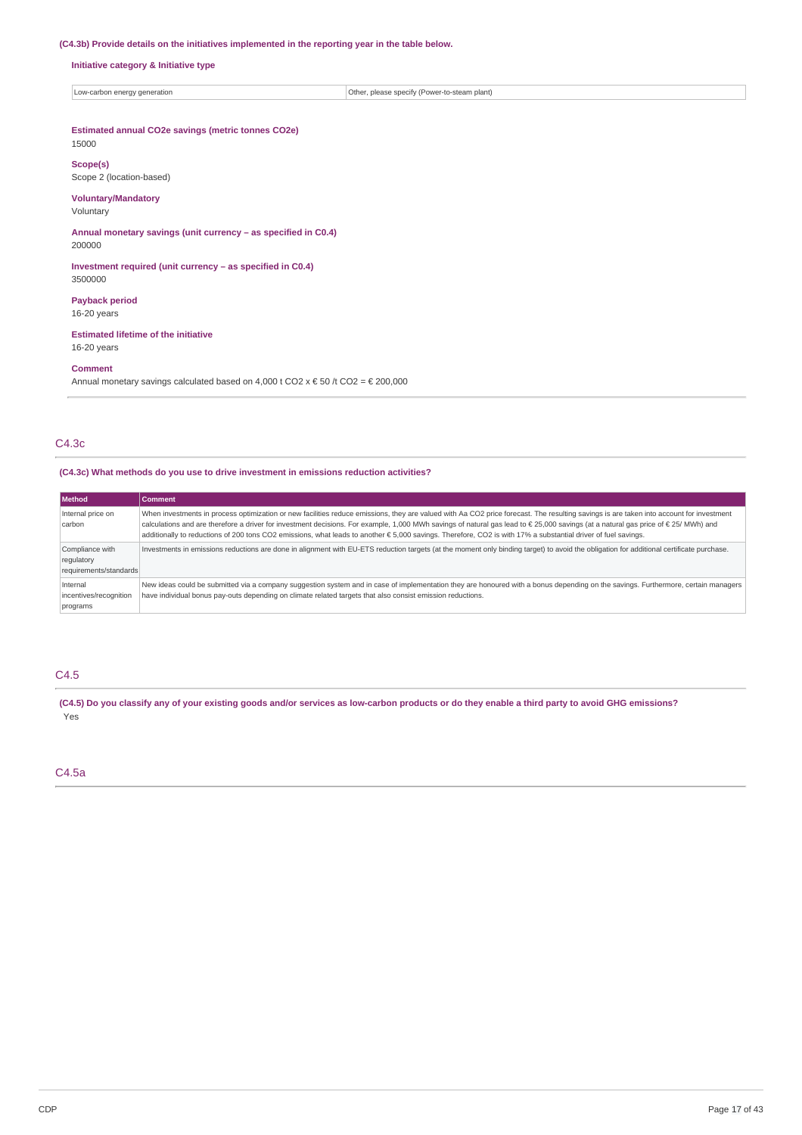## **(C4.3b) Provide details on the initiatives implemented in the reporting year in the table below.**

**Initiative category & Initiative type**

Low-carbon energy generation **Constrainers** of  $\overline{\text{Other}}$ , please specify (Power-to-steam plant)

# **Estimated annual CO2e savings (metric tonnes CO2e)**

# 15000

**Scope(s)** Scope 2 (location-based)

## **Voluntary/Mandatory**

Voluntary

**Annual monetary savings (unit currency – as specified in C0.4)** 200000

**Investment required (unit currency – as specified in C0.4)** 3500000

# **Payback period**

16-20 years

## **Estimated lifetime of the initiative** 16-20 years

# **Comment**

Annual monetary savings calculated based on 4,000 t CO2 x  $\epsilon$  50 /t CO2 =  $\epsilon$  200,000

## C4.3c

## **(C4.3c) What methods do you use to drive investment in emissions reduction activities?**

| <b>Method</b>                                           | <b>Comment</b>                                                                                                                                                                                                                                                                                                                                                                                                                                                                                                                                 |
|---------------------------------------------------------|------------------------------------------------------------------------------------------------------------------------------------------------------------------------------------------------------------------------------------------------------------------------------------------------------------------------------------------------------------------------------------------------------------------------------------------------------------------------------------------------------------------------------------------------|
| Internal price on<br>carbon                             | When investments in process optimization or new facilities reduce emissions, they are valued with Aa CO2 price forecast. The resulting savings is are taken into account for investment<br>calculations and are therefore a driver for investment decisions. For example, 1,000 MWh savings of natural gas lead to € 25,000 savings (at a natural gas price of € 25/ MWh) and<br>additionally to reductions of 200 tons CO2 emissions, what leads to another € 5,000 savings. Therefore, CO2 is with 17% a substantial driver of fuel savings. |
| Compliance with<br>regulatory<br>requirements/standards | Investments in emissions reductions are done in alignment with EU-ETS reduction targets (at the moment only binding target) to avoid the obligation for additional certificate purchase.                                                                                                                                                                                                                                                                                                                                                       |
| Internal<br>incentives/recognition<br>programs          | New ideas could be submitted via a company suggestion system and in case of implementation they are honoured with a bonus depending on the savings. Furthermore, certain managers<br>have individual bonus pay-outs depending on climate related targets that also consist emission reductions.                                                                                                                                                                                                                                                |

# C4.5

(C4.5) Do you classify any of your existing goods and/or services as low-carbon products or do they enable a third party to avoid GHG emissions? Yes

## C4.5a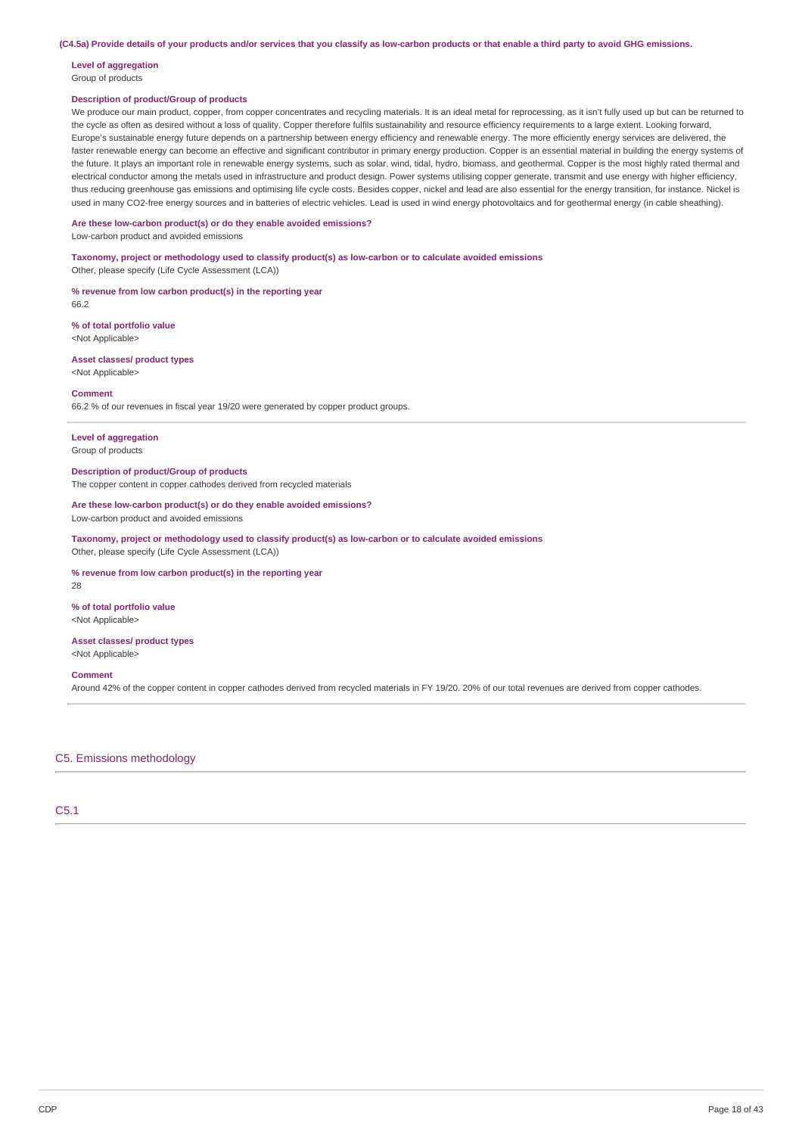(C4.5a) Provide details of your products and/or services that you classify as low-carbon products or that enable a third party to avoid GHG emissions.

# **Level of aggregation**

Group of products

## **Description of product/Group of products**

We produce our main product, copper, from copper concentrates and recycling materials. It is an ideal metal for reprocessing, as it isn't fully used up but can be returned to the cycle as often as desired without a loss of quality. Copper therefore fulfils sustainability and resource efficiency requirements to a large extent. Looking forward, Europe's sustainable energy future depends on a partnership between energy efficiency and renewable energy. The more efficiently energy services are delivered, the faster renewable energy can become an effective and significant contributor in primary energy production. Copper is an essential material in building the energy systems of the future. It plays an important role in renewable energy systems, such as solar, wind, tidal, hydro, biomass, and geothermal. Copper is the most highly rated thermal and electrical conductor among the metals used in infrastructure and product design. Power systems utilising copper generate, transmit and use energy with higher efficiency, thus reducing greenhouse gas emissions and optimising life cycle costs. Besides copper, nickel and lead are also essential for the energy transition, for instance. Nickel is used in many CO2-free energy sources and in batteries of electric vehicles. Lead is used in wind energy photovoltaics and for geothermal energy (in cable sheathing).

#### **Are these low-carbon product(s) or do they enable avoided emissions?** Low-carbon product and avoided emissions

**Taxonomy, project or methodology used to classify product(s) as low-carbon or to calculate avoided emissions**

Other, please specify (Life Cycle Assessment (LCA))

**% revenue from low carbon product(s) in the reporting year** 66.2

**% of total portfolio value** <Not Applicable>

**Asset classes/ product types** <Not Applicable>

#### **Comment**

66.2 % of our revenues in fiscal year 19/20 were generated by copper product groups.

#### **Level of aggregation**

Group of products

## **Description of product/Group of products**

The copper content in copper cathodes derived from recycled materials

#### **Are these low-carbon product(s) or do they enable avoided emissions?**

Low-carbon product and avoided emissions

**Taxonomy, project or methodology used to classify product(s) as low-carbon or to calculate avoided emissions** Other, please specify (Life Cycle Assessment (LCA))

#### **% revenue from low carbon product(s) in the reporting year**

28

#### **% of total portfolio value**

<Not Applicable>

#### **Asset classes/ product types** <Not Applicable>

#### **Comment**

Around 42% of the copper content in copper cathodes derived from recycled materials in FY 19/20. 20% of our total revenues are derived from copper cathodes.

## C5. Emissions methodology

C5.1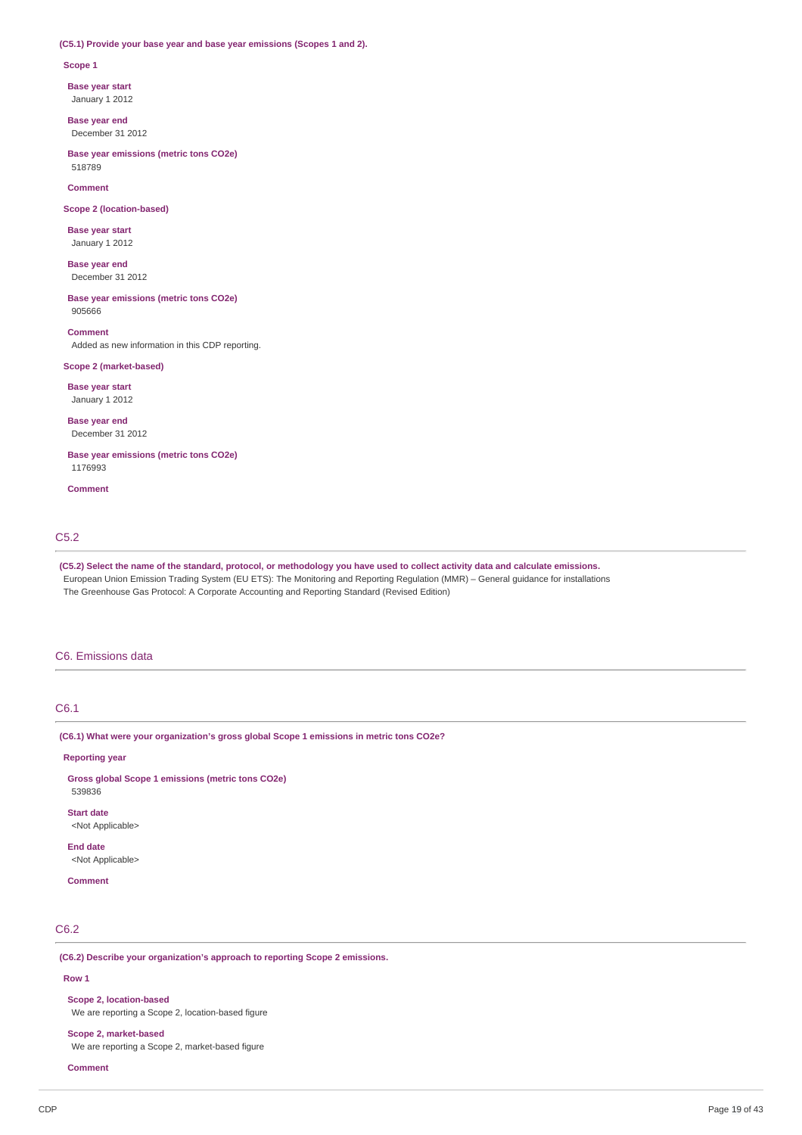#### **(C5.1) Provide your base year and base year emissions (Scopes 1 and 2).**

#### **Scope 1**

**Base year start**

January 1 2012

**Base year end** December 31 2012

**Base year emissions (metric tons CO2e)** 518789

#### **Comment**

**Scope 2 (location-based)**

**Base year start** January 1 2012

**Base year end** December 31 2012

**Base year emissions (metric tons CO2e)** 905666

#### **Comment**

Added as new information in this CDP reporting.

## **Scope 2 (market-based)**

**Base year start**

January 1 2012

**Base year end** December 31 2012

**Base year emissions (metric tons CO2e)** 1176993

**Comment**

## C5.2

(C5.2) Select the name of the standard, protocol, or methodology you have used to collect activity data and calculate emissions. European Union Emission Trading System (EU ETS): The Monitoring and Reporting Regulation (MMR) – General guidance for installations The Greenhouse Gas Protocol: A Corporate Accounting and Reporting Standard (Revised Edition)

## C6. Emissions data

## C6.1

**(C6.1) What were your organization's gross global Scope 1 emissions in metric tons CO2e?**

**Reporting year**

**Gross global Scope 1 emissions (metric tons CO2e)** 539836 **Start date**

<Not Applicable>

**End date** <Not Applicable>

**Comment**

# C6.2

**(C6.2) Describe your organization's approach to reporting Scope 2 emissions.**

## **Row 1**

**Scope 2, location-based**

We are reporting a Scope 2, location-based figure

## **Scope 2, market-based**

We are reporting a Scope 2, market-based figure

**Comment**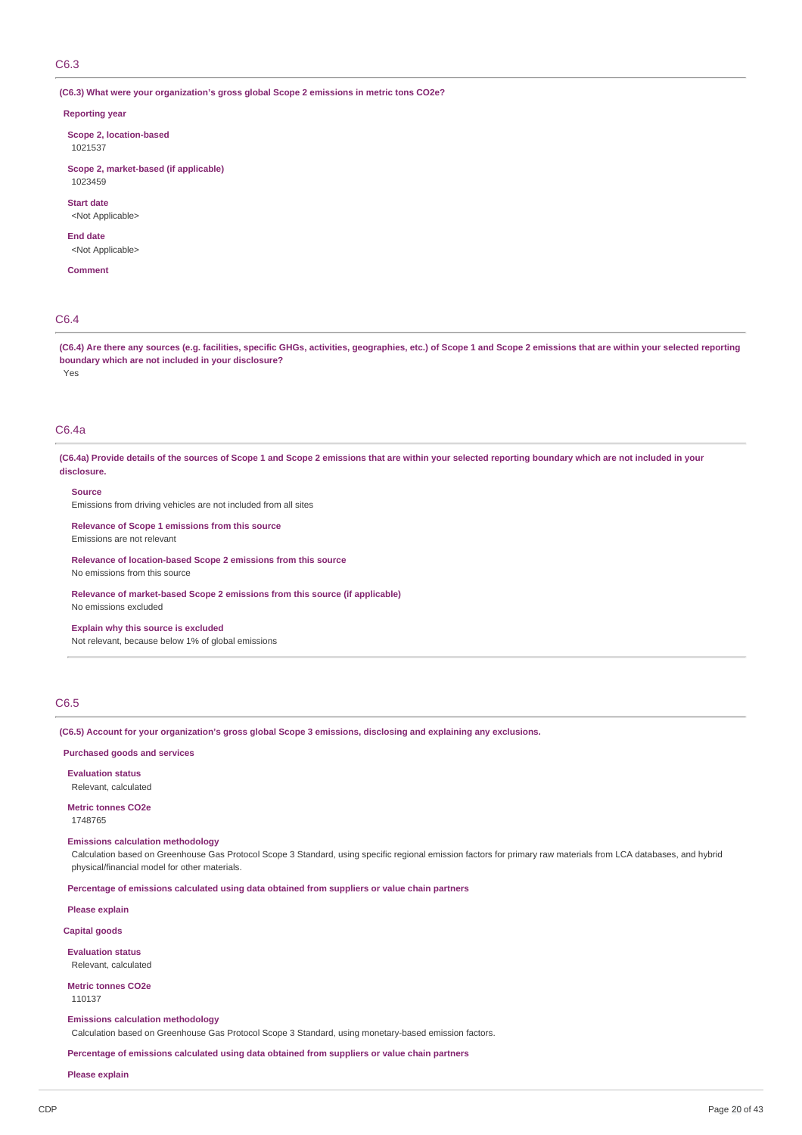## C6.3

**(C6.3) What were your organization's gross global Scope 2 emissions in metric tons CO2e?**

#### **Reporting year**

**Scope 2, location-based**

1021537

#### **Scope 2, market-based (if applicable)** 1023459

**Start date**

<Not Applicable>

#### **End date**

<Not Applicable>

**Comment**

# C6.4

(C6.4) Are there any sources (e.g. facilities, specific GHGs, activities, geographies, etc.) of Scope 1 and Scope 2 emissions that are within your selected reporting **boundary which are not included in your disclosure?**

Yes

# C6.4a

(C6.4a) Provide details of the sources of Scope 1 and Scope 2 emissions that are within your selected reporting boundary which are not included in your **disclosure.**

#### **Source**

Emissions from driving vehicles are not included from all sites

**Relevance of Scope 1 emissions from this source** Emissions are not relevant

**Relevance of location-based Scope 2 emissions from this source** No emissions from this source

**Relevance of market-based Scope 2 emissions from this source (if applicable)** No emissions excluded

## **Explain why this source is excluded**

Not relevant, because below 1% of global emissions

## C6.5

**(C6.5) Account for your organization's gross global Scope 3 emissions, disclosing and explaining any exclusions.**

## **Purchased goods and services**

**Evaluation status** Relevant, calculated

**Metric tonnes CO2e** 1748765

## **Emissions calculation methodology**

Calculation based on Greenhouse Gas Protocol Scope 3 Standard, using specific regional emission factors for primary raw materials from LCA databases, and hybrid physical/financial model for other materials.

**Percentage of emissions calculated using data obtained from suppliers or value chain partners**

**Please explain**

## **Capital goods**

**Evaluation status** Relevant, calculated

**Metric tonnes CO2e**

110137

#### **Emissions calculation methodology**

Calculation based on Greenhouse Gas Protocol Scope 3 Standard, using monetary-based emission factors.

**Percentage of emissions calculated using data obtained from suppliers or value chain partners**

**Please explain**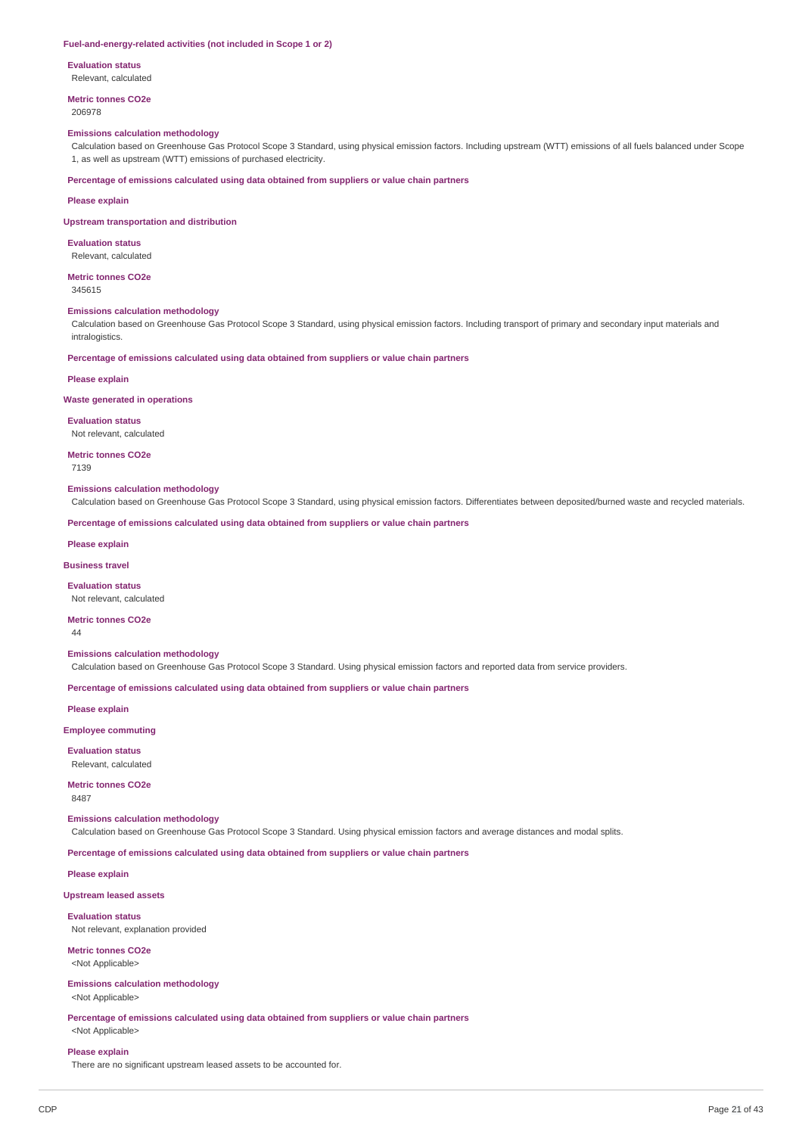#### **Fuel-and-energy-related activities (not included in Scope 1 or 2)**

**Evaluation status**

Relevant, calculated

**Metric tonnes CO2e** 206978

#### **Emissions calculation methodology**

Calculation based on Greenhouse Gas Protocol Scope 3 Standard, using physical emission factors. Including upstream (WTT) emissions of all fuels balanced under Scope 1, as well as upstream (WTT) emissions of purchased electricity.

**Percentage of emissions calculated using data obtained from suppliers or value chain partners**

#### **Please explain**

#### **Upstream transportation and distribution**

**Evaluation status**

Relevant, calculated

**Metric tonnes CO2e** 345615

#### **Emissions calculation methodology**

Calculation based on Greenhouse Gas Protocol Scope 3 Standard, using physical emission factors. Including transport of primary and secondary input materials and intralogistics.

**Percentage of emissions calculated using data obtained from suppliers or value chain partners**

#### **Please explain**

#### **Waste generated in operations**

**Evaluation status**

Not relevant, calculated

**Metric tonnes CO2e** 7139

#### **Emissions calculation methodology**

Calculation based on Greenhouse Gas Protocol Scope 3 Standard, using physical emission factors. Differentiates between deposited/burned waste and recycled materials.

**Percentage of emissions calculated using data obtained from suppliers or value chain partners**

#### **Please explain**

**Business travel**

**Evaluation status**

#### Not relevant, calculated

**Metric tonnes CO2e**

#### 44

## **Emissions calculation methodology**

Calculation based on Greenhouse Gas Protocol Scope 3 Standard. Using physical emission factors and reported data from service providers.

**Percentage of emissions calculated using data obtained from suppliers or value chain partners**

**Please explain**

## **Employee commuting**

**Evaluation status**

Relevant, calculated

## **Metric tonnes CO2e**

8487

### **Emissions calculation methodology**

Calculation based on Greenhouse Gas Protocol Scope 3 Standard. Using physical emission factors and average distances and modal splits.

**Percentage of emissions calculated using data obtained from suppliers or value chain partners**

**Please explain**

**Upstream leased assets**

#### **Evaluation status**

Not relevant, explanation provided

#### **Metric tonnes CO2e** <Not Applicable>

**Emissions calculation methodology**

<Not Applicable>

**Percentage of emissions calculated using data obtained from suppliers or value chain partners** <Not Applicable>

# **Please explain**

There are no significant upstream leased assets to be accounted for.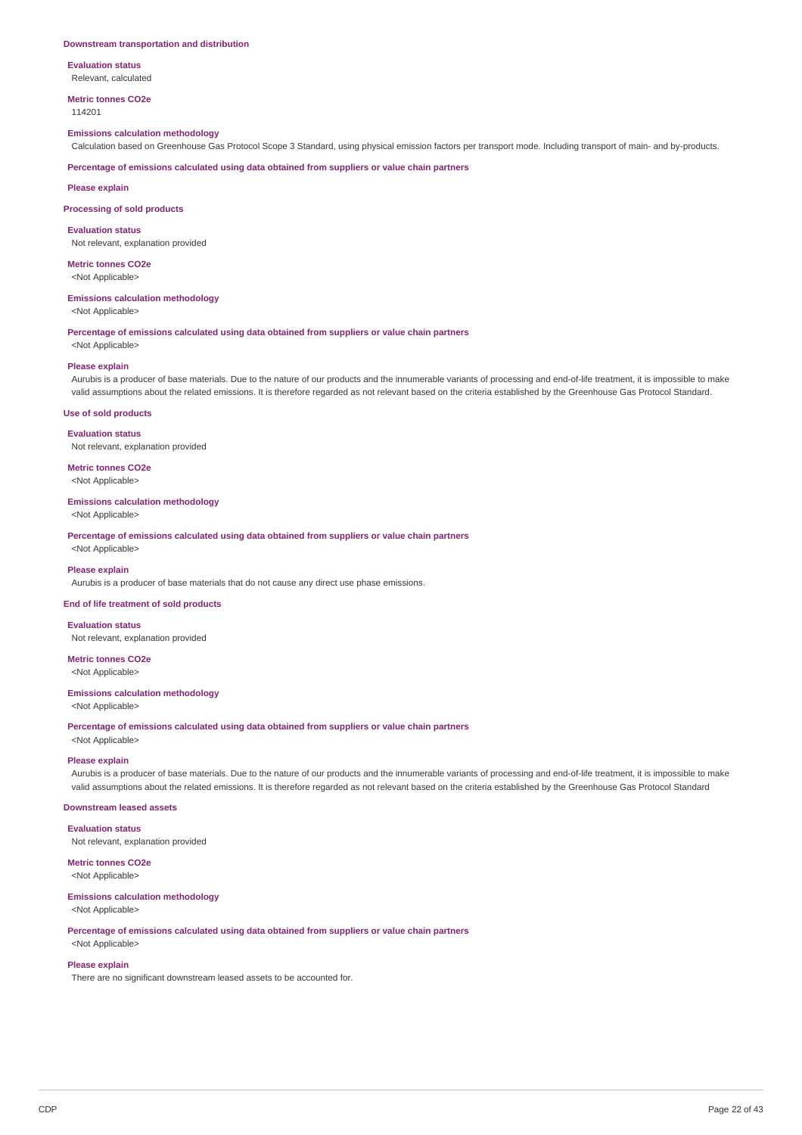#### **Downstream transportation and distribution**

**Evaluation status** Relevant, calculated

**Metric tonnes CO2e**

114201

## **Emissions calculation methodology**

Calculation based on Greenhouse Gas Protocol Scope 3 Standard, using physical emission factors per transport mode. Including transport of main- and by-products.

**Percentage of emissions calculated using data obtained from suppliers or value chain partners**

**Please explain**

#### **Processing of sold products**

**Evaluation status**

Not relevant, explanation provided

**Metric tonnes CO2e** <Not Applicable>

## **Emissions calculation methodology**

<Not Applicable>

## **Percentage of emissions calculated using data obtained from suppliers or value chain partners**

<Not Applicable>

#### **Please explain**

Aurubis is a producer of base materials. Due to the nature of our products and the innumerable variants of processing and end-of-life treatment, it is impossible to make valid assumptions about the related emissions. It is therefore regarded as not relevant based on the criteria established by the Greenhouse Gas Protocol Standard.

#### **Use of sold products**

**Evaluation status**

Not relevant, explanation provided

**Metric tonnes CO2e** <Not Applicable>

#### **Emissions calculation methodology**

<Not Applicable>

**Percentage of emissions calculated using data obtained from suppliers or value chain partners** <Not Applicable>

#### **Please explain**

Aurubis is a producer of base materials that do not cause any direct use phase emissions.

#### **End of life treatment of sold products**

**Evaluation status** Not relevant, explanation provided

#### **Metric tonnes CO2e** <Not Applicable>

#### **Emissions calculation methodology**

<Not Applicable>

**Percentage of emissions calculated using data obtained from suppliers or value chain partners**

<Not Applicable>

## **Please explain**

Aurubis is a producer of base materials. Due to the nature of our products and the innumerable variants of processing and end-of-life treatment, it is impossible to make valid assumptions about the related emissions. It is therefore regarded as not relevant based on the criteria established by the Greenhouse Gas Protocol Standard

## **Downstream leased assets**

**Evaluation status**

Not relevant, explanation provided

# **Metric tonnes CO2e**

<Not Applicable>

#### **Emissions calculation methodology**

<Not Applicable>

**Percentage of emissions calculated using data obtained from suppliers or value chain partners** <Not Applicable>

## **Please explain**

There are no significant downstream leased assets to be accounted for.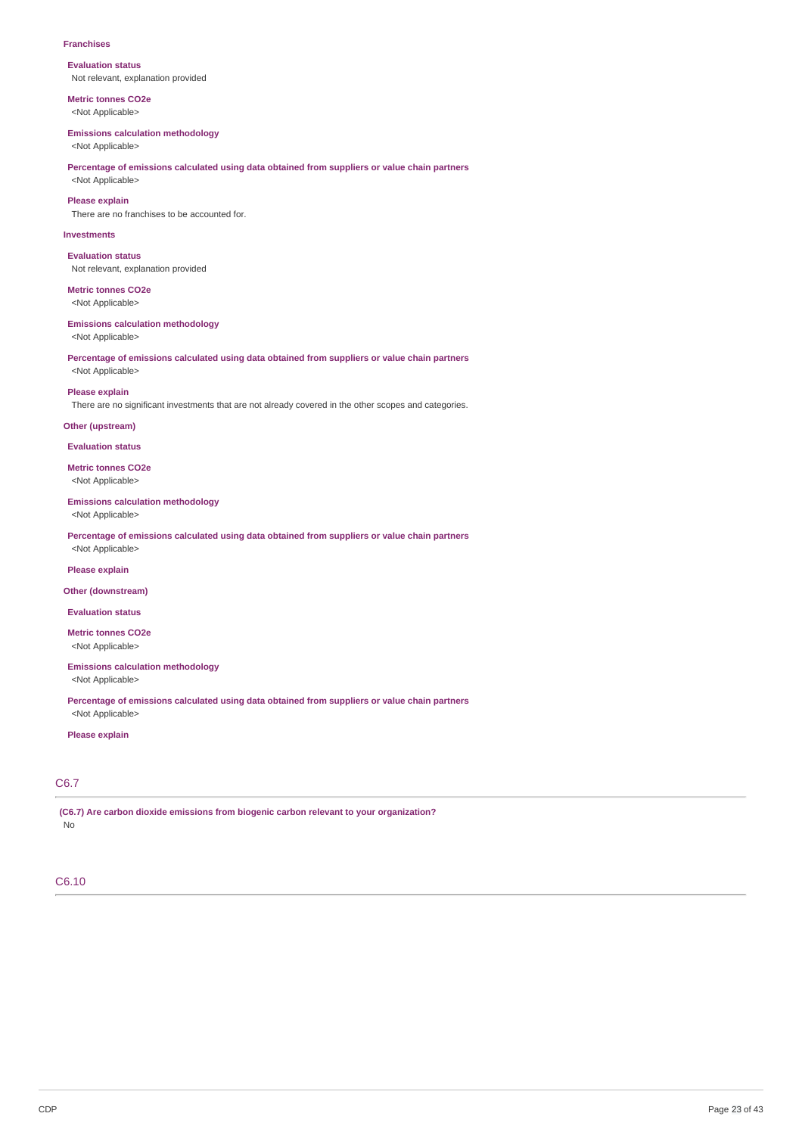#### **Franchises**

**Evaluation status** Not relevant, explanation provided

**Metric tonnes CO2e** <Not Applicable>

#### **Emissions calculation methodology**

<Not Applicable>

#### **Percentage of emissions calculated using data obtained from suppliers or value chain partners** <Not Applicable>

**Please explain**

There are no franchises to be accounted for.

#### **Investments**

**Evaluation status** Not relevant, explanation provided

**Metric tonnes CO2e** <Not Applicable>

## **Emissions calculation methodology**

<Not Applicable>

## **Percentage of emissions calculated using data obtained from suppliers or value chain partners** <Not Applicable>

**Please explain**

There are no significant investments that are not already covered in the other scopes and categories.

## **Other (upstream)**

**Evaluation status**

**Metric tonnes CO2e** <Not Applicable>

## **Emissions calculation methodology**

<Not Applicable>

**Percentage of emissions calculated using data obtained from suppliers or value chain partners** <Not Applicable>

#### **Please explain**

#### **Other (downstream)**

**Evaluation status**

**Metric tonnes CO2e** <Not Applicable>

# **Emissions calculation methodology**

<Not Applicable>

**Percentage of emissions calculated using data obtained from suppliers or value chain partners** <Not Applicable>

## **Please explain**

# C6.7

**(C6.7) Are carbon dioxide emissions from biogenic carbon relevant to your organization?** No

## C6.10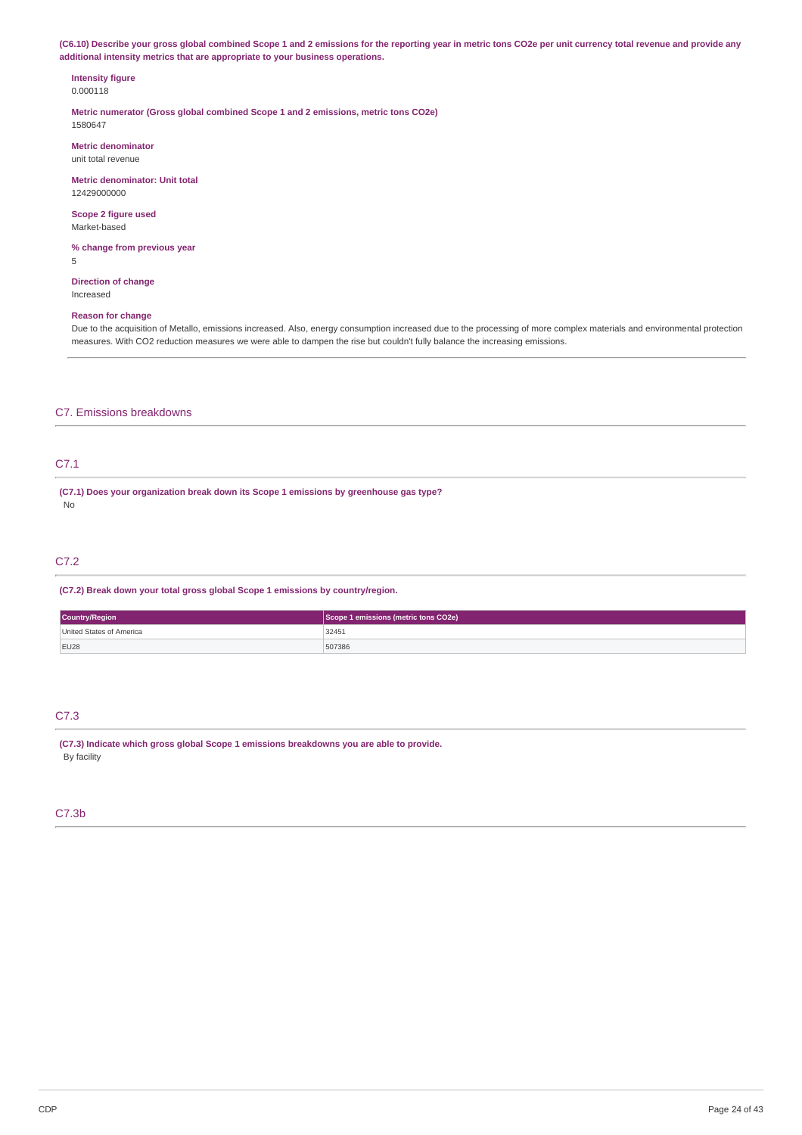(C6.10) Describe your gross global combined Scope 1 and 2 emissions for the reporting year in metric tons CO2e per unit currency total revenue and provide any **additional intensity metrics that are appropriate to your business operations.**

#### **Intensity figure** 0.000118

**Metric numerator (Gross global combined Scope 1 and 2 emissions, metric tons CO2e)** 1580647

**Metric denominator** unit total revenue

**Metric denominator: Unit total** 12429000000

**Scope 2 figure used** Market-based

**% change from previous year** 5

**Direction of change** Increased

## **Reason for change**

Due to the acquisition of Metallo, emissions increased. Also, energy consumption increased due to the processing of more complex materials and environmental protection measures. With CO2 reduction measures we were able to dampen the rise but couldn't fully balance the increasing emissions.

## C7. Emissions breakdowns

# C7.1

**(C7.1) Does your organization break down its Scope 1 emissions by greenhouse gas type?** No

## C7.2

**(C7.2) Break down your total gross global Scope 1 emissions by country/region.**

| <b>Country/Region</b>    | Scope 1 emissions (metric tons CO2e) |  |
|--------------------------|--------------------------------------|--|
| United States of America | 32451<br>$-$                         |  |
| EU28                     | 507386                               |  |

# C7.3

**(C7.3) Indicate which gross global Scope 1 emissions breakdowns you are able to provide.** By facility

## C7.3b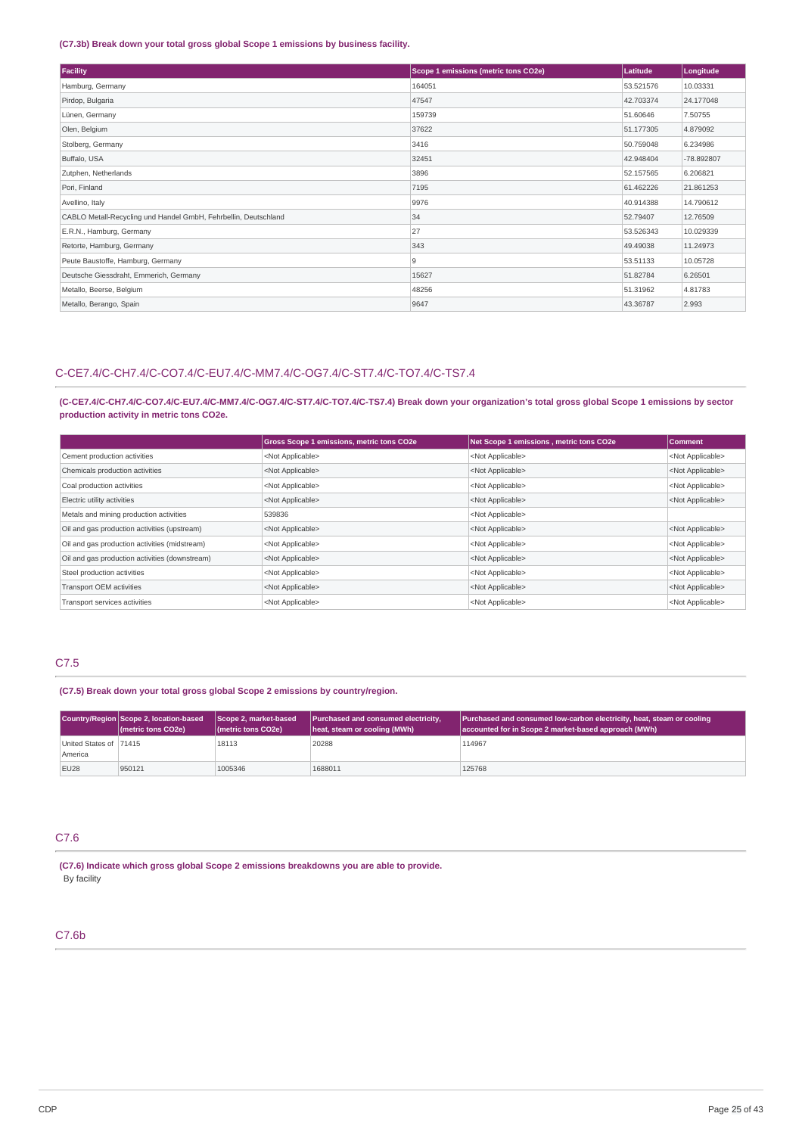## **(C7.3b) Break down your total gross global Scope 1 emissions by business facility.**

| Facility                                                        | Scope 1 emissions (metric tons CO2e) | Latitude  | Longitude  |
|-----------------------------------------------------------------|--------------------------------------|-----------|------------|
| Hamburg, Germany                                                | 164051                               | 53.521576 | 10.03331   |
| Pirdop, Bulgaria                                                | 47547                                | 42.703374 | 24.177048  |
| Lünen, Germany                                                  | 159739                               | 51.60646  | 7.50755    |
| Olen, Belgium                                                   | 37622                                | 51.177305 | 4.879092   |
| Stolberg, Germany                                               | 3416                                 | 50.759048 | 6.234986   |
| Buffalo, USA                                                    | 32451                                | 42.948404 | -78.892807 |
| Zutphen, Netherlands                                            | 3896                                 | 52.157565 | 6.206821   |
| Pori, Finland                                                   | 7195                                 | 61.462226 | 21.861253  |
| Avellino, Italy                                                 | 9976                                 | 40.914388 | 14.790612  |
| CABLO Metall-Recycling und Handel GmbH, Fehrbellin, Deutschland | 34                                   | 52.79407  | 12.76509   |
| E.R.N., Hamburg, Germany                                        | 27                                   | 53.526343 | 10.029339  |
| Retorte, Hamburg, Germany                                       | 343                                  | 49.49038  | 11.24973   |
| Peute Baustoffe, Hamburg, Germany                               | 9                                    | 53.51133  | 10.05728   |
| Deutsche Giessdraht, Emmerich, Germany                          | 15627                                | 51.82784  | 6.26501    |
| Metallo, Beerse, Belgium                                        | 48256                                | 51.31962  | 4.81783    |
| Metallo, Berango, Spain                                         | 9647                                 | 43.36787  | 2.993      |

# C-CE7.4/C-CH7.4/C-CO7.4/C-EU7.4/C-MM7.4/C-OG7.4/C-ST7.4/C-TO7.4/C-TS7.4

(C-CE7.4/C-CH7.4/C-CO7.4/C-EU7.4/C-MM7.4/C-OG7.4/C-ST7.4/C-TO7.4/C-TS7.4) Break down your organization's total gross global Scope 1 emissions by sector **production activity in metric tons CO2e.**

|                                                | Gross Scope 1 emissions, metric tons CO2e | Net Scope 1 emissions, metric tons CO2e | <b>Comment</b>            |
|------------------------------------------------|-------------------------------------------|-----------------------------------------|---------------------------|
| Cement production activities                   | <not applicable=""></not>                 | <not applicable=""></not>               | <not applicable=""></not> |
| Chemicals production activities                | <not applicable=""></not>                 | <not applicable=""></not>               | <not applicable=""></not> |
| Coal production activities                     | <not applicable=""></not>                 | <not applicable=""></not>               | <not applicable=""></not> |
| Electric utility activities                    | <not applicable=""></not>                 | <not applicable=""></not>               | <not applicable=""></not> |
| Metals and mining production activities        | 539836                                    | <not applicable=""></not>               |                           |
| Oil and gas production activities (upstream)   | <not applicable=""></not>                 | <not applicable=""></not>               | <not applicable=""></not> |
| Oil and gas production activities (midstream)  | <not applicable=""></not>                 | <not applicable=""></not>               | <not applicable=""></not> |
| Oil and gas production activities (downstream) | <not applicable=""></not>                 | <not applicable=""></not>               | <not applicable=""></not> |
| Steel production activities                    | <not applicable=""></not>                 | <not applicable=""></not>               | <not applicable=""></not> |
| Transport OEM activities                       | <not applicable=""></not>                 | <not applicable=""></not>               | <not applicable=""></not> |
| Transport services activities                  | <not applicable=""></not>                 | <not applicable=""></not>               | <not applicable=""></not> |

## C7.5

**(C7.5) Break down your total gross global Scope 2 emissions by country/region.**

|                                   | Country/Region Scope 2, location-based<br>( <i>I</i> metric tons CO <sub>2</sub> e) | Scope 2, market-based<br>(metric tons CO2e) | Purchased and consumed electricity,<br>heat, steam or cooling (MWh) | <b>Purchased and consumed low-carbon electricity, heat, steam or cooling</b><br>accounted for in Scope 2 market-based approach (MWh) |
|-----------------------------------|-------------------------------------------------------------------------------------|---------------------------------------------|---------------------------------------------------------------------|--------------------------------------------------------------------------------------------------------------------------------------|
| United States of 71415<br>America |                                                                                     | 18113                                       | 20288                                                               | 114967                                                                                                                               |
| EU28                              | 950121                                                                              | 1005346                                     | 1688011                                                             | 125768                                                                                                                               |

# C7.6

**(C7.6) Indicate which gross global Scope 2 emissions breakdowns you are able to provide.** By facility

# C7.6b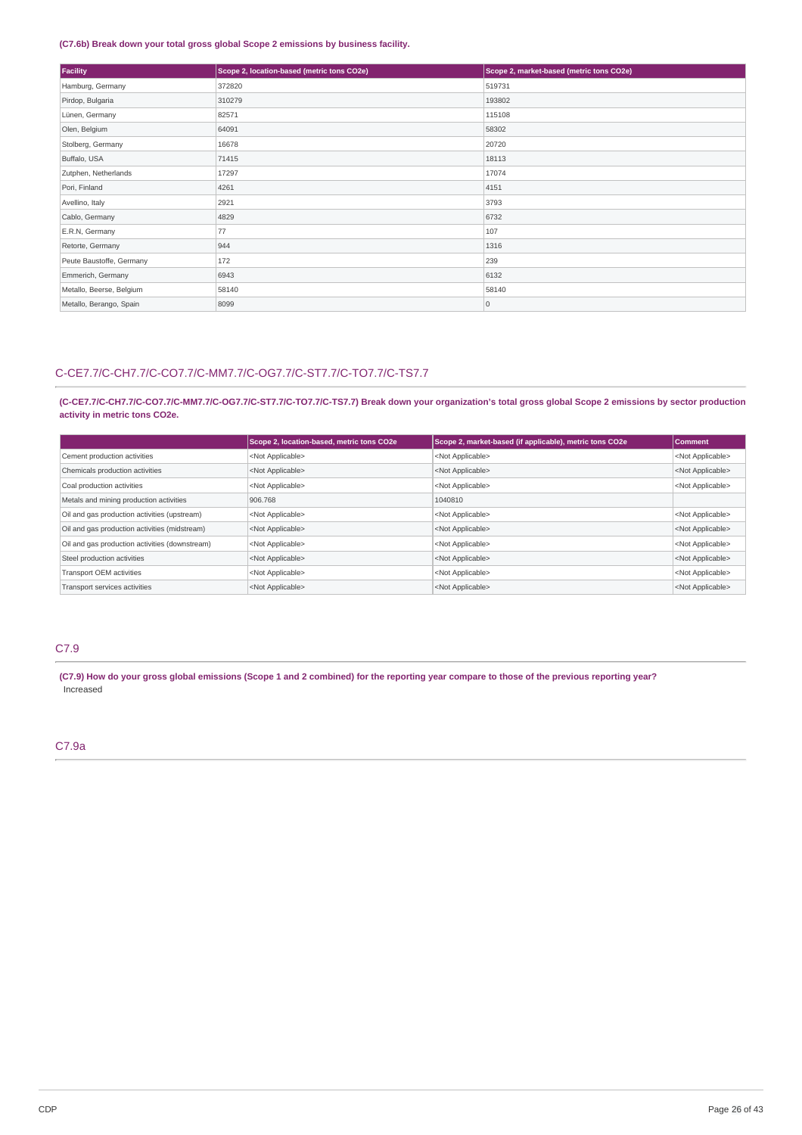## **(C7.6b) Break down your total gross global Scope 2 emissions by business facility.**

| Facility                 | Scope 2, location-based (metric tons CO2e) | Scope 2, market-based (metric tons CO2e) |
|--------------------------|--------------------------------------------|------------------------------------------|
| Hamburg, Germany         | 372820                                     | 519731                                   |
| Pirdop, Bulgaria         | 310279                                     | 193802                                   |
| Lünen, Germany           | 82571                                      | 115108                                   |
| Olen, Belgium            | 64091                                      | 58302                                    |
| Stolberg, Germany        | 16678                                      | 20720                                    |
| Buffalo, USA             | 71415                                      | 18113                                    |
| Zutphen, Netherlands     | 17297                                      | 17074                                    |
| Pori, Finland            | 4261                                       | 4151                                     |
| Avellino, Italy          | 2921                                       | 3793                                     |
| Cablo, Germany           | 4829                                       | 6732                                     |
| E.R.N, Germany           | 77                                         | 107                                      |
| Retorte, Germany         | 944                                        | 1316                                     |
| Peute Baustoffe, Germany | 172                                        | 239                                      |
| Emmerich, Germany        | 6943                                       | 6132                                     |
| Metallo, Beerse, Belgium | 58140                                      | 58140                                    |
| Metallo, Berango, Spain  | 8099                                       | $\overline{0}$                           |

# C-CE7.7/C-CH7.7/C-CO7.7/C-MM7.7/C-OG7.7/C-ST7.7/C-TO7.7/C-TS7.7

(C-CE7.7/C-CH7.7/C-CO7.7/C-MM7.7/C-OG7.7/C-ST7.7/C-TO7.7/C-TS7.7) Break down your organization's total gross global Scope 2 emissions by sector production **activity in metric tons CO2e.**

|                                                | Scope 2, location-based, metric tons CO2e | Scope 2, market-based (if applicable), metric tons CO2e | <b>Comment</b>            |
|------------------------------------------------|-------------------------------------------|---------------------------------------------------------|---------------------------|
| Cement production activities                   | <not applicable=""></not>                 | <not applicable=""></not>                               | <not applicable=""></not> |
| Chemicals production activities                | <not applicable=""></not>                 | <not applicable=""></not>                               | <not applicable=""></not> |
| Coal production activities                     | <not applicable=""></not>                 | <not applicable=""></not>                               | <not applicable=""></not> |
| Metals and mining production activities        | 906.768                                   | 1040810                                                 |                           |
| Oil and gas production activities (upstream)   | <not applicable=""></not>                 | <not applicable=""></not>                               | <not applicable=""></not> |
| Oil and gas production activities (midstream)  | <not applicable=""></not>                 | <not applicable=""></not>                               | <not applicable=""></not> |
| Oil and gas production activities (downstream) | <not applicable=""></not>                 | <not applicable=""></not>                               | <not applicable=""></not> |
| Steel production activities                    | <not applicable=""></not>                 | <not applicable=""></not>                               | <not applicable=""></not> |
| Transport OEM activities                       | <not applicable=""></not>                 | <not applicable=""></not>                               | <not applicable=""></not> |
| Transport services activities                  | <not applicable=""></not>                 | <not applicable=""></not>                               | <not applicable=""></not> |

# C7.9

(C7.9) How do your gross global emissions (Scope 1 and 2 combined) for the reporting year compare to those of the previous reporting year? Increased

## C7.9a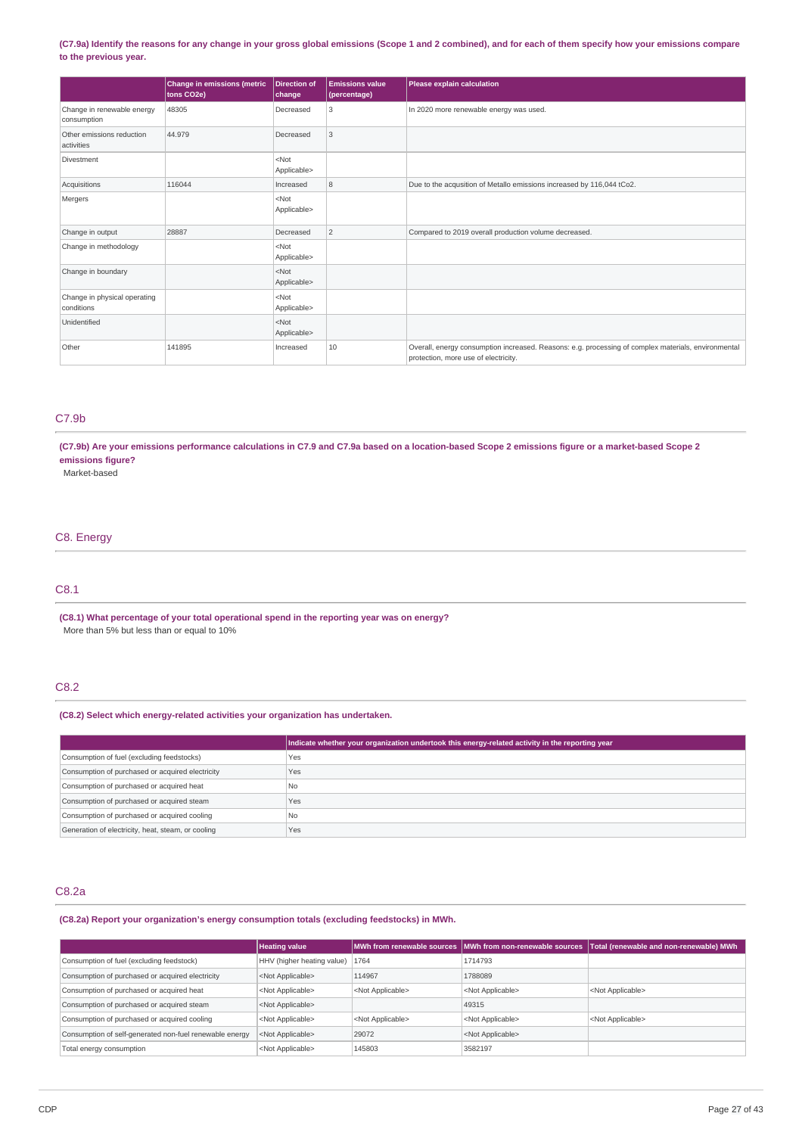## (C7.9a) Identify the reasons for any change in your gross global emissions (Scope 1 and 2 combined), and for each of them specify how your emissions compare **to the previous year.**

|                                            | Change in emissions (metric<br>tons CO2e) | <b>Direction of</b><br>change | <b>Emissions value</b><br>(percentage) | Please explain calculation                                                                                                                  |
|--------------------------------------------|-------------------------------------------|-------------------------------|----------------------------------------|---------------------------------------------------------------------------------------------------------------------------------------------|
| Change in renewable energy<br>consumption  | 48305                                     | Decreased                     | 3                                      | In 2020 more renewable energy was used.                                                                                                     |
| Other emissions reduction<br>activities    | 44.979                                    | Decreased                     | 3                                      |                                                                                                                                             |
| Divestment                                 |                                           | $<$ Not<br>Applicable>        |                                        |                                                                                                                                             |
| Acquisitions                               | 116044                                    | Increased                     | 8                                      | Due to the acqusition of Metallo emissions increased by 116,044 tCo2.                                                                       |
| Mergers                                    |                                           | $<$ Not<br>Applicable>        |                                        |                                                                                                                                             |
| Change in output                           | 28887                                     | Decreased                     | $\overline{c}$                         | Compared to 2019 overall production volume decreased.                                                                                       |
| Change in methodology                      |                                           | $<$ Not<br>Applicable>        |                                        |                                                                                                                                             |
| Change in boundary                         |                                           | $<$ Not<br>Applicable>        |                                        |                                                                                                                                             |
| Change in physical operating<br>conditions |                                           | $<$ Not<br>Applicable>        |                                        |                                                                                                                                             |
| Unidentified                               |                                           | $<$ Not<br>Applicable>        |                                        |                                                                                                                                             |
| Other                                      | 141895                                    | Increased                     | 10                                     | Overall, energy consumption increased. Reasons: e.g. processing of complex materials, environmental<br>protection, more use of electricity. |

# C7.9b

(C7.9b) Are your emissions performance calculations in C7.9 and C7.9a based on a location-based Scope 2 emissions figure or a market-based Scope 2 **emissions figure?**

Market-based

# C8. Energy

# C8.1

**(C8.1) What percentage of your total operational spend in the reporting year was on energy?** More than 5% but less than or equal to 10%

# C8.2

## **(C8.2) Select which energy-related activities your organization has undertaken.**

|                                                    | Indicate whether your organization undertook this energy-related activity in the reporting year |
|----------------------------------------------------|-------------------------------------------------------------------------------------------------|
| Consumption of fuel (excluding feedstocks)         | Yes                                                                                             |
| Consumption of purchased or acquired electricity   | Yes                                                                                             |
| Consumption of purchased or acquired heat          | N <sub>0</sub>                                                                                  |
| Consumption of purchased or acquired steam         | Yes                                                                                             |
| Consumption of purchased or acquired cooling       | N <sub>0</sub>                                                                                  |
| Generation of electricity, heat, steam, or cooling | Yes                                                                                             |

## C8.2a

**(C8.2a) Report your organization's energy consumption totals (excluding feedstocks) in MWh.**

|                                                         | <b>Heating value</b>              |                           |                           | MWh from renewable sources MWh from non-renewable sources Total (renewable and non-renewable) MWh M |
|---------------------------------------------------------|-----------------------------------|---------------------------|---------------------------|-----------------------------------------------------------------------------------------------------|
| Consumption of fuel (excluding feedstock)               | HHV (higher heating value)   1764 |                           | 1714793                   |                                                                                                     |
| Consumption of purchased or acquired electricity        | <not applicable=""></not>         | 114967                    | 1788089                   |                                                                                                     |
| Consumption of purchased or acquired heat               | <not applicable=""></not>         | <not applicable=""></not> | <not applicable=""></not> | <not applicable=""></not>                                                                           |
| Consumption of purchased or acquired steam              | <not applicable=""></not>         |                           | 49315                     |                                                                                                     |
| Consumption of purchased or acquired cooling            | <not applicable=""></not>         | <not applicable=""></not> | <not applicable=""></not> | <not applicable=""></not>                                                                           |
| Consumption of self-generated non-fuel renewable energy | <not applicable=""></not>         | 29072                     | <not applicable=""></not> |                                                                                                     |
| Total energy consumption                                | <not applicable=""></not>         | 145803                    | 3582197                   |                                                                                                     |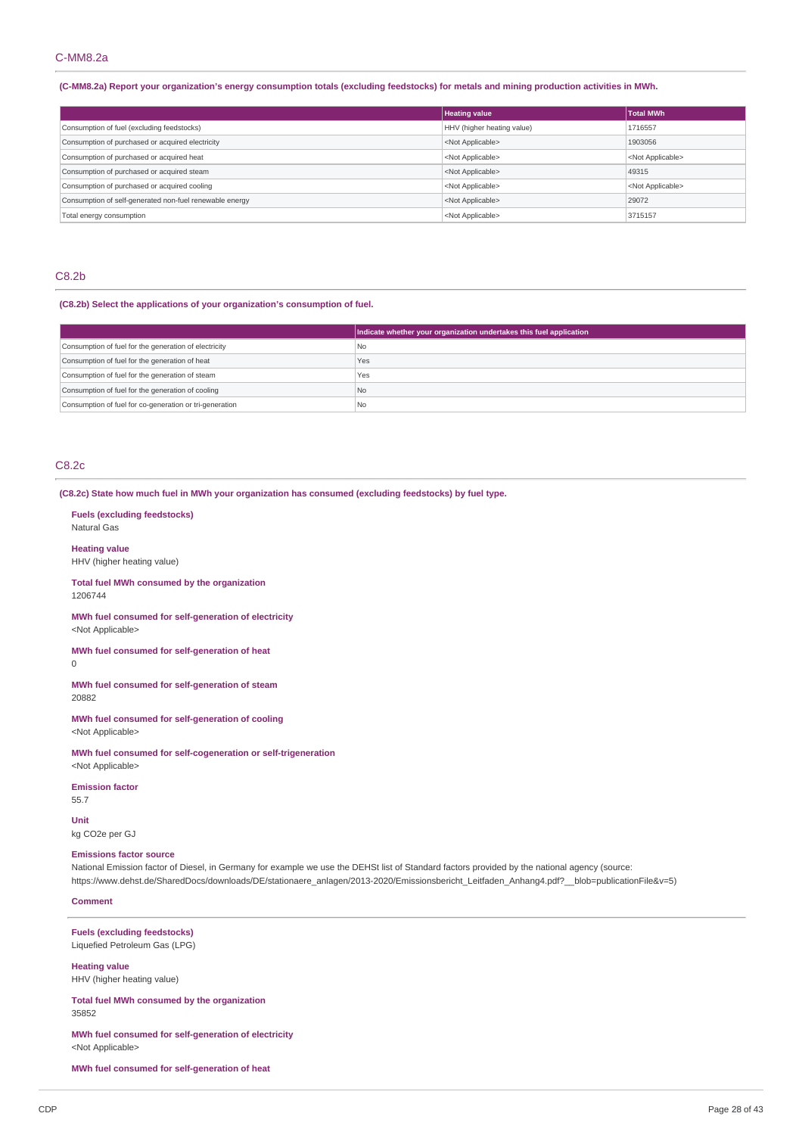## C-MM8.2a

#### (C-MM8.2a) Report your organization's energy consumption totals (excluding feedstocks) for metals and mining production activities in MWh.

|                                                         | <b>Heating value</b>       | <b>Total MWh</b>          |
|---------------------------------------------------------|----------------------------|---------------------------|
| Consumption of fuel (excluding feedstocks)              | HHV (higher heating value) | 1716557                   |
| Consumption of purchased or acquired electricity        | <not applicable=""></not>  | 1903056                   |
| Consumption of purchased or acquired heat               | <not applicable=""></not>  | <not applicable=""></not> |
| Consumption of purchased or acquired steam              | <not applicable=""></not>  | 49315                     |
| Consumption of purchased or acquired cooling            | <not applicable=""></not>  | <not applicable=""></not> |
| Consumption of self-generated non-fuel renewable energy | <not applicable=""></not>  | 29072                     |
| Total energy consumption                                | <not applicable=""></not>  | 3715157                   |

## C8.2b

## **(C8.2b) Select the applications of your organization's consumption of fuel.**

|                                                         | Indicate whether your organization undertakes this fuel application |
|---------------------------------------------------------|---------------------------------------------------------------------|
| Consumption of fuel for the generation of electricity   | l No                                                                |
| Consumption of fuel for the generation of heat          | Yes                                                                 |
| Consumption of fuel for the generation of steam         | Yes                                                                 |
| Consumption of fuel for the generation of cooling       | No.                                                                 |
| Consumption of fuel for co-generation or tri-generation | l Nc                                                                |

## C8.2c

## **(C8.2c) State how much fuel in MWh your organization has consumed (excluding feedstocks) by fuel type.**

**Fuels (excluding feedstocks)** Natural Gas

**Heating value**

HHV (higher heating value)

**Total fuel MWh consumed by the organization** 1206744

**MWh fuel consumed for self-generation of electricity** <Not Applicable>

**MWh fuel consumed for self-generation of heat**  $\Omega$ 

**MWh fuel consumed for self-generation of steam** 20882

**MWh fuel consumed for self-generation of cooling** <Not Applicable>

**MWh fuel consumed for self-cogeneration or self-trigeneration** <Not Applicable>

**Emission factor** 55.7

**Unit** kg CO2e per GJ

#### **Emissions factor source**

National Emission factor of Diesel, in Germany for example we use the DEHSt list of Standard factors provided by the national agency (source: https://www.dehst.de/SharedDocs/downloads/DE/stationaere\_anlagen/2013-2020/Emissionsbericht\_Leitfaden\_Anhang4.pdf?\_\_blob=publicationFile&v=5)

## **Comment**

**Fuels (excluding feedstocks)** Liquefied Petroleum Gas (LPG)

**Heating value** HHV (higher heating value)

**Total fuel MWh consumed by the organization** 35852

**MWh fuel consumed for self-generation of electricity** <Not Applicable>

**MWh fuel consumed for self-generation of heat**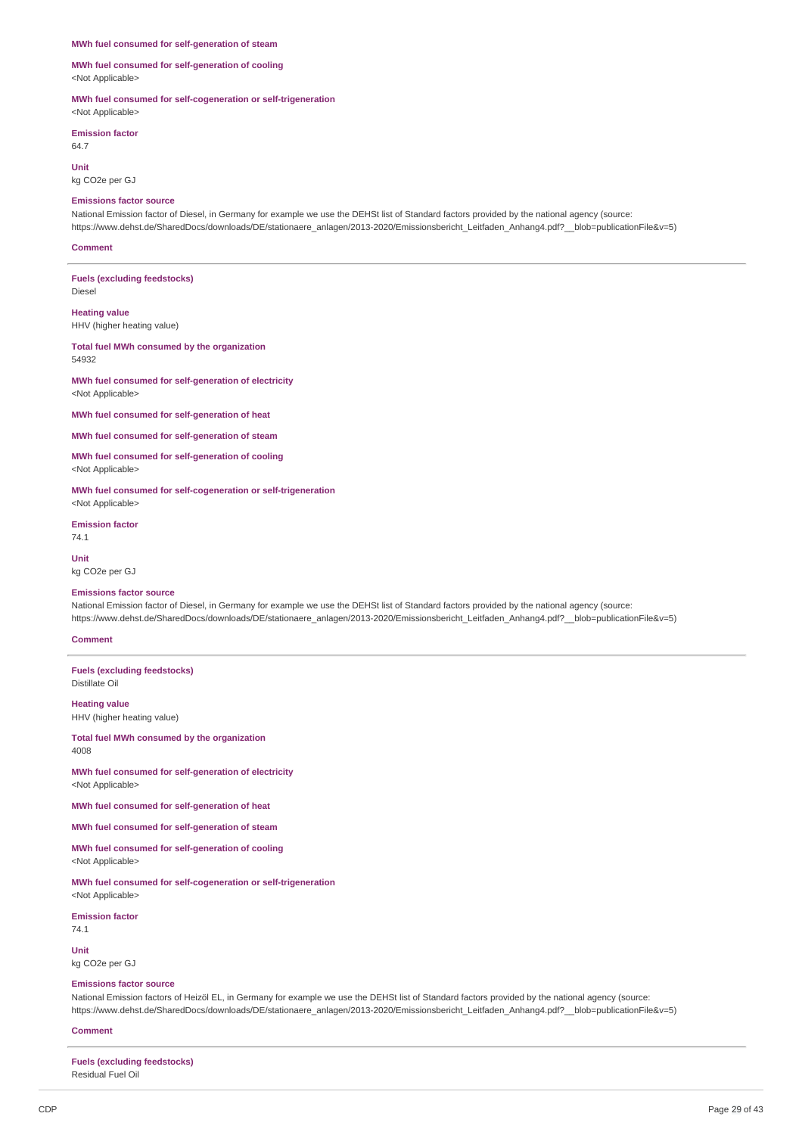#### **MWh fuel consumed for self-generation of steam**

**MWh fuel consumed for self-generation of cooling** <Not Applicable>

**MWh fuel consumed for self-cogeneration or self-trigeneration** <Not Applicable>

**Emission factor**

64.7

**Unit** kg CO2e per GJ

#### **Emissions factor source**

National Emission factor of Diesel, in Germany for example we use the DEHSt list of Standard factors provided by the national agency (source: https://www.dehst.de/SharedDocs/downloads/DE/stationaere\_anlagen/2013-2020/Emissionsbericht\_Leitfaden\_Anhang4.pdf?\_\_blob=publicationFile&v=5)

#### **Comment**

**Fuels (excluding feedstocks)** Diesel

**Heating value** HHV (higher heating value)

**Total fuel MWh consumed by the organization** 54932

**MWh fuel consumed for self-generation of electricity** <Not Applicable>

**MWh fuel consumed for self-generation of heat**

**MWh fuel consumed for self-generation of steam**

**MWh fuel consumed for self-generation of cooling** <Not Applicable>

**MWh fuel consumed for self-cogeneration or self-trigeneration** <Not Applicable>

**Emission factor** 74.1

**Unit** kg CO2e per GJ

#### **Emissions factor source**

National Emission factor of Diesel, in Germany for example we use the DEHSt list of Standard factors provided by the national agency (source: https://www.dehst.de/SharedDocs/downloads/DE/stationaere\_anlagen/2013-2020/Emissionsbericht\_Leitfaden\_Anhang4.pdf?\_\_blob=publicationFile&v=5)

## **Comment**

**Fuels (excluding feedstocks)** Distillate Oil

**Heating value** HHV (higher heating value)

**Total fuel MWh consumed by the organization** 4008

**MWh fuel consumed for self-generation of electricity** <Not Applicable>

**MWh fuel consumed for self-generation of heat**

**MWh fuel consumed for self-generation of steam**

**MWh fuel consumed for self-generation of cooling** <Not Applicable>

**MWh fuel consumed for self-cogeneration or self-trigeneration** <Not Applicable>

**Emission factor**

74.1

**Unit** kg CO2e per GJ

**Emissions factor source**

National Emission factors of Heizöl EL, in Germany for example we use the DEHSt list of Standard factors provided by the national agency (source: https://www.dehst.de/SharedDocs/downloads/DE/stationaere\_anlagen/2013-2020/Emissionsbericht\_Leitfaden\_Anhang4.pdf?\_\_blob=publicationFile&v=5)

**Comment**

**Fuels (excluding feedstocks)** Residual Fuel Oil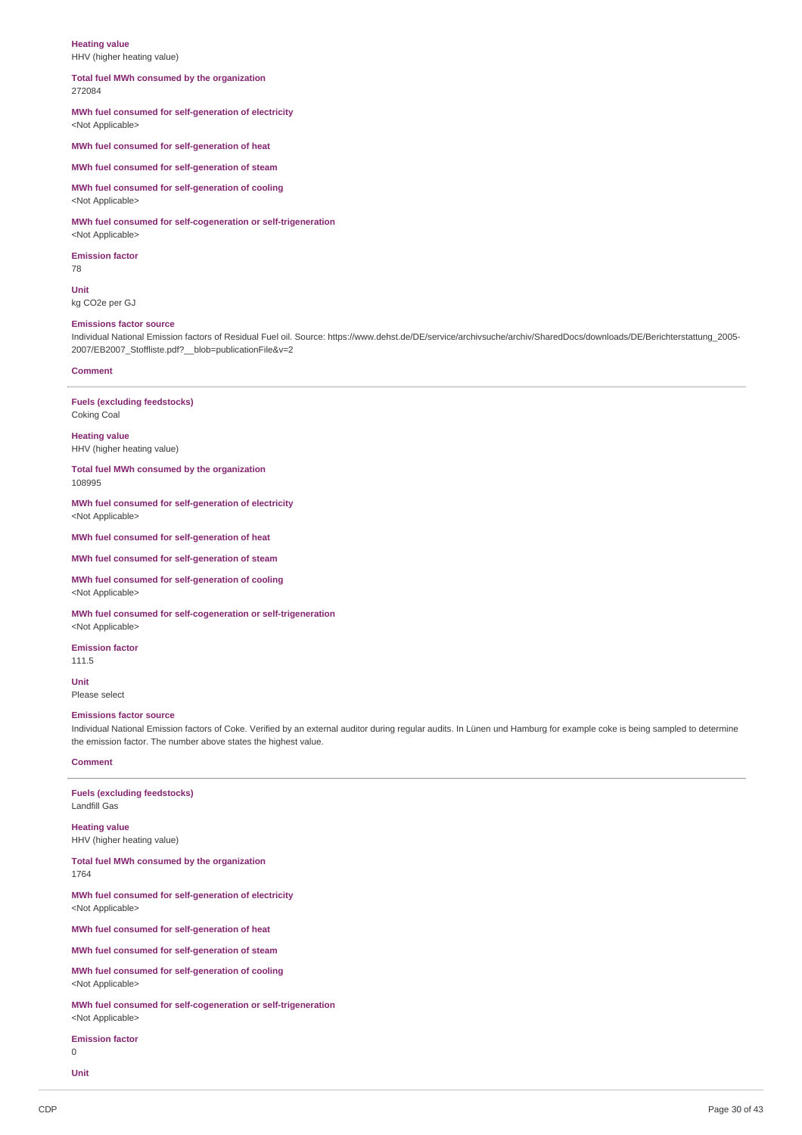## **Heating value**

HHV (higher heating value)

# **Total fuel MWh consumed by the organization**

272084

#### **MWh fuel consumed for self-generation of electricity** <Not Applicable>

**MWh fuel consumed for self-generation of heat**

**MWh fuel consumed for self-generation of steam**

**MWh fuel consumed for self-generation of cooling**

<Not Applicable>

**MWh fuel consumed for self-cogeneration or self-trigeneration** <Not Applicable>

**Emission factor** 78

**Unit**

kg CO2e per GJ

#### **Emissions factor source**

Individual National Emission factors of Residual Fuel oil. Source: https://www.dehst.de/DE/service/archivsuche/archiv/SharedDocs/downloads/DE/Berichterstattung 2005-2007/EB2007\_Stoffliste.pdf?\_\_blob=publicationFile&v=2

#### **Comment**

Coking Coal

**Fuels (excluding feedstocks)**

**Heating value**

HHV (higher heating value)

**Total fuel MWh consumed by the organization** 108995

**MWh fuel consumed for self-generation of electricity** <Not Applicable>

**MWh fuel consumed for self-generation of heat**

**MWh fuel consumed for self-generation of steam**

**MWh fuel consumed for self-generation of cooling** <Not Applicable>

**MWh fuel consumed for self-cogeneration or self-trigeneration** <Not Applicable>

**Emission factor**

111.5 **Unit**

Please select

#### **Emissions factor source**

Individual National Emission factors of Coke. Verified by an external auditor during regular audits. In Lünen und Hamburg for example coke is being sampled to determine the emission factor. The number above states the highest value.

#### **Comment**

**Fuels (excluding feedstocks)** Landfill Gas

**Heating value** HHV (higher heating value)

**Total fuel MWh consumed by the organization** 1764

**MWh fuel consumed for self-generation of electricity** <Not Applicable>

**MWh fuel consumed for self-generation of heat**

**MWh fuel consumed for self-generation of steam**

**MWh fuel consumed for self-generation of cooling** <Not Applicable>

**MWh fuel consumed for self-cogeneration or self-trigeneration** <Not Applicable>

**Emission factor**

 $\overline{0}$ 

**Unit**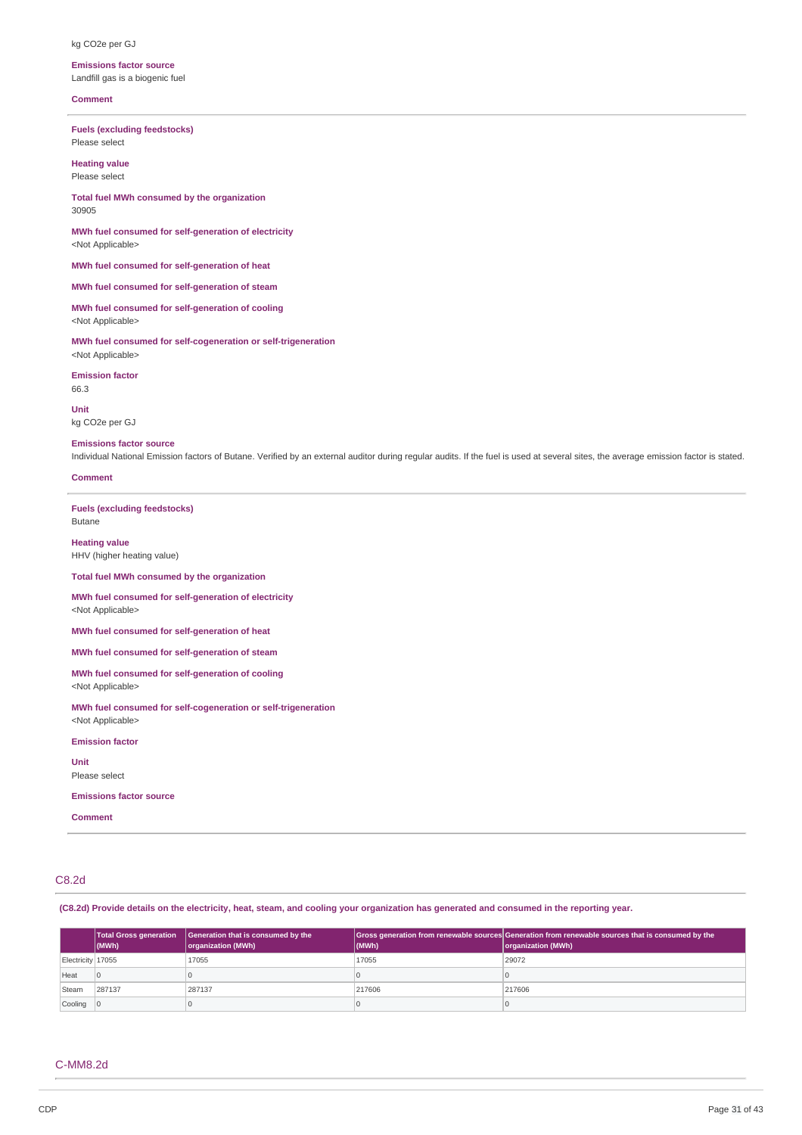#### kg CO2e per GJ

**Emissions factor source** Landfill gas is a biogenic fuel

#### **Comment**

**Fuels (excluding feedstocks)** Please select

**Heating value** Please select

**Total fuel MWh consumed by the organization** 30905

**MWh fuel consumed for self-generation of electricity** <Not Applicable>

**MWh fuel consumed for self-generation of heat**

**MWh fuel consumed for self-generation of steam**

**MWh fuel consumed for self-generation of cooling** <Not Applicable>

**MWh fuel consumed for self-cogeneration or self-trigeneration** <Not Applicable>

**Emission factor** 66.3

**Unit** kg CO2e per GJ

#### **Emissions factor source**

Individual National Emission factors of Butane. Verified by an external auditor during regular audits. If the fuel is used at several sites, the average emission factor is stated.

#### **Comment**

**Fuels (excluding feedstocks)** Butane

**Heating value** HHV (higher heating value)

**Total fuel MWh consumed by the organization**

#### **MWh fuel consumed for self-generation of electricity** <Not Applicable>

**MWh fuel consumed for self-generation of heat**

**MWh fuel consumed for self-generation of steam**

**MWh fuel consumed for self-generation of cooling** <Not Applicable>

**MWh fuel consumed for self-cogeneration or self-trigeneration** <Not Applicable>

**Emission factor**

**Unit** Please select

**Emissions factor source**

**Comment**

# C8.2d

(C8.2d) Provide details on the electricity, heat, steam, and cooling your organization has generated and consumed in the reporting year.

|                   | <b>Total Gross generation</b><br>$ $ (MWh) | Generation that is consumed by the<br>organization (MWh) | (MWh)  | Gross generation from renewable sources Generation from renewable sources that is consumed by the<br>organization (MWh) |
|-------------------|--------------------------------------------|----------------------------------------------------------|--------|-------------------------------------------------------------------------------------------------------------------------|
| Electricity 17055 |                                            | 17055                                                    | 17055  | 29072                                                                                                                   |
| Heat              |                                            |                                                          |        |                                                                                                                         |
| Steam             | 287137                                     | 287137                                                   | 217606 | 217606                                                                                                                  |
| $Cooling$ $ 0$    |                                            |                                                          |        |                                                                                                                         |

#### C-MM8.2d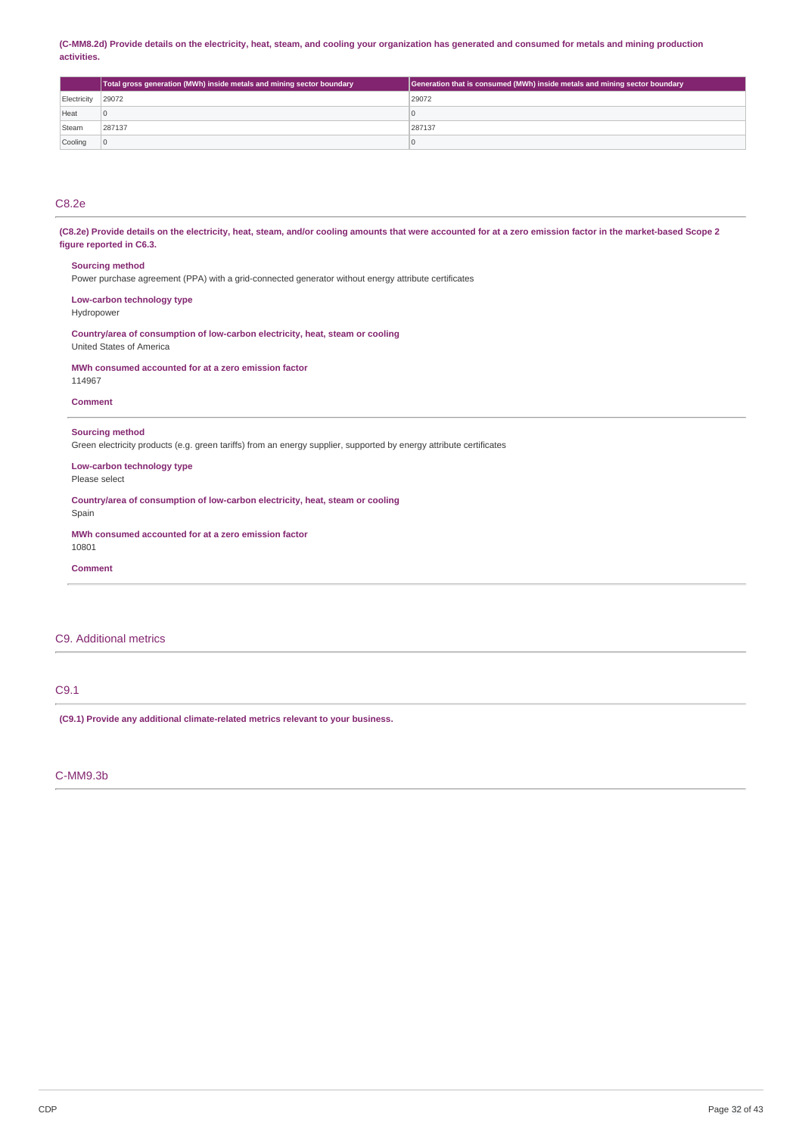## (C-MM8.2d) Provide details on the electricity, heat, steam, and cooling your organization has generated and consumed for metals and mining production **activities.**

|             | Total gross generation (MWh) inside metals and mining sector boundary | Generation that is consumed (MWh) inside metals and mining sector boundary |
|-------------|-----------------------------------------------------------------------|----------------------------------------------------------------------------|
| Electricity | 29072                                                                 | 29072                                                                      |
| Heat        |                                                                       | υ                                                                          |
| Steam       | 287137                                                                | 287137                                                                     |
| Cooling     |                                                                       | O                                                                          |

# C8.2e

(C8.2e) Provide details on the electricity, heat, steam, and/or cooling amounts that were accounted for at a zero emission factor in the market-based Scope 2 **figure reported in C6.3.**

#### **Sourcing method**

Power purchase agreement (PPA) with a grid-connected generator without energy attribute certificates

# **Low-carbon technology type**

Hydropower

**Country/area of consumption of low-carbon electricity, heat, steam or cooling** United States of America

#### **MWh consumed accounted for at a zero emission factor**

114967

#### **Comment**

## **Sourcing method**

Green electricity products (e.g. green tariffs) from an energy supplier, supported by energy attribute certificates

**Low-carbon technology type** Please select

**Country/area of consumption of low-carbon electricity, heat, steam or cooling**

**MWh consumed accounted for at a zero emission factor** 10801

**Comment**

Spain

## C9. Additional metrics

# C9.1

**(C9.1) Provide any additional climate-related metrics relevant to your business.**

## C-MM9.3b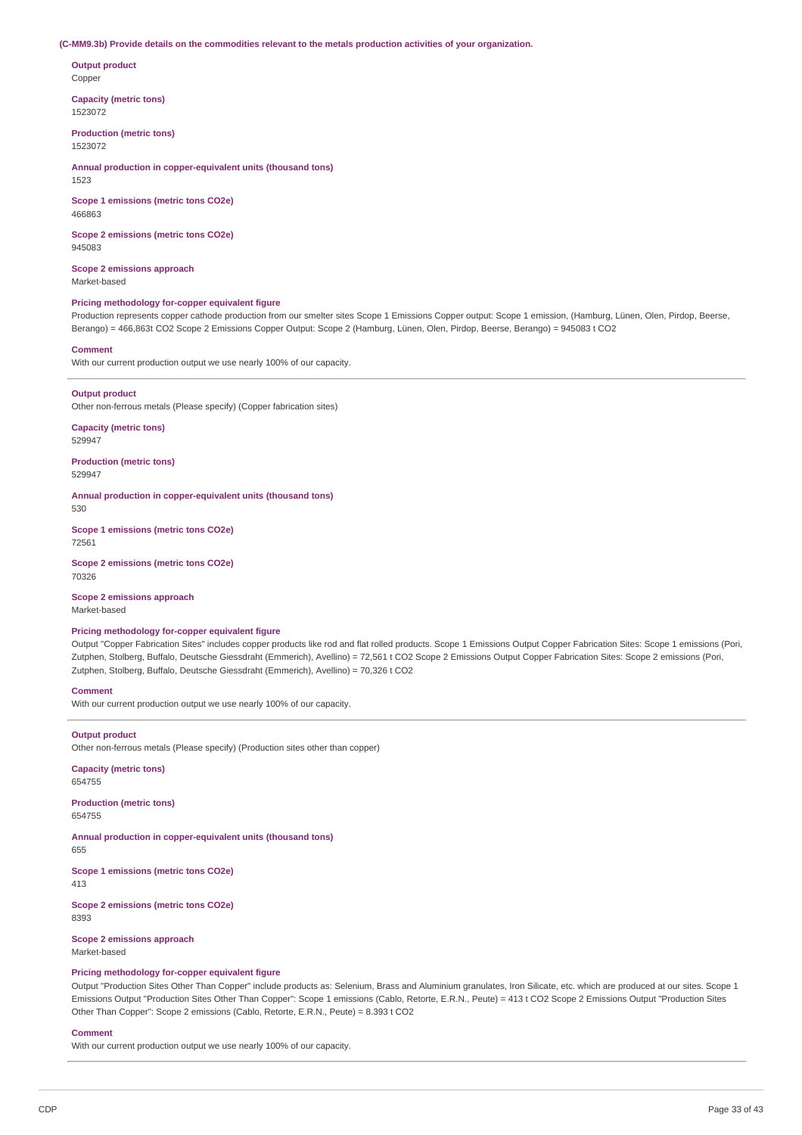#### **(C-MM9.3b) Provide details on the commodities relevant to the metals production activities of your organization.**

**Output product** Copper

**Capacity (metric tons)** 1523072

**Production (metric tons)** 1523072

**Annual production in copper-equivalent units (thousand tons)** 1523

**Scope 1 emissions (metric tons CO2e)** 466863

**Scope 2 emissions (metric tons CO2e)** 945083

**Scope 2 emissions approach** Market-based

#### **Pricing methodology for-copper equivalent figure**

Production represents copper cathode production from our smelter sites Scope 1 Emissions Copper output: Scope 1 emission, (Hamburg, Lünen, Olen, Pirdop, Beerse, Berango) = 466,863t CO2 Scope 2 Emissions Copper Output: Scope 2 (Hamburg, Lünen, Olen, Pirdop, Beerse, Berango) = 945083 t CO2

#### **Comment**

With our current production output we use nearly 100% of our capacity.

**Output product** Other non-ferrous metals (Please specify) (Copper fabrication sites)

**Capacity (metric tons)** 529947

**Production (metric tons)** 529947

**Annual production in copper-equivalent units (thousand tons)** 530

**Scope 1 emissions (metric tons CO2e)** 72561

**Scope 2 emissions (metric tons CO2e)** 70326

**Scope 2 emissions approach** Market-based

## **Pricing methodology for-copper equivalent figure**

Output "Copper Fabrication Sites" includes copper products like rod and flat rolled products. Scope 1 Emissions Output Copper Fabrication Sites: Scope 1 emissions (Pori, Zutphen, Stolberg, Buffalo, Deutsche Giessdraht (Emmerich), Avellino) = 72,561 t CO2 Scope 2 Emissions Output Copper Fabrication Sites: Scope 2 emissions (Pori, Zutphen, Stolberg, Buffalo, Deutsche Giessdraht (Emmerich), Avellino) = 70,326 t CO2

## **Comment**

With our current production output we use nearly 100% of our capacity.

## **Output product**

Other non-ferrous metals (Please specify) (Production sites other than copper)

**Capacity (metric tons)** 654755

**Production (metric tons)** 654755

**Annual production in copper-equivalent units (thousand tons)** 655

**Scope 1 emissions (metric tons CO2e)**

413

**Scope 2 emissions (metric tons CO2e)** 8393

**Scope 2 emissions approach**

Market-based

## **Pricing methodology for-copper equivalent figure**

Output "Production Sites Other Than Copper" include products as: Selenium, Brass and Aluminium granulates, Iron Silicate, etc. which are produced at our sites. Scope 1 Emissions Output "Production Sites Other Than Copper": Scope 1 emissions (Cablo, Retorte, E.R.N., Peute) = 413 t CO2 Scope 2 Emissions Output "Production Sites Other Than Copper": Scope 2 emissions (Cablo, Retorte, E.R.N., Peute) = 8.393 t CO2

#### **Comment**

With our current production output we use nearly 100% of our capacity.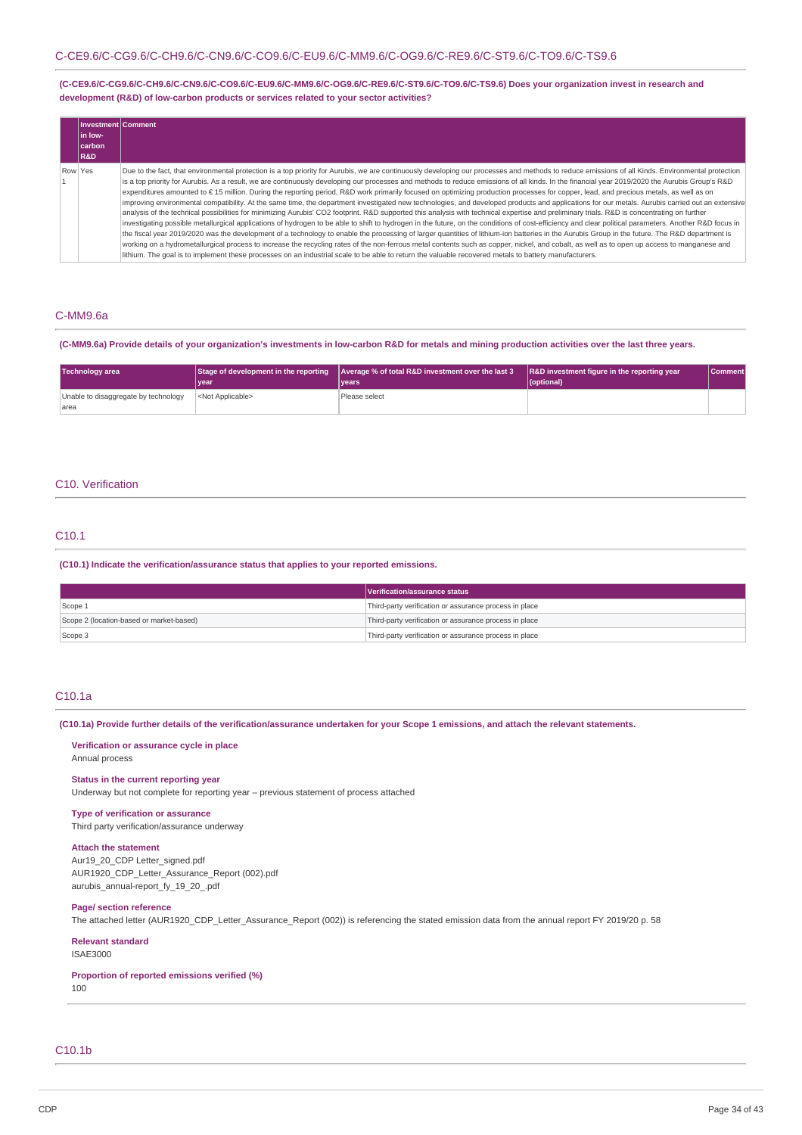**(C-CE9.6/C-CG9.6/C-CH9.6/C-CN9.6/C-CO9.6/C-EU9.6/C-MM9.6/C-OG9.6/C-RE9.6/C-ST9.6/C-TO9.6/C-TS9.6) Does your organization invest in research and development (R&D) of low-carbon products or services related to your sector activities?**

| Investment Comment<br>lin Iow-<br> carbon <br><b>R&amp;D</b> |                                                                                                                                                                                                                                                                                                                                                                                                                                                                                                                                                                                                                                                                                                                                                                                                                                                                                                                                                                                                                                                                                                                                                                                                                                                                                                                                                                                                                                                                                                                                                                                                                                                                                                                                                                    |
|--------------------------------------------------------------|--------------------------------------------------------------------------------------------------------------------------------------------------------------------------------------------------------------------------------------------------------------------------------------------------------------------------------------------------------------------------------------------------------------------------------------------------------------------------------------------------------------------------------------------------------------------------------------------------------------------------------------------------------------------------------------------------------------------------------------------------------------------------------------------------------------------------------------------------------------------------------------------------------------------------------------------------------------------------------------------------------------------------------------------------------------------------------------------------------------------------------------------------------------------------------------------------------------------------------------------------------------------------------------------------------------------------------------------------------------------------------------------------------------------------------------------------------------------------------------------------------------------------------------------------------------------------------------------------------------------------------------------------------------------------------------------------------------------------------------------------------------------|
| Row Yes                                                      | Due to the fact, that environmental protection is a top priority for Aurubis, we are continuously developing our processes and methods to reduce emissions of all Kinds. Environmental protection<br>is a top priority for Aurubis. As a result, we are continuously developing our processes and methods to reduce emissions of all kinds. In the financial year 2019/2020 the Aurubis Group's R&D<br>expenditures amounted to €15 million. During the reporting period, R&D work primarily focused on optimizing production processes for copper, lead, and precious metals, as well as on<br>improving environmental compatibility. At the same time, the department investigated new technologies, and developed products and applications for our metals. Aurubis carried out an extensive<br>analysis of the technical possibilities for minimizing Aurubis' CO2 footprint. R&D supported this analysis with technical expertise and preliminary trials. R&D is concentrating on further<br>investigating possible metallurgical applications of hydrogen to be able to shift to hydrogen in the future, on the conditions of cost-efficiency and clear political parameters. Another R&D focus in<br>the fiscal year 2019/2020 was the development of a technology to enable the processing of larger quantities of lithium-ion batteries in the Aurubis Group in the future. The R&D department is<br>working on a hydrometallurgical process to increase the recycling rates of the non-ferrous metal contents such as copper, nickel, and cobalt, as well as to open up access to manganese and<br>lithium. The goal is to implement these processes on an industrial scale to be able to return the valuable recovered metals to battery manufacturers. |

## C-MM9.6a

#### (C-MM9.6a) Provide details of your organization's investments in low-carbon R&D for metals and mining production activities over the last three years.

| Technology area                      |                           | Stage of development in the reporting Average % of total R&D investment over the last 3 | R&D investment figure in the reporting year | <b>Comment</b> |
|--------------------------------------|---------------------------|-----------------------------------------------------------------------------------------|---------------------------------------------|----------------|
|                                      | vear                      | vears <sup>1</sup>                                                                      | (optional)                                  |                |
| Unable to disaggregate by technology | <not applicable=""></not> | Please select                                                                           |                                             |                |
| larea                                |                           |                                                                                         |                                             |                |

## C10. Verification

## C10.1

**(C10.1) Indicate the verification/assurance status that applies to your reported emissions.**

|                                          | Verification/assurance status                          |
|------------------------------------------|--------------------------------------------------------|
| Scope 1                                  | Third-party verification or assurance process in place |
| Scope 2 (location-based or market-based) | Third-party verification or assurance process in place |
| Scope 3                                  | Third-party verification or assurance process in place |

## C10.1a

(C10.1a) Provide further details of the verification/assurance undertaken for your Scope 1 emissions, and attach the relevant statements.

## **Verification or assurance cycle in place** Annual process

## **Status in the current reporting year**

Underway but not complete for reporting year – previous statement of process attached

#### **Type of verification or assurance**

Third party verification/assurance underway

# **Attach the statement**

Aur19\_20\_CDP Letter\_signed.pdf AUR1920\_CDP\_Letter\_Assurance\_Report (002).pdf aurubis\_annual-report\_fy\_19\_20\_.pdf

## **Page/ section reference**

The attached letter (AUR1920\_CDP\_Letter\_Assurance\_Report (002)) is referencing the stated emission data from the annual report FY 2019/20 p. 58

## **Relevant standard**

ISAE3000

## **Proportion of reported emissions verified (%)**

100

# C10.1b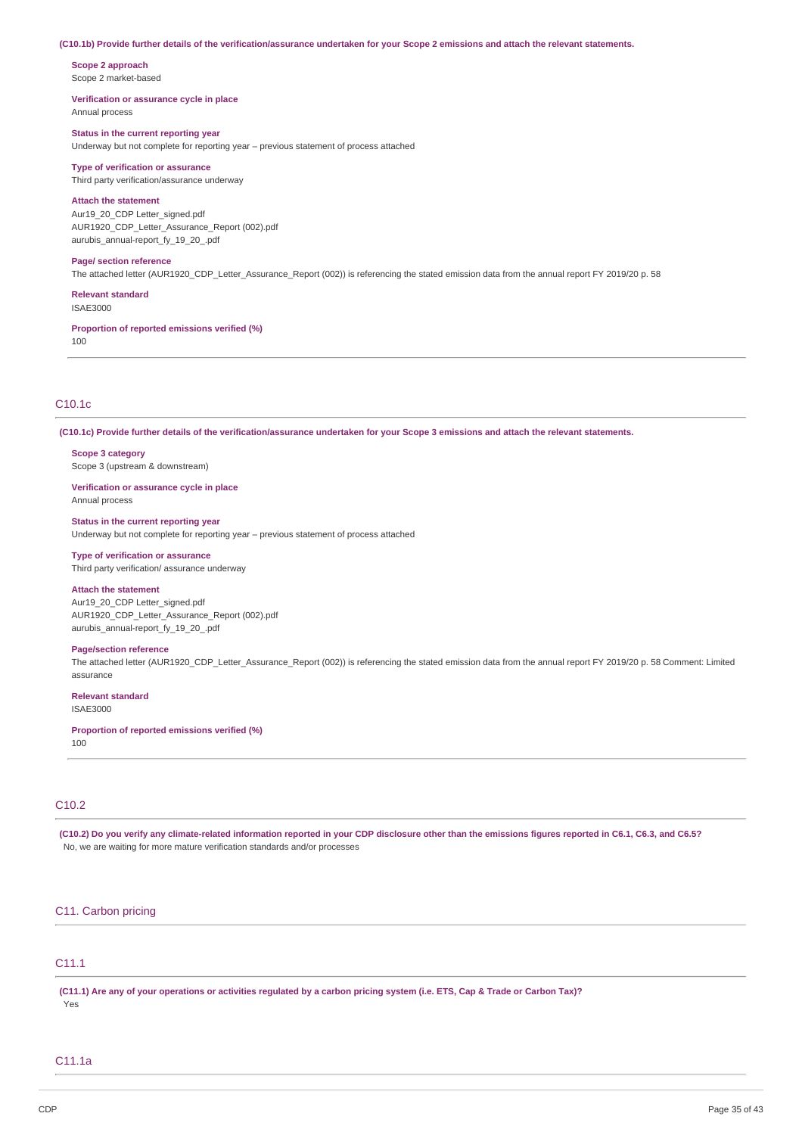#### (C10.1b) Provide further details of the verification/assurance undertaken for your Scope 2 emissions and attach the relevant statements.

**Scope 2 approach** Scope 2 market-based

#### **Verification or assurance cycle in place** Annual process

**Status in the current reporting year**

Underway but not complete for reporting year – previous statement of process attached

## **Type of verification or assurance**

Third party verification/assurance underway

# **Attach the statement**

Aur19\_20\_CDP Letter\_signed.pdf AUR1920\_CDP\_Letter\_Assurance\_Report (002).pdf aurubis\_annual-report\_fy\_19\_20\_.pdf

## **Page/ section reference**

The attached letter (AUR1920\_CDP\_Letter\_Assurance\_Report (002)) is referencing the stated emission data from the annual report FY 2019/20 p. 58

## **Relevant standard**

ISAE3000

**Proportion of reported emissions verified (%)** 100

## C10.1c

(C10.1c) Provide further details of the verification/assurance undertaken for your Scope 3 emissions and attach the relevant statements.

**Scope 3 category** Scope 3 (upstream & downstream)

**Verification or assurance cycle in place** Annual process

**Status in the current reporting year** Underway but not complete for reporting year – previous statement of process attached

# **Type of verification or assurance**

Third party verification/ assurance underway

#### **Attach the statement**

Aur19\_20\_CDP Letter\_signed.pdf AUR1920\_CDP\_Letter\_Assurance\_Report (002).pdf aurubis\_annual-report\_fy\_19\_20\_.pdf

#### **Page/section reference**

The attached letter (AUR1920 CDP Letter Assurance Report (002)) is referencing the stated emission data from the annual report FY 2019/20 p. 58 Comment: Limited assurance

## **Relevant standard**

ISAE3000

#### **Proportion of reported emissions verified (%)** 100

## C10.2

(C10.2) Do you verify any climate-related information reported in your CDP disclosure other than the emissions figures reported in C6.1, C6.3, and C6.5? No, we are waiting for more mature verification standards and/or processes

## C11. Carbon pricing

# C11.1

(C11.1) Are any of your operations or activities regulated by a carbon pricing system (i.e. ETS, Cap & Trade or Carbon Tax)? Yes

## C11.1a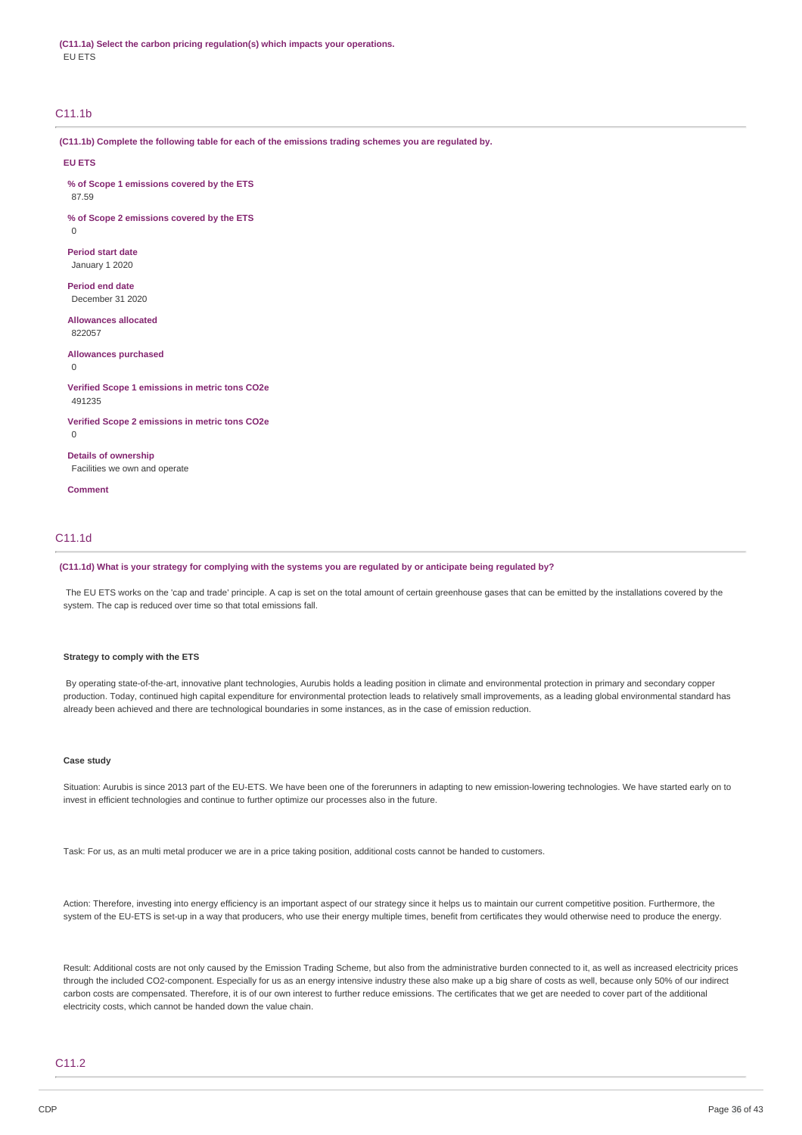**(C11.1a) Select the carbon pricing regulation(s) which impacts your operations. EU FTS** 

## C11.1b

**(C11.1b) Complete the following table for each of the emissions trading schemes you are regulated by.**

#### **EU ETS**

**% of Scope 1 emissions covered by the ETS**

87.59

0

**% of Scope 2 emissions covered by the ETS**

## **Period start date** January 1 2020

**Period end date** December 31 2020

#### **Allowances allocated** 822057

**Allowances purchased**

 $\Omega$ 

#### **Verified Scope 1 emissions in metric tons CO2e** 491235

**Verified Scope 2 emissions in metric tons CO2e**

 $\Omega$ 

**Details of ownership** Facilities we own and operate

**Comment**

## C11.1d

## (C11.1d) What is your strategy for complying with the systems you are regulated by or anticipate being regulated by?

The EU ETS works on the 'cap and trade' principle. A cap is set on the total amount of certain greenhouse gases that can be emitted by the installations covered by the system. The cap is reduced over time so that total emissions fall.

#### **Strategy to comply with the ETS**

By operating state-of-the-art, innovative plant technologies, Aurubis holds a leading position in climate and environmental protection in primary and secondary copper production. Today, continued high capital expenditure for environmental protection leads to relatively small improvements, as a leading global environmental standard has already been achieved and there are technological boundaries in some instances, as in the case of emission reduction.

## **Case study**

Situation: Aurubis is since 2013 part of the EU-ETS. We have been one of the forerunners in adapting to new emission-lowering technologies. We have started early on to invest in efficient technologies and continue to further optimize our processes also in the future.

Task: For us, as an multi metal producer we are in a price taking position, additional costs cannot be handed to customers.

Action: Therefore, investing into energy efficiency is an important aspect of our strategy since it helps us to maintain our current competitive position. Furthermore, the system of the EU-ETS is set-up in a way that producers, who use their energy multiple times, benefit from certificates they would otherwise need to produce the energy.

Result: Additional costs are not only caused by the Emission Trading Scheme, but also from the administrative burden connected to it, as well as increased electricity prices through the included CO2-component. Especially for us as an energy intensive industry these also make up a big share of costs as well, because only 50% of our indirect carbon costs are compensated. Therefore, it is of our own interest to further reduce emissions. The certificates that we get are needed to cover part of the additional electricity costs, which cannot be handed down the value chain.

## C11.2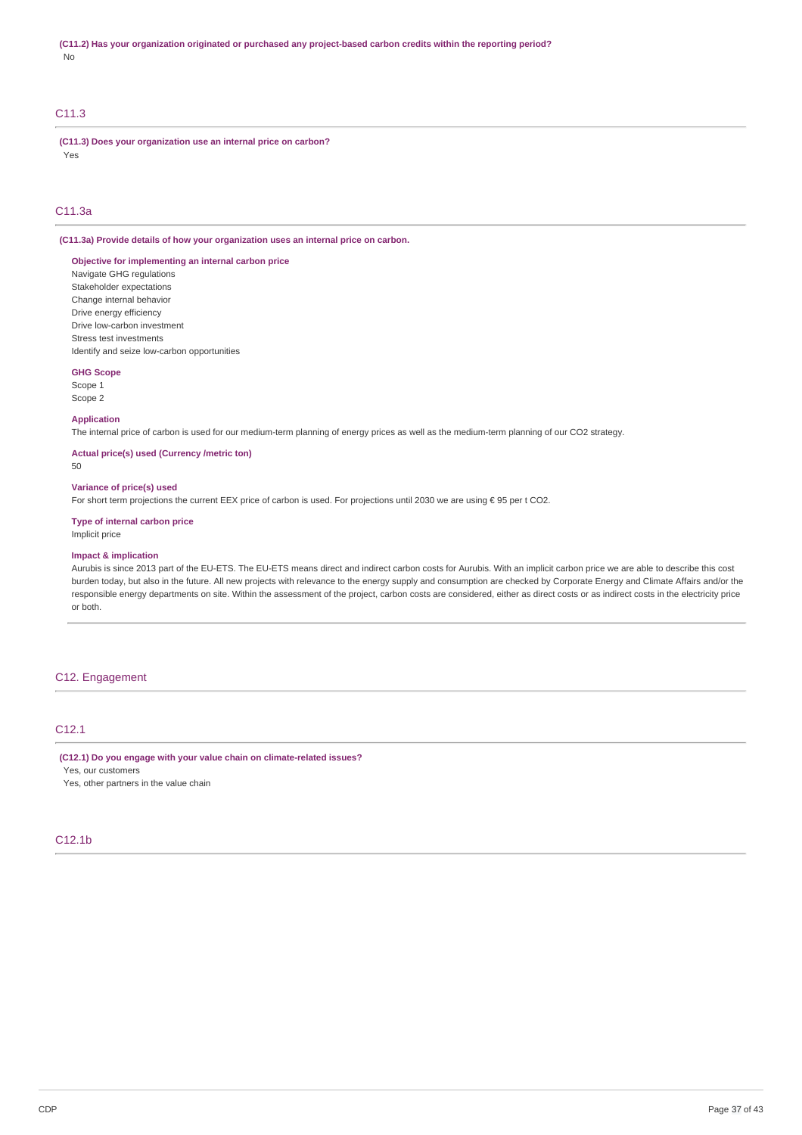# C11.3

**(C11.3) Does your organization use an internal price on carbon?** Yes

## C11.3a

**(C11.3a) Provide details of how your organization uses an internal price on carbon.**

#### **Objective for implementing an internal carbon price** Navigate GHG regulations

Stakeholder expectations Change internal behavior Drive energy efficiency Drive low-carbon investment Stress test investments Identify and seize low-carbon opportunities

#### **GHG Scope**

Scope 1 Scope 2

# **Application**

The internal price of carbon is used for our medium-term planning of energy prices as well as the medium-term planning of our CO2 strategy.

### **Actual price(s) used (Currency /metric ton)**

50

## **Variance of price(s) used**

For short term projections the current EEX price of carbon is used. For projections until 2030 we are using € 95 per t CO2.

## **Type of internal carbon price**

Implicit price

## **Impact & implication**

Aurubis is since 2013 part of the EU-ETS. The EU-ETS means direct and indirect carbon costs for Aurubis. With an implicit carbon price we are able to describe this cost burden today, but also in the future. All new projects with relevance to the energy supply and consumption are checked by Corporate Energy and Climate Affairs and/or the responsible energy departments on site. Within the assessment of the project, carbon costs are considered, either as direct costs or as indirect costs in the electricity price or both.

## C12. Engagement

## C12.1

**(C12.1) Do you engage with your value chain on climate-related issues?**

Yes, our customers Yes, other partners in the value chain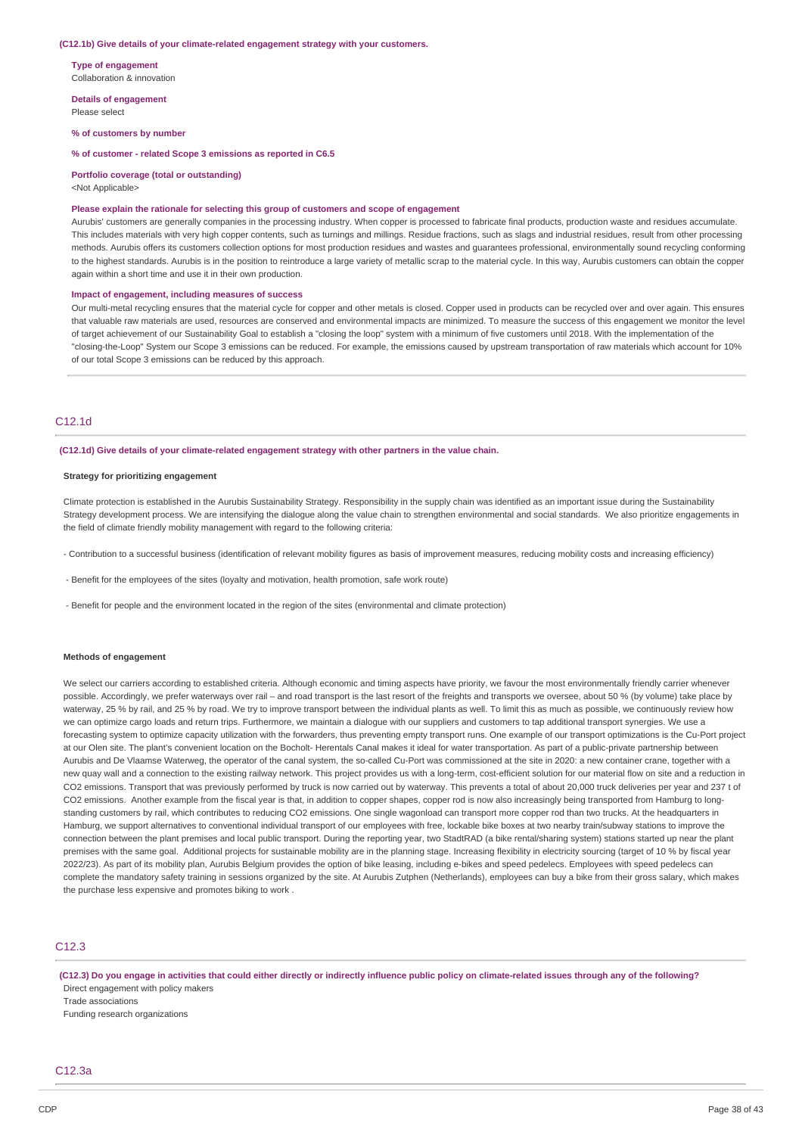#### **(C12.1b) Give details of your climate-related engagement strategy with your customers.**

**Type of engagement** Collaboration & innovation

**Details of engagement** Please select

**% of customers by number**

**% of customer - related Scope 3 emissions as reported in C6.5**

**Portfolio coverage (total or outstanding)**

<Not Applicable>

#### **Please explain the rationale for selecting this group of customers and scope of engagement**

Aurubis' customers are generally companies in the processing industry. When copper is processed to fabricate final products, production waste and residues accumulate. This includes materials with very high copper contents, such as turnings and millings. Residue fractions, such as slags and industrial residues, result from other processing methods. Aurubis offers its customers collection options for most production residues and wastes and guarantees professional, environmentally sound recycling conforming to the highest standards. Aurubis is in the position to reintroduce a large variety of metallic scrap to the material cycle. In this way, Aurubis customers can obtain the copper again within a short time and use it in their own production.

#### **Impact of engagement, including measures of success**

Our multi-metal recycling ensures that the material cycle for copper and other metals is closed. Copper used in products can be recycled over and over again. This ensures that valuable raw materials are used, resources are conserved and environmental impacts are minimized. To measure the success of this engagement we monitor the level of target achievement of our Sustainability Goal to establish a "closing the loop" system with a minimum of five customers until 2018. With the implementation of the "closing-the-Loop" System our Scope 3 emissions can be reduced. For example, the emissions caused by upstream transportation of raw materials which account for 10% of our total Scope 3 emissions can be reduced by this approach.

## C12.1d

**(C12.1d) Give details of your climate-related engagement strategy with other partners in the value chain.**

#### **Strategy for prioritizing engagement**

Climate protection is established in the Aurubis Sustainability Strategy. Responsibility in the supply chain was identified as an important issue during the Sustainability Strategy development process. We are intensifying the dialogue along the value chain to strengthen environmental and social standards. We also prioritize engagements in the field of climate friendly mobility management with regard to the following criteria:

- Contribution to a successful business (identification of relevant mobility figures as basis of improvement measures, reducing mobility costs and increasing efficiency)

- Benefit for the employees of the sites (loyalty and motivation, health promotion, safe work route)
- Benefit for people and the environment located in the region of the sites (environmental and climate protection)

#### **Methods of engagement**

We select our carriers according to established criteria. Although economic and timing aspects have priority, we favour the most environmentally friendly carrier whenever possible. Accordingly, we prefer waterways over rail – and road transport is the last resort of the freights and transports we oversee, about 50 % (by volume) take place by waterway, 25 % by rail, and 25 % by road. We try to improve transport between the individual plants as well. To limit this as much as possible, we continuously review how we can optimize cargo loads and return trips. Furthermore, we maintain a dialogue with our suppliers and customers to tap additional transport synergies. We use a forecasting system to optimize capacity utilization with the forwarders, thus preventing empty transport runs. One example of our transport optimizations is the Cu-Port project at our Olen site. The plant's convenient location on the Bocholt- Herentals Canal makes it ideal for water transportation. As part of a public-private partnership between Aurubis and De Vlaamse Waterweg, the operator of the canal system, the so-called Cu-Port was commissioned at the site in 2020: a new container crane, together with a new quay wall and a connection to the existing railway network. This project provides us with a long-term, cost-efficient solution for our material flow on site and a reduction in CO2 emissions. Transport that was previously performed by truck is now carried out by waterway. This prevents a total of about 20,000 truck deliveries per year and 237 t of CO2 emissions. Another example from the fiscal year is that, in addition to copper shapes, copper rod is now also increasingly being transported from Hamburg to longstanding customers by rail, which contributes to reducing CO2 emissions. One single wagonload can transport more copper rod than two trucks. At the headquarters in Hamburg, we support alternatives to conventional individual transport of our employees with free, lockable bike boxes at two nearby train/subway stations to improve the connection between the plant premises and local public transport. During the reporting year, two StadtRAD (a bike rental/sharing system) stations started up near the plant premises with the same goal. Additional projects for sustainable mobility are in the planning stage. Increasing flexibility in electricity sourcing (target of 10 % by fiscal year 2022/23). As part of its mobility plan, Aurubis Belgium provides the option of bike leasing, including e-bikes and speed pedelecs. Employees with speed pedelecs can complete the mandatory safety training in sessions organized by the site. At Aurubis Zutphen (Netherlands), employees can buy a bike from their gross salary, which makes the purchase less expensive and promotes biking to work .

## C12.3

(C12.3) Do you engage in activities that could either directly or indirectly influence public policy on climate-related issues through any of the following? Direct engagement with policy makers Trade associations

Funding research organizations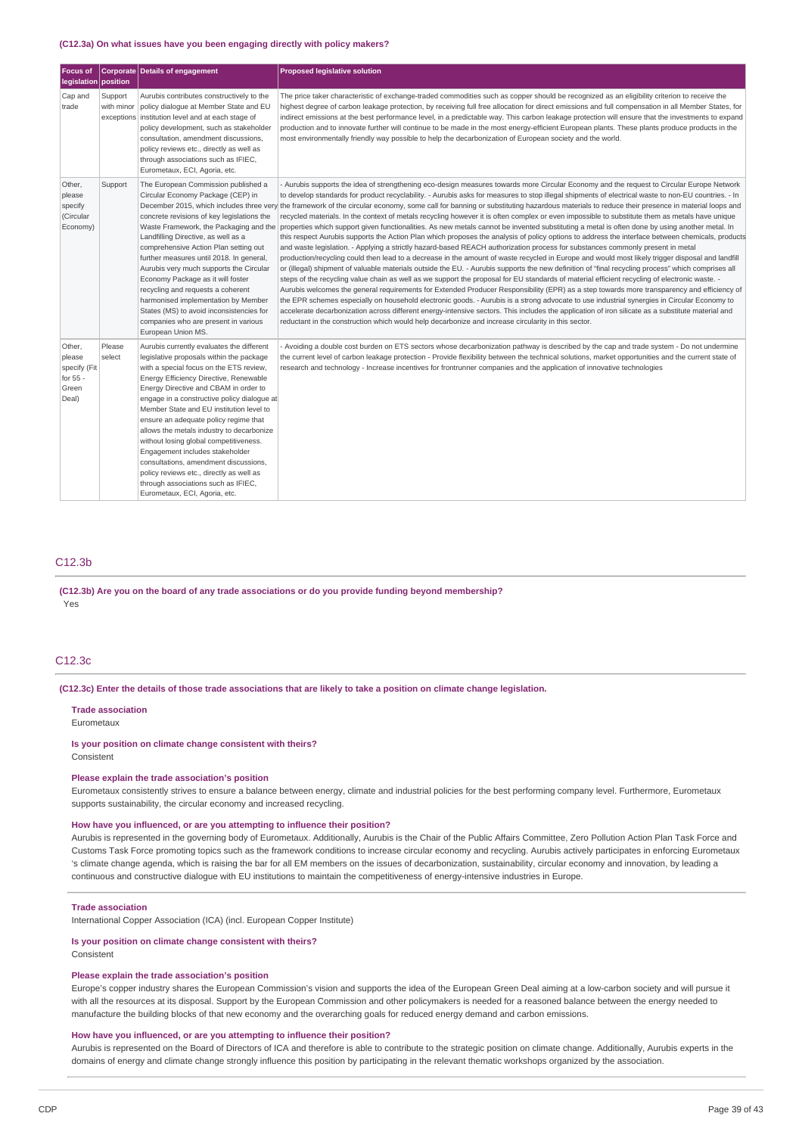#### **(C12.3a) On what issues have you been engaging directly with policy makers?**

| <b>Focus of</b><br>legislation   position                      |                                     | Corporate Details of engagement                                                                                                                                                                                                                                                                                                                                                                                                                                                                                                                                                                                                                | Proposed legislative solution                                                                                                                                                                                                                                                                                                                                                                                                                                                                                                                                                                                                                                                                                                                                                                                                                                                                                                                                                                                                                                                                                                                                                                                                                                                                                                                                                                                                                                                                                                                                                                                                                                                                                                                                                                                                                                                                                                                                                                                                                                                                                                                   |
|----------------------------------------------------------------|-------------------------------------|------------------------------------------------------------------------------------------------------------------------------------------------------------------------------------------------------------------------------------------------------------------------------------------------------------------------------------------------------------------------------------------------------------------------------------------------------------------------------------------------------------------------------------------------------------------------------------------------------------------------------------------------|-------------------------------------------------------------------------------------------------------------------------------------------------------------------------------------------------------------------------------------------------------------------------------------------------------------------------------------------------------------------------------------------------------------------------------------------------------------------------------------------------------------------------------------------------------------------------------------------------------------------------------------------------------------------------------------------------------------------------------------------------------------------------------------------------------------------------------------------------------------------------------------------------------------------------------------------------------------------------------------------------------------------------------------------------------------------------------------------------------------------------------------------------------------------------------------------------------------------------------------------------------------------------------------------------------------------------------------------------------------------------------------------------------------------------------------------------------------------------------------------------------------------------------------------------------------------------------------------------------------------------------------------------------------------------------------------------------------------------------------------------------------------------------------------------------------------------------------------------------------------------------------------------------------------------------------------------------------------------------------------------------------------------------------------------------------------------------------------------------------------------------------------------|
| Cap and<br>trade                                               | Support<br>with minor<br>exceptions | Aurubis contributes constructively to the<br>policy dialogue at Member State and EU<br>institution level and at each stage of<br>policy development, such as stakeholder<br>consultation, amendment discussions,<br>policy reviews etc., directly as well as<br>through associations such as IFIEC,<br>Eurometaux, ECI, Agoria, etc.                                                                                                                                                                                                                                                                                                           | The price taker characteristic of exchange-traded commodities such as copper should be recognized as an eligibility criterion to receive the<br>highest degree of carbon leakage protection, by receiving full free allocation for direct emissions and full compensation in all Member States, for<br>indirect emissions at the best performance level, in a predictable way. This carbon leakage protection will ensure that the investments to expand<br>production and to innovate further will continue to be made in the most energy-efficient European plants. These plants produce products in the<br>most environmentally friendly way possible to help the decarbonization of European society and the world.                                                                                                                                                                                                                                                                                                                                                                                                                                                                                                                                                                                                                                                                                                                                                                                                                                                                                                                                                                                                                                                                                                                                                                                                                                                                                                                                                                                                                         |
| Other,<br>please<br>specify<br>(Circular<br>Economy)           | Support                             | The European Commission published a<br>Circular Economy Package (CEP) in<br>concrete revisions of key legislations the<br>Landfilling Directive, as well as a<br>comprehensive Action Plan setting out<br>further measures until 2018. In general,<br>Aurubis very much supports the Circular<br>Economy Package as it will foster<br>recycling and requests a coherent<br>harmonised implementation by Member<br>States (MS) to avoid inconsistencies for<br>companies who are present in various<br>European Union MS.                                                                                                                       | Aurubis supports the idea of strengthening eco-design measures towards more Circular Economy and the request to Circular Europe Network<br>to develop standards for product recyclability. - Aurubis asks for measures to stop illegal shipments of electrical waste to non-EU countries. - In<br>December 2015, which includes three very the framework of the circular economy, some call for banning or substituting hazardous materials to reduce their presence in material loops and<br>recycled materials. In the context of metals recycling however it is often complex or even impossible to substitute them as metals have unique<br>Waste Framework, the Packaging and the properties which support given functionalities. As new metals cannot be invented substituting a metal is often done by using another metal. In<br>this respect Aurubis supports the Action Plan which proposes the analysis of policy options to address the interface between chemicals, products<br>and waste legislation. - Applying a strictly hazard-based REACH authorization process for substances commonly present in metal<br>production/recycling could then lead to a decrease in the amount of waste recycled in Europe and would most likely trigger disposal and landfill<br>or (illegal) shipment of valuable materials outside the EU. - Aurubis supports the new definition of "final recycling process" which comprises all<br>steps of the recycling value chain as well as we support the proposal for EU standards of material efficient recycling of electronic waste. -<br>Aurubis welcomes the general requirements for Extended Producer Responsibility (EPR) as a step towards more transparency and efficiency of<br>the EPR schemes especially on household electronic goods. - Aurubis is a strong advocate to use industrial synergies in Circular Economy to<br>accelerate decarbonization across different energy-intensive sectors. This includes the application of iron silicate as a substitute material and<br>reductant in the construction which would help decarbonize and increase circularity in this sector. |
| Other,<br>please<br>specify (Fit<br>for 55 -<br>Green<br>Deal) | Please<br>select                    | Aurubis currently evaluates the different<br>legislative proposals within the package<br>with a special focus on the ETS review,<br>Energy Efficiency Directive, Renewable<br>Energy Directive and CBAM in order to<br>engage in a constructive policy dialogue at<br>Member State and EU institution level to<br>ensure an adequate policy regime that<br>allows the metals industry to decarbonize<br>without losing global competitiveness.<br>Engagement includes stakeholder<br>consultations, amendment discussions,<br>policy reviews etc., directly as well as<br>through associations such as IFIEC,<br>Eurometaux, ECI, Agoria, etc. | Avoiding a double cost burden on ETS sectors whose decarbonization pathway is described by the cap and trade system - Do not undermine<br>the current level of carbon leakage protection - Provide flexibility between the technical solutions, market opportunities and the current state of<br>research and technology - Increase incentives for frontrunner companies and the application of innovative technologies                                                                                                                                                                                                                                                                                                                                                                                                                                                                                                                                                                                                                                                                                                                                                                                                                                                                                                                                                                                                                                                                                                                                                                                                                                                                                                                                                                                                                                                                                                                                                                                                                                                                                                                         |

## C12.3b

**(C12.3b) Are you on the board of any trade associations or do you provide funding beyond membership?** Yes

#### C12.3c

(C12.3c) Enter the details of those trade associations that are likely to take a position on climate change legislation.

**Trade association**

Eurometaux

#### **Is your position on climate change consistent with theirs?**

Consistent

#### **Please explain the trade association's position**

Eurometaux consistently strives to ensure a balance between energy, climate and industrial policies for the best performing company level. Furthermore, Eurometaux supports sustainability, the circular economy and increased recycling.

## **How have you influenced, or are you attempting to influence their position?**

Aurubis is represented in the governing body of Eurometaux. Additionally, Aurubis is the Chair of the Public Affairs Committee, Zero Pollution Action Plan Task Force and Customs Task Force promoting topics such as the framework conditions to increase circular economy and recycling. Aurubis actively participates in enforcing Eurometaux 's climate change agenda, which is raising the bar for all EM members on the issues of decarbonization, sustainability, circular economy and innovation, by leading a continuous and constructive dialogue with EU institutions to maintain the competitiveness of energy-intensive industries in Europe.

#### **Trade association**

International Copper Association (ICA) (incl. European Copper Institute)

#### **Is your position on climate change consistent with theirs?** Consistent

#### **Please explain the trade association's position**

Europe's copper industry shares the European Commission's vision and supports the idea of the European Green Deal aiming at a low-carbon society and will pursue it with all the resources at its disposal. Support by the European Commission and other policymakers is needed for a reasoned balance between the energy needed to manufacture the building blocks of that new economy and the overarching goals for reduced energy demand and carbon emissions.

#### **How have you influenced, or are you attempting to influence their position?**

Aurubis is represented on the Board of Directors of ICA and therefore is able to contribute to the strategic position on climate change. Additionally, Aurubis experts in the domains of energy and climate change strongly influence this position by participating in the relevant thematic workshops organized by the association.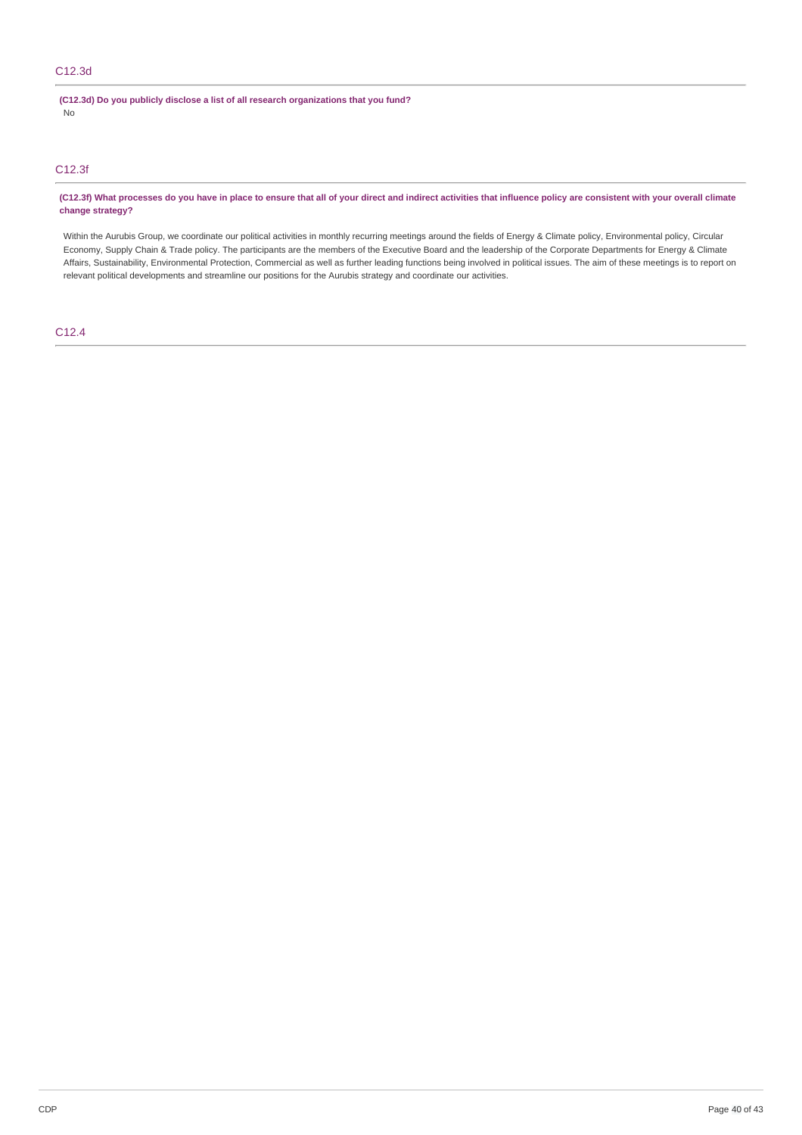# C12.3d

**(C12.3d) Do you publicly disclose a list of all research organizations that you fund?** No

# C12.3f

(C12.3f) What processes do you have in place to ensure that all of your direct and indirect activities that influence policy are consistent with your overall climate **change strategy?**

Within the Aurubis Group, we coordinate our political activities in monthly recurring meetings around the fields of Energy & Climate policy, Environmental policy, Circular Economy, Supply Chain & Trade policy. The participants are the members of the Executive Board and the leadership of the Corporate Departments for Energy & Climate Affairs, Sustainability, Environmental Protection, Commercial as well as further leading functions being involved in political issues. The aim of these meetings is to report on relevant political developments and streamline our positions for the Aurubis strategy and coordinate our activities.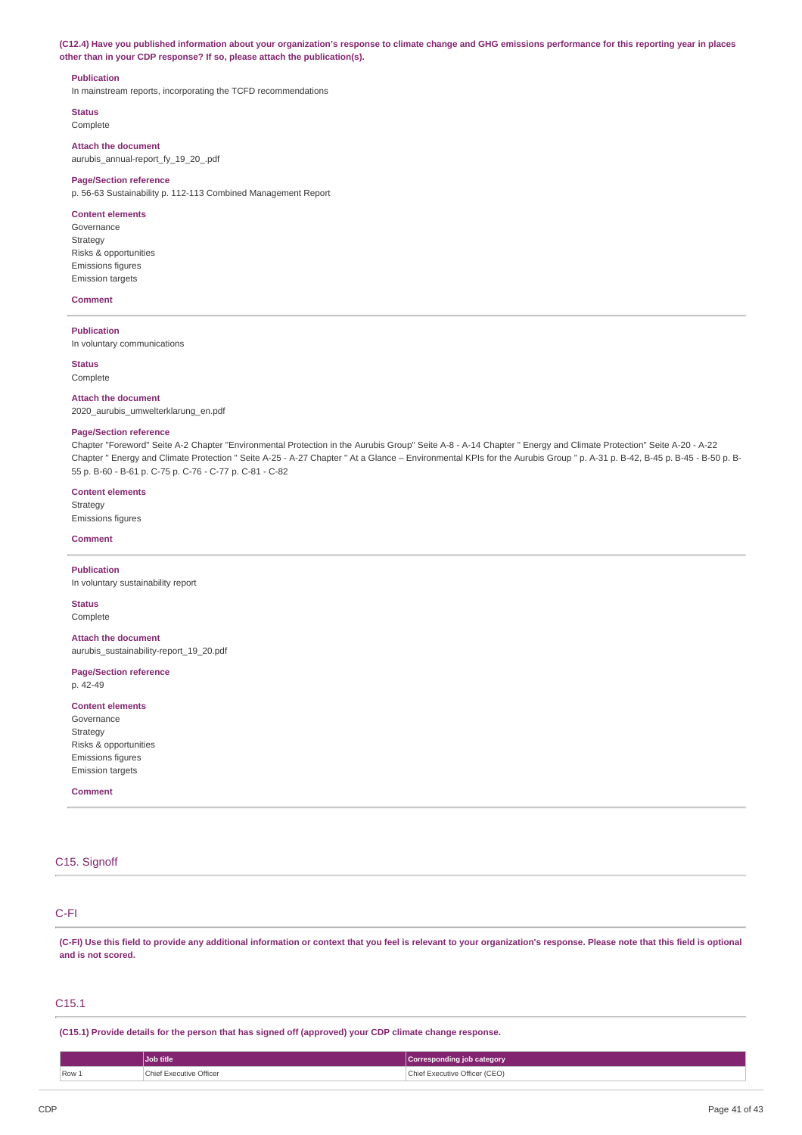(C12.4) Have you published information about your organization's response to climate change and GHG emissions performance for this reporting year in places **other than in your CDP response? If so, please attach the publication(s).**

## **Publication**

In mainstream reports, incorporating the TCFD recommendations

**Status** Complete

**Attach the document**

aurubis\_annual-report\_fy\_19\_20\_.pdf

## **Page/Section reference**

p. 56-63 Sustainability p. 112-113 Combined Management Report

#### **Content elements**

Governance Strategy Risks & opportunities Emissions figures Emission targets

#### **Comment**

**Publication**

In voluntary communications

**Status**

#### Complete

**Attach the document** 2020\_aurubis\_umwelterklarung\_en.pdf

#### **Page/Section reference**

Chapter "Foreword" Seite A-2 Chapter "Environmental Protection in the Aurubis Group" Seite A-8 - A-14 Chapter " Energy and Climate Protection" Seite A-20 - A-22 Chapter " Energy and Climate Protection " Seite A-25 - A-27 Chapter " At a Glance – Environmental KPIs for the Aurubis Group " p. A-31 p. B-42, B-45 p. B-45 - B-50 p. B-55 p. B-60 - B-61 p. C-75 p. C-76 - C-77 p. C-81 - C-82

#### **Content elements**

Strategy Emissions figures

#### **Comment**

**Publication**

In voluntary sustainability report

## **Status**

Complete

**Attach the document** aurubis\_sustainability-report\_19\_20.pdf

#### **Page/Section reference** p. 42-49

**Content elements** Governance **Strategy** Risks & opportunities Emissions figures Emission targets

**Comment**

## C15. Signoff

# C-FI

(C-FI) Use this field to provide any additional information or context that you feel is relevant to your organization's response. Please note that this field is optional **and is not scored.**

# C15.1

**(C15.1) Provide details for the person that has signed off (approved) your CDP climate change response.**

|         | Job title                    | Corresponding job category         |
|---------|------------------------------|------------------------------------|
| $Row_1$ | Chief Executive Officer<br>. | Chief Executive Officer (CEO)<br>. |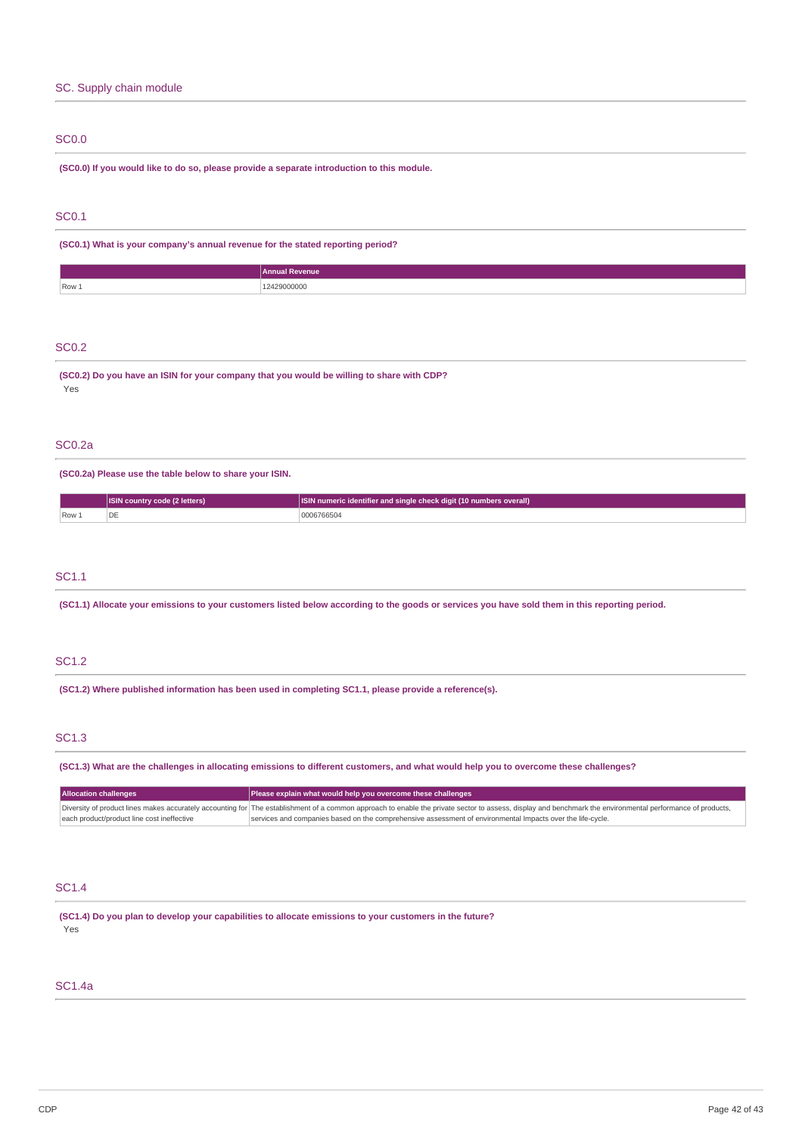# SC. Supply chain module

## SC0.0

**(SC0.0) If you would like to do so, please provide a separate introduction to this module.**

# SC0.1

**(SC0.1) What is your company's annual revenue for the stated reporting period?**

|         | <b>Annual Revenue</b> |
|---------|-----------------------|
| $Row_1$ | 2429000000<br>.       |

# SC0.2

**(SC0.2) Do you have an ISIN for your company that you would be willing to share with CDP?** Yes

## SC0.2a

**(SC0.2a) Please use the table below to share your ISIN.**

|                       | <b>ISIN country code (2 letters)</b> | <b>ISIN numeric identifier and single check digit (10 numbers overall)</b> |
|-----------------------|--------------------------------------|----------------------------------------------------------------------------|
| $\sqrt{$ Row $\angle$ |                                      | 206766504                                                                  |

# SC1.1

(SC1.1) Allocate your emissions to your customers listed below according to the goods or services you have sold them in this reporting period.

## SC1.2

**(SC1.2) Where published information has been used in completing SC1.1, please provide a reference(s).**

## SC1.3

(SC1.3) What are the challenges in allocating emissions to different customers, and what would help you to overcome these challenges?

| <b>Allocation challenges</b>               | Please explain what would help you overcome these challenges                                                                                                                                               |
|--------------------------------------------|------------------------------------------------------------------------------------------------------------------------------------------------------------------------------------------------------------|
|                                            | Diversity of product lines makes accurately accounting for The establishment of a common approach to enable the private sector to assess, display and benchmark the environmental performance of products, |
| each product/product line cost ineffective | services and companies based on the comprehensive assessment of environmental Impacts over the life-cycle.                                                                                                 |

# SC1.4

**(SC1.4) Do you plan to develop your capabilities to allocate emissions to your customers in the future?** Yes

# SC1.4a